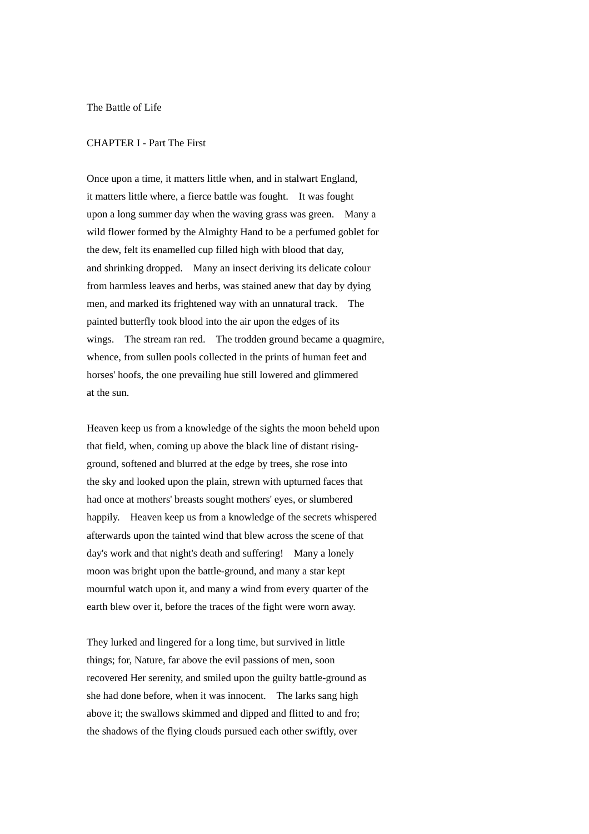The Battle of Life

## CHAPTER I - Part The First

Once upon a time, it matters little when, and in stalwart England, it matters little where, a fierce battle was fought. It was fought upon a long summer day when the waving grass was green. Many a wild flower formed by the Almighty Hand to be a perfumed goblet for the dew, felt its enamelled cup filled high with blood that day, and shrinking dropped. Many an insect deriving its delicate colour from harmless leaves and herbs, was stained anew that day by dying men, and marked its frightened way with an unnatural track. The painted butterfly took blood into the air upon the edges of its wings. The stream ran red. The trodden ground became a quagmire, whence, from sullen pools collected in the prints of human feet and horses' hoofs, the one prevailing hue still lowered and glimmered at the sun.

Heaven keep us from a knowledge of the sights the moon beheld upon that field, when, coming up above the black line of distant risingground, softened and blurred at the edge by trees, she rose into the sky and looked upon the plain, strewn with upturned faces that had once at mothers' breasts sought mothers' eyes, or slumbered happily. Heaven keep us from a knowledge of the secrets whispered afterwards upon the tainted wind that blew across the scene of that day's work and that night's death and suffering! Many a lonely moon was bright upon the battle-ground, and many a star kept mournful watch upon it, and many a wind from every quarter of the earth blew over it, before the traces of the fight were worn away.

They lurked and lingered for a long time, but survived in little things; for, Nature, far above the evil passions of men, soon recovered Her serenity, and smiled upon the guilty battle-ground as she had done before, when it was innocent. The larks sang high above it; the swallows skimmed and dipped and flitted to and fro; the shadows of the flying clouds pursued each other swiftly, over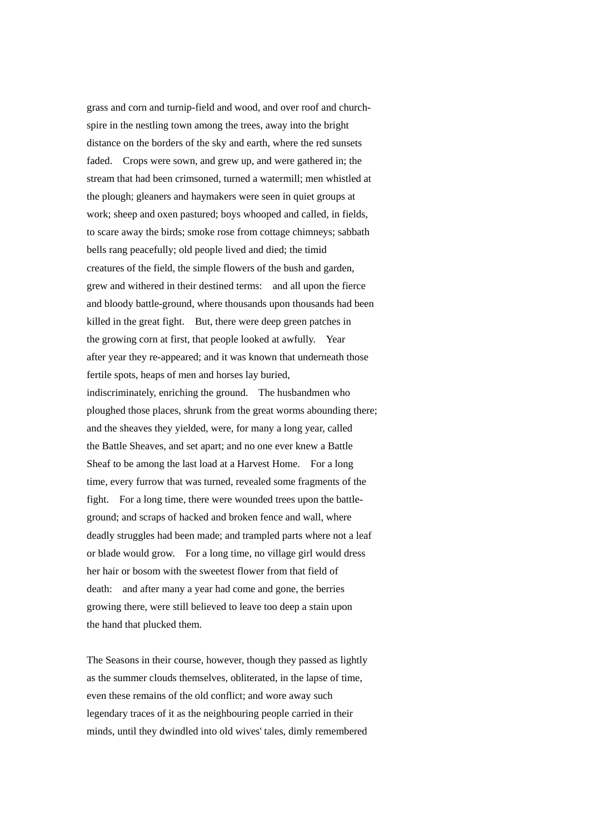grass and corn and turnip-field and wood, and over roof and churchspire in the nestling town among the trees, away into the bright distance on the borders of the sky and earth, where the red sunsets faded. Crops were sown, and grew up, and were gathered in; the stream that had been crimsoned, turned a watermill; men whistled at the plough; gleaners and haymakers were seen in quiet groups at work; sheep and oxen pastured; boys whooped and called, in fields, to scare away the birds; smoke rose from cottage chimneys; sabbath bells rang peacefully; old people lived and died; the timid creatures of the field, the simple flowers of the bush and garden, grew and withered in their destined terms: and all upon the fierce and bloody battle-ground, where thousands upon thousands had been killed in the great fight. But, there were deep green patches in the growing corn at first, that people looked at awfully. Year after year they re-appeared; and it was known that underneath those fertile spots, heaps of men and horses lay buried, indiscriminately, enriching the ground. The husbandmen who ploughed those places, shrunk from the great worms abounding there; and the sheaves they yielded, were, for many a long year, called the Battle Sheaves, and set apart; and no one ever knew a Battle Sheaf to be among the last load at a Harvest Home. For a long time, every furrow that was turned, revealed some fragments of the fight. For a long time, there were wounded trees upon the battleground; and scraps of hacked and broken fence and wall, where deadly struggles had been made; and trampled parts where not a leaf or blade would grow. For a long time, no village girl would dress her hair or bosom with the sweetest flower from that field of death: and after many a year had come and gone, the berries growing there, were still believed to leave too deep a stain upon the hand that plucked them.

The Seasons in their course, however, though they passed as lightly as the summer clouds themselves, obliterated, in the lapse of time, even these remains of the old conflict; and wore away such legendary traces of it as the neighbouring people carried in their minds, until they dwindled into old wives' tales, dimly remembered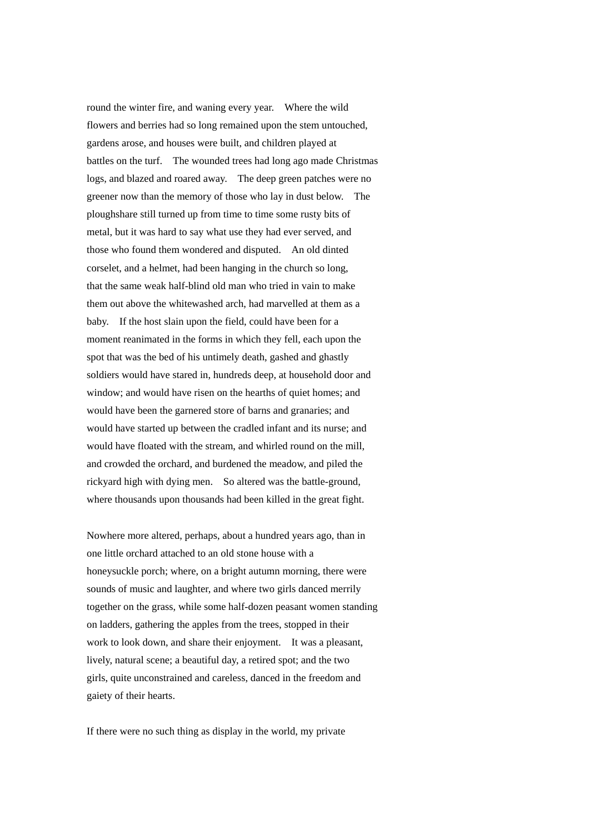round the winter fire, and waning every year. Where the wild flowers and berries had so long remained upon the stem untouched, gardens arose, and houses were built, and children played at battles on the turf. The wounded trees had long ago made Christmas logs, and blazed and roared away. The deep green patches were no greener now than the memory of those who lay in dust below. The ploughshare still turned up from time to time some rusty bits of metal, but it was hard to say what use they had ever served, and those who found them wondered and disputed. An old dinted corselet, and a helmet, had been hanging in the church so long, that the same weak half-blind old man who tried in vain to make them out above the whitewashed arch, had marvelled at them as a baby. If the host slain upon the field, could have been for a moment reanimated in the forms in which they fell, each upon the spot that was the bed of his untimely death, gashed and ghastly soldiers would have stared in, hundreds deep, at household door and window; and would have risen on the hearths of quiet homes; and would have been the garnered store of barns and granaries; and would have started up between the cradled infant and its nurse; and would have floated with the stream, and whirled round on the mill, and crowded the orchard, and burdened the meadow, and piled the rickyard high with dying men. So altered was the battle-ground, where thousands upon thousands had been killed in the great fight.

Nowhere more altered, perhaps, about a hundred years ago, than in one little orchard attached to an old stone house with a honeysuckle porch; where, on a bright autumn morning, there were sounds of music and laughter, and where two girls danced merrily together on the grass, while some half-dozen peasant women standing on ladders, gathering the apples from the trees, stopped in their work to look down, and share their enjoyment. It was a pleasant, lively, natural scene; a beautiful day, a retired spot; and the two girls, quite unconstrained and careless, danced in the freedom and gaiety of their hearts.

If there were no such thing as display in the world, my private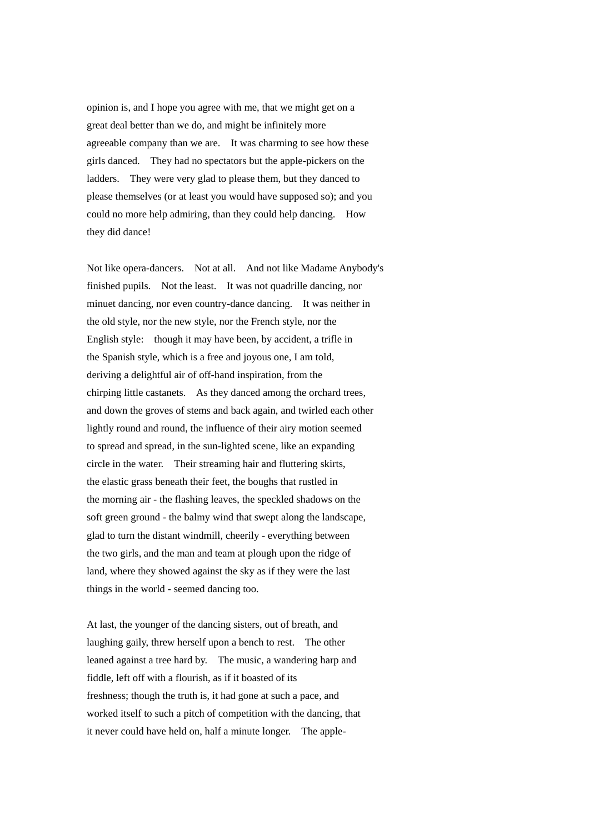opinion is, and I hope you agree with me, that we might get on a great deal better than we do, and might be infinitely more agreeable company than we are. It was charming to see how these girls danced. They had no spectators but the apple-pickers on the ladders. They were very glad to please them, but they danced to please themselves (or at least you would have supposed so); and you could no more help admiring, than they could help dancing. How they did dance!

Not like opera-dancers. Not at all. And not like Madame Anybody's finished pupils. Not the least. It was not quadrille dancing, nor minuet dancing, nor even country-dance dancing. It was neither in the old style, nor the new style, nor the French style, nor the English style: though it may have been, by accident, a trifle in the Spanish style, which is a free and joyous one, I am told, deriving a delightful air of off-hand inspiration, from the chirping little castanets. As they danced among the orchard trees, and down the groves of stems and back again, and twirled each other lightly round and round, the influence of their airy motion seemed to spread and spread, in the sun-lighted scene, like an expanding circle in the water. Their streaming hair and fluttering skirts, the elastic grass beneath their feet, the boughs that rustled in the morning air - the flashing leaves, the speckled shadows on the soft green ground - the balmy wind that swept along the landscape, glad to turn the distant windmill, cheerily - everything between the two girls, and the man and team at plough upon the ridge of land, where they showed against the sky as if they were the last things in the world - seemed dancing too.

At last, the younger of the dancing sisters, out of breath, and laughing gaily, threw herself upon a bench to rest. The other leaned against a tree hard by. The music, a wandering harp and fiddle, left off with a flourish, as if it boasted of its freshness; though the truth is, it had gone at such a pace, and worked itself to such a pitch of competition with the dancing, that it never could have held on, half a minute longer. The apple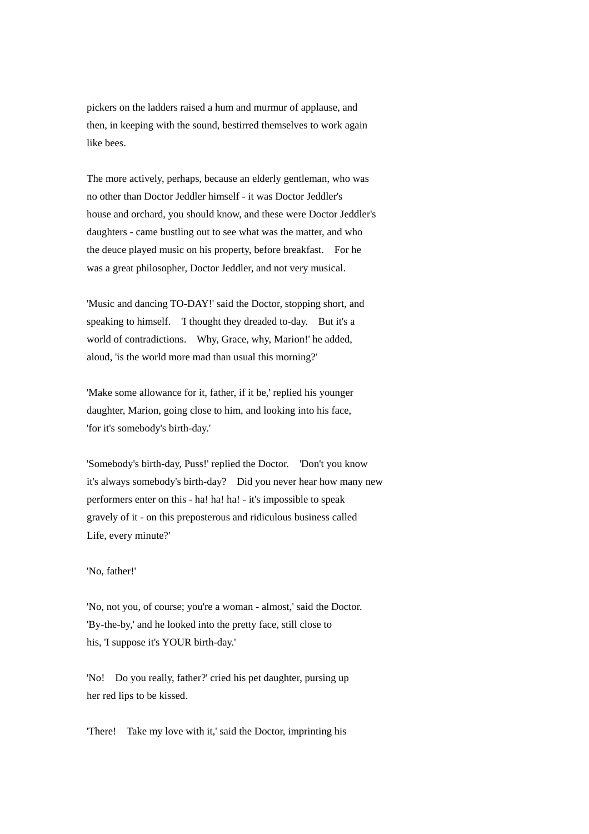pickers on the ladders raised a hum and murmur of applause, and then, in keeping with the sound, bestirred themselves to work again like bees.

The more actively, perhaps, because an elderly gentleman, who was no other than Doctor Jeddler himself - it was Doctor Jeddler's house and orchard, you should know, and these were Doctor Jeddler's daughters - came bustling out to see what was the matter, and who the deuce played music on his property, before breakfast. For he was a great philosopher, Doctor Jeddler, and not very musical.

'Music and dancing TO-DAY!' said the Doctor, stopping short, and speaking to himself. 'I thought they dreaded to-day. But it's a world of contradictions. Why, Grace, why, Marion!' he added, aloud, 'is the world more mad than usual this morning?'

'Make some allowance for it, father, if it be,' replied his younger daughter, Marion, going close to him, and looking into his face, 'for it's somebody's birth-day.'

'Somebody's birth-day, Puss!' replied the Doctor. 'Don't you know it's always somebody's birth-day? Did you never hear how many new performers enter on this - ha! ha! ha! - it's impossible to speak gravely of it - on this preposterous and ridiculous business called Life, every minute?'

## 'No, father!'

'No, not you, of course; you're a woman - almost,' said the Doctor. 'By-the-by,' and he looked into the pretty face, still close to his, 'I suppose it's YOUR birth-day.'

'No! Do you really, father?' cried his pet daughter, pursing up her red lips to be kissed.

'There! Take my love with it,' said the Doctor, imprinting his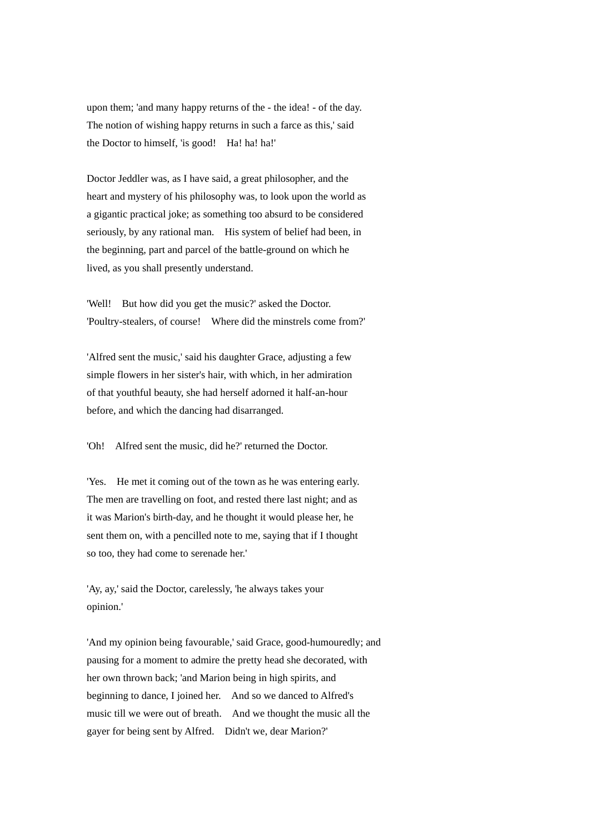upon them; 'and many happy returns of the - the idea! - of the day. The notion of wishing happy returns in such a farce as this,' said the Doctor to himself, 'is good! Ha! ha! ha!'

Doctor Jeddler was, as I have said, a great philosopher, and the heart and mystery of his philosophy was, to look upon the world as a gigantic practical joke; as something too absurd to be considered seriously, by any rational man. His system of belief had been, in the beginning, part and parcel of the battle-ground on which he lived, as you shall presently understand.

'Well! But how did you get the music?' asked the Doctor. 'Poultry-stealers, of course! Where did the minstrels come from?'

'Alfred sent the music,' said his daughter Grace, adjusting a few simple flowers in her sister's hair, with which, in her admiration of that youthful beauty, she had herself adorned it half-an-hour before, and which the dancing had disarranged.

'Oh! Alfred sent the music, did he?' returned the Doctor.

'Yes. He met it coming out of the town as he was entering early. The men are travelling on foot, and rested there last night; and as it was Marion's birth-day, and he thought it would please her, he sent them on, with a pencilled note to me, saying that if I thought so too, they had come to serenade her.'

'Ay, ay,' said the Doctor, carelessly, 'he always takes your opinion.'

'And my opinion being favourable,' said Grace, good-humouredly; and pausing for a moment to admire the pretty head she decorated, with her own thrown back; 'and Marion being in high spirits, and beginning to dance, I joined her. And so we danced to Alfred's music till we were out of breath. And we thought the music all the gayer for being sent by Alfred. Didn't we, dear Marion?'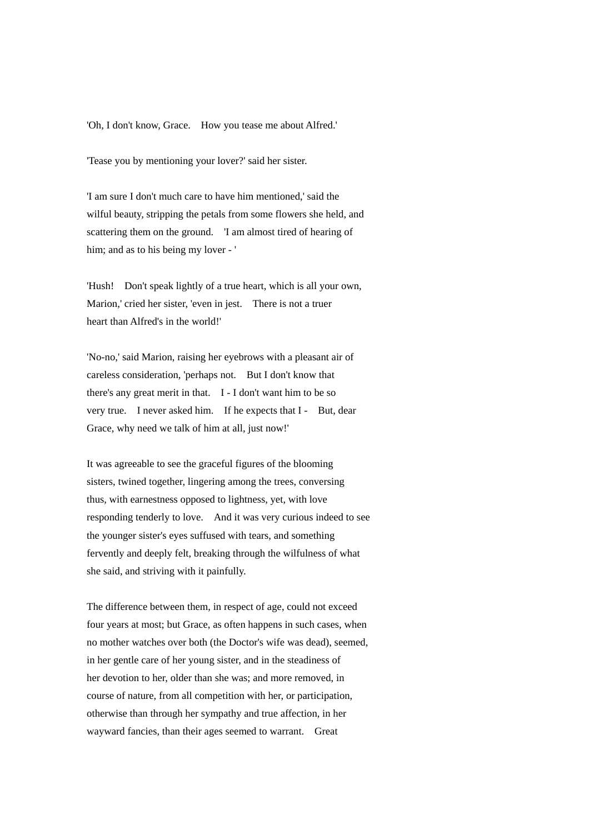'Oh, I don't know, Grace. How you tease me about Alfred.'

'Tease you by mentioning your lover?' said her sister.

'I am sure I don't much care to have him mentioned,' said the wilful beauty, stripping the petals from some flowers she held, and scattering them on the ground. 'I am almost tired of hearing of him; and as to his being my lover - '

'Hush! Don't speak lightly of a true heart, which is all your own, Marion,' cried her sister, 'even in jest. There is not a truer heart than Alfred's in the world!'

'No-no,' said Marion, raising her eyebrows with a pleasant air of careless consideration, 'perhaps not. But I don't know that there's any great merit in that. I - I don't want him to be so very true. I never asked him. If he expects that I - But, dear Grace, why need we talk of him at all, just now!'

It was agreeable to see the graceful figures of the blooming sisters, twined together, lingering among the trees, conversing thus, with earnestness opposed to lightness, yet, with love responding tenderly to love. And it was very curious indeed to see the younger sister's eyes suffused with tears, and something fervently and deeply felt, breaking through the wilfulness of what she said, and striving with it painfully.

The difference between them, in respect of age, could not exceed four years at most; but Grace, as often happens in such cases, when no mother watches over both (the Doctor's wife was dead), seemed, in her gentle care of her young sister, and in the steadiness of her devotion to her, older than she was; and more removed, in course of nature, from all competition with her, or participation, otherwise than through her sympathy and true affection, in her wayward fancies, than their ages seemed to warrant. Great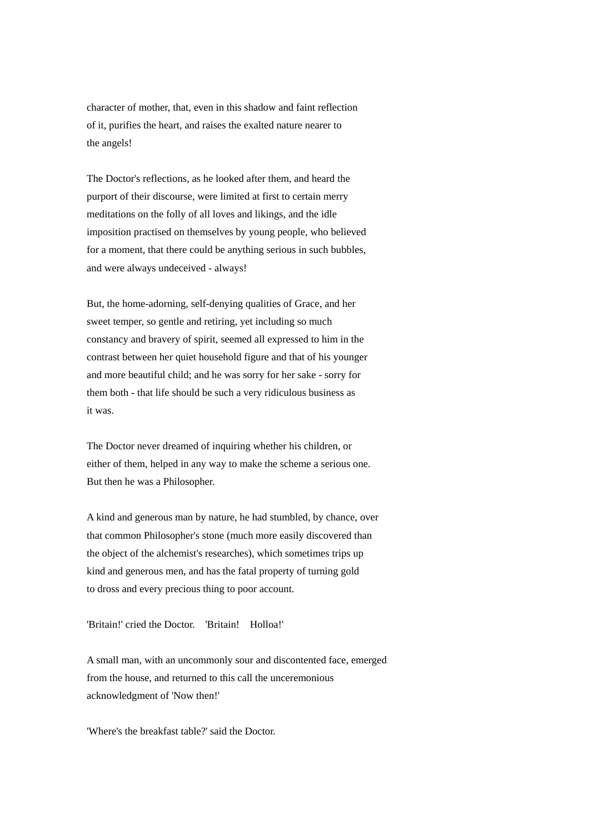character of mother, that, even in this shadow and faint reflection of it, purifies the heart, and raises the exalted nature nearer to the angels!

The Doctor's reflections, as he looked after them, and heard the purport of their discourse, were limited at first to certain merry meditations on the folly of all loves and likings, and the idle imposition practised on themselves by young people, who believed for a moment, that there could be anything serious in such bubbles, and were always undeceived - always!

But, the home-adorning, self-denying qualities of Grace, and her sweet temper, so gentle and retiring, yet including so much constancy and bravery of spirit, seemed all expressed to him in the contrast between her quiet household figure and that of his younger and more beautiful child; and he was sorry for her sake - sorry for them both - that life should be such a very ridiculous business as it was.

The Doctor never dreamed of inquiring whether his children, or either of them, helped in any way to make the scheme a serious one. But then he was a Philosopher.

A kind and generous man by nature, he had stumbled, by chance, over that common Philosopher's stone (much more easily discovered than the object of the alchemist's researches), which sometimes trips up kind and generous men, and has the fatal property of turning gold to dross and every precious thing to poor account.

'Britain!' cried the Doctor. 'Britain! Holloa!'

A small man, with an uncommonly sour and discontented face, emerged from the house, and returned to this call the unceremonious acknowledgment of 'Now then!'

'Where's the breakfast table?' said the Doctor.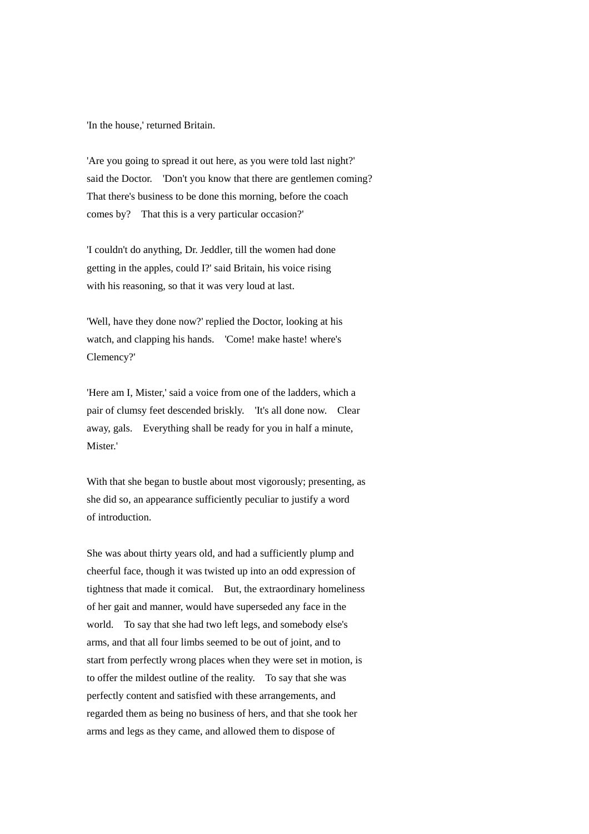'In the house,' returned Britain.

'Are you going to spread it out here, as you were told last night?' said the Doctor. 'Don't you know that there are gentlemen coming? That there's business to be done this morning, before the coach comes by? That this is a very particular occasion?'

'I couldn't do anything, Dr. Jeddler, till the women had done getting in the apples, could I?' said Britain, his voice rising with his reasoning, so that it was very loud at last.

'Well, have they done now?' replied the Doctor, looking at his watch, and clapping his hands. 'Come! make haste! where's Clemency?'

'Here am I, Mister,' said a voice from one of the ladders, which a pair of clumsy feet descended briskly. 'It's all done now. Clear away, gals. Everything shall be ready for you in half a minute, Mister<sup>'</sup>

With that she began to bustle about most vigorously; presenting, as she did so, an appearance sufficiently peculiar to justify a word of introduction.

She was about thirty years old, and had a sufficiently plump and cheerful face, though it was twisted up into an odd expression of tightness that made it comical. But, the extraordinary homeliness of her gait and manner, would have superseded any face in the world. To say that she had two left legs, and somebody else's arms, and that all four limbs seemed to be out of joint, and to start from perfectly wrong places when they were set in motion, is to offer the mildest outline of the reality. To say that she was perfectly content and satisfied with these arrangements, and regarded them as being no business of hers, and that she took her arms and legs as they came, and allowed them to dispose of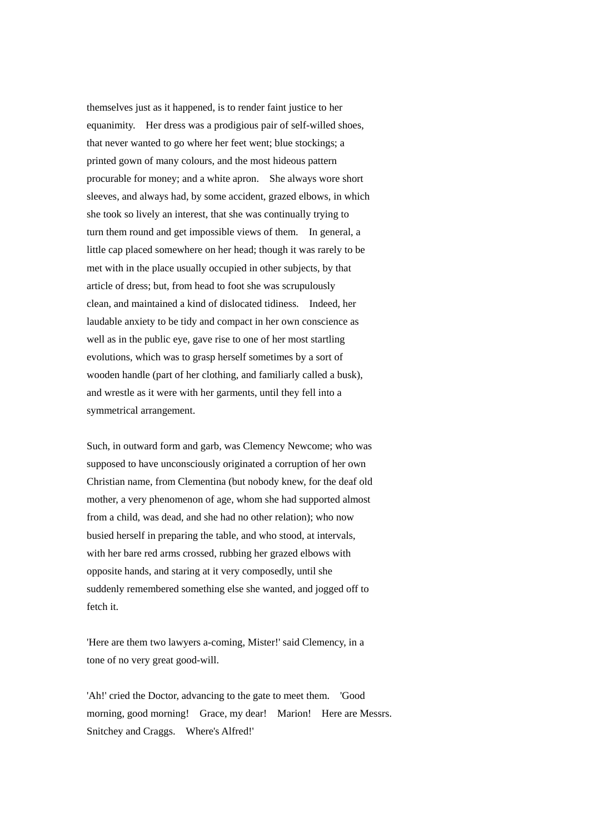themselves just as it happened, is to render faint justice to her equanimity. Her dress was a prodigious pair of self-willed shoes, that never wanted to go where her feet went; blue stockings; a printed gown of many colours, and the most hideous pattern procurable for money; and a white apron. She always wore short sleeves, and always had, by some accident, grazed elbows, in which she took so lively an interest, that she was continually trying to turn them round and get impossible views of them. In general, a little cap placed somewhere on her head; though it was rarely to be met with in the place usually occupied in other subjects, by that article of dress; but, from head to foot she was scrupulously clean, and maintained a kind of dislocated tidiness. Indeed, her laudable anxiety to be tidy and compact in her own conscience as well as in the public eye, gave rise to one of her most startling evolutions, which was to grasp herself sometimes by a sort of wooden handle (part of her clothing, and familiarly called a busk), and wrestle as it were with her garments, until they fell into a symmetrical arrangement.

Such, in outward form and garb, was Clemency Newcome; who was supposed to have unconsciously originated a corruption of her own Christian name, from Clementina (but nobody knew, for the deaf old mother, a very phenomenon of age, whom she had supported almost from a child, was dead, and she had no other relation); who now busied herself in preparing the table, and who stood, at intervals, with her bare red arms crossed, rubbing her grazed elbows with opposite hands, and staring at it very composedly, until she suddenly remembered something else she wanted, and jogged off to fetch it.

'Here are them two lawyers a-coming, Mister!' said Clemency, in a tone of no very great good-will.

'Ah!' cried the Doctor, advancing to the gate to meet them. 'Good morning, good morning! Grace, my dear! Marion! Here are Messrs. Snitchey and Craggs. Where's Alfred!'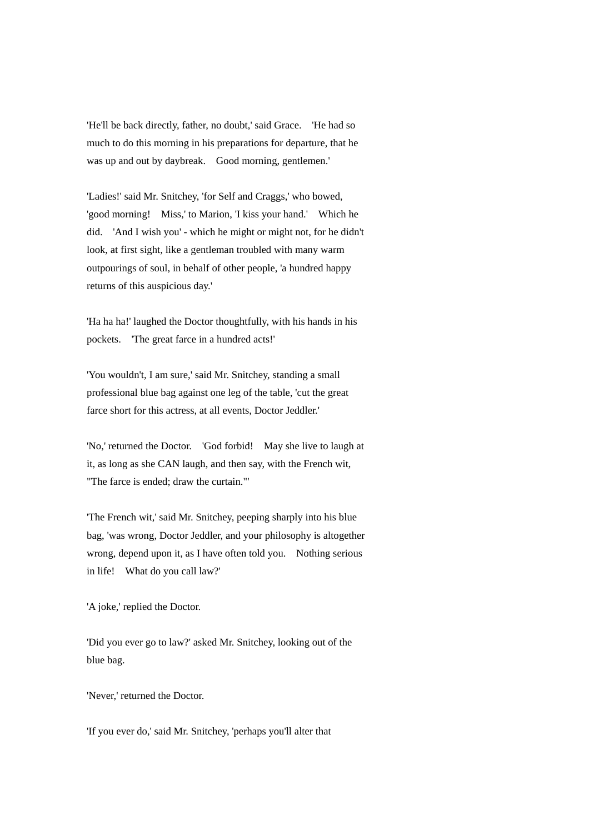'He'll be back directly, father, no doubt,' said Grace. 'He had so much to do this morning in his preparations for departure, that he was up and out by daybreak. Good morning, gentlemen.'

'Ladies!' said Mr. Snitchey, 'for Self and Craggs,' who bowed, 'good morning! Miss,' to Marion, 'I kiss your hand.' Which he did. 'And I wish you' - which he might or might not, for he didn't look, at first sight, like a gentleman troubled with many warm outpourings of soul, in behalf of other people, 'a hundred happy returns of this auspicious day.'

'Ha ha ha!' laughed the Doctor thoughtfully, with his hands in his pockets. 'The great farce in a hundred acts!'

'You wouldn't, I am sure,' said Mr. Snitchey, standing a small professional blue bag against one leg of the table, 'cut the great farce short for this actress, at all events, Doctor Jeddler.'

'No,' returned the Doctor. 'God forbid! May she live to laugh at it, as long as she CAN laugh, and then say, with the French wit, "The farce is ended; draw the curtain."'

'The French wit,' said Mr. Snitchey, peeping sharply into his blue bag, 'was wrong, Doctor Jeddler, and your philosophy is altogether wrong, depend upon it, as I have often told you. Nothing serious in life! What do you call law?'

'A joke,' replied the Doctor.

'Did you ever go to law?' asked Mr. Snitchey, looking out of the blue bag.

'Never,' returned the Doctor.

'If you ever do,' said Mr. Snitchey, 'perhaps you'll alter that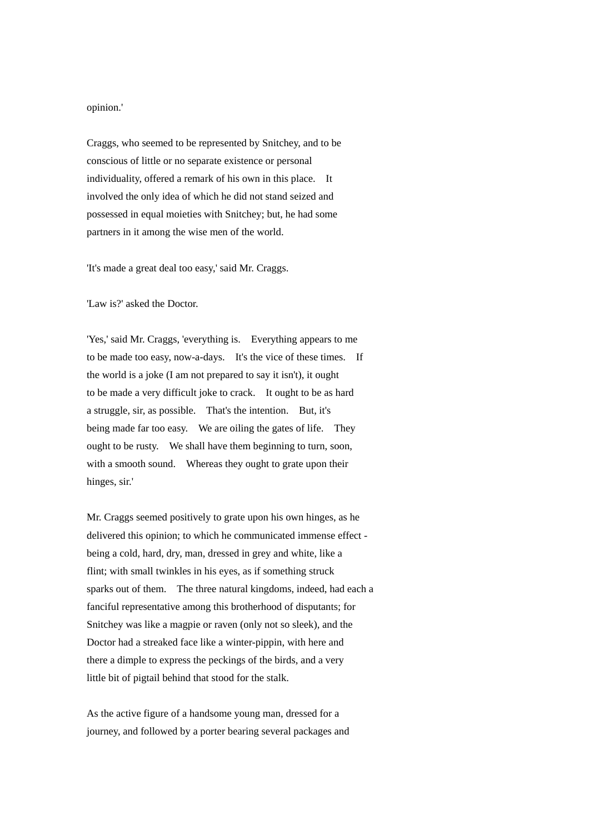opinion.'

Craggs, who seemed to be represented by Snitchey, and to be conscious of little or no separate existence or personal individuality, offered a remark of his own in this place. It involved the only idea of which he did not stand seized and possessed in equal moieties with Snitchey; but, he had some partners in it among the wise men of the world.

'It's made a great deal too easy,' said Mr. Craggs.

'Law is?' asked the Doctor.

'Yes,' said Mr. Craggs, 'everything is. Everything appears to me to be made too easy, now-a-days. It's the vice of these times. If the world is a joke (I am not prepared to say it isn't), it ought to be made a very difficult joke to crack. It ought to be as hard a struggle, sir, as possible. That's the intention. But, it's being made far too easy. We are oiling the gates of life. They ought to be rusty. We shall have them beginning to turn, soon, with a smooth sound. Whereas they ought to grate upon their hinges, sir.'

Mr. Craggs seemed positively to grate upon his own hinges, as he delivered this opinion; to which he communicated immense effect being a cold, hard, dry, man, dressed in grey and white, like a flint; with small twinkles in his eyes, as if something struck sparks out of them. The three natural kingdoms, indeed, had each a fanciful representative among this brotherhood of disputants; for Snitchey was like a magpie or raven (only not so sleek), and the Doctor had a streaked face like a winter-pippin, with here and there a dimple to express the peckings of the birds, and a very little bit of pigtail behind that stood for the stalk.

As the active figure of a handsome young man, dressed for a journey, and followed by a porter bearing several packages and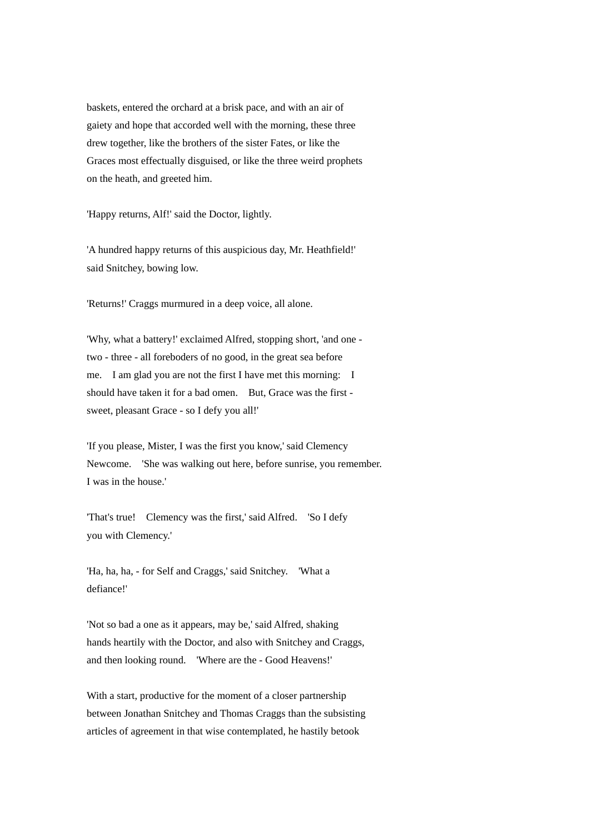baskets, entered the orchard at a brisk pace, and with an air of gaiety and hope that accorded well with the morning, these three drew together, like the brothers of the sister Fates, or like the Graces most effectually disguised, or like the three weird prophets on the heath, and greeted him.

'Happy returns, Alf!' said the Doctor, lightly.

'A hundred happy returns of this auspicious day, Mr. Heathfield!' said Snitchey, bowing low.

'Returns!' Craggs murmured in a deep voice, all alone.

'Why, what a battery!' exclaimed Alfred, stopping short, 'and one two - three - all foreboders of no good, in the great sea before me. I am glad you are not the first I have met this morning: I should have taken it for a bad omen. But, Grace was the first sweet, pleasant Grace - so I defy you all!'

'If you please, Mister, I was the first you know,' said Clemency Newcome. 'She was walking out here, before sunrise, you remember. I was in the house.'

'That's true! Clemency was the first,' said Alfred. 'So I defy you with Clemency.'

'Ha, ha, ha, - for Self and Craggs,' said Snitchey. 'What a defiance!'

'Not so bad a one as it appears, may be,' said Alfred, shaking hands heartily with the Doctor, and also with Snitchey and Craggs, and then looking round. 'Where are the - Good Heavens!'

With a start, productive for the moment of a closer partnership between Jonathan Snitchey and Thomas Craggs than the subsisting articles of agreement in that wise contemplated, he hastily betook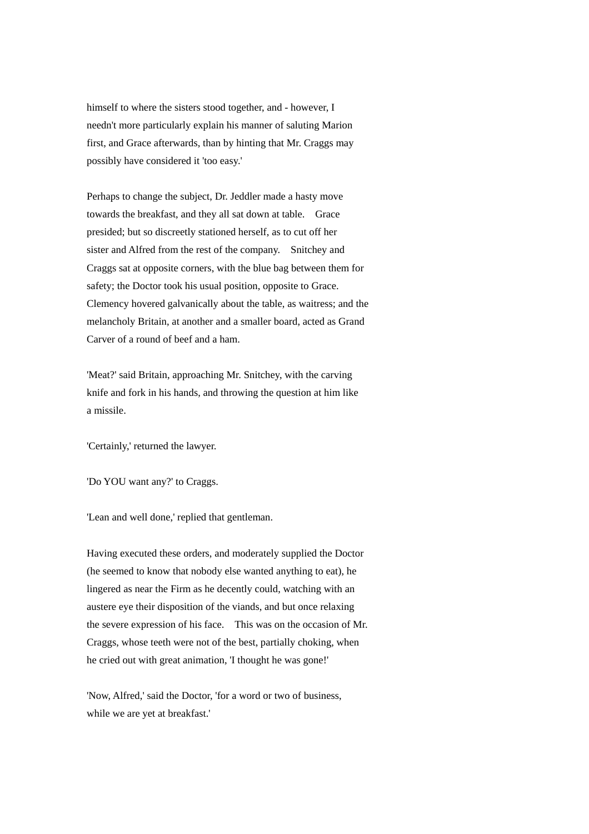himself to where the sisters stood together, and - however, I needn't more particularly explain his manner of saluting Marion first, and Grace afterwards, than by hinting that Mr. Craggs may possibly have considered it 'too easy.'

Perhaps to change the subject, Dr. Jeddler made a hasty move towards the breakfast, and they all sat down at table. Grace presided; but so discreetly stationed herself, as to cut off her sister and Alfred from the rest of the company. Snitchey and Craggs sat at opposite corners, with the blue bag between them for safety; the Doctor took his usual position, opposite to Grace. Clemency hovered galvanically about the table, as waitress; and the melancholy Britain, at another and a smaller board, acted as Grand Carver of a round of beef and a ham.

'Meat?' said Britain, approaching Mr. Snitchey, with the carving knife and fork in his hands, and throwing the question at him like a missile.

'Certainly,' returned the lawyer.

'Do YOU want any?' to Craggs.

'Lean and well done,' replied that gentleman.

Having executed these orders, and moderately supplied the Doctor (he seemed to know that nobody else wanted anything to eat), he lingered as near the Firm as he decently could, watching with an austere eye their disposition of the viands, and but once relaxing the severe expression of his face. This was on the occasion of Mr. Craggs, whose teeth were not of the best, partially choking, when he cried out with great animation, 'I thought he was gone!'

'Now, Alfred,' said the Doctor, 'for a word or two of business, while we are yet at breakfast.'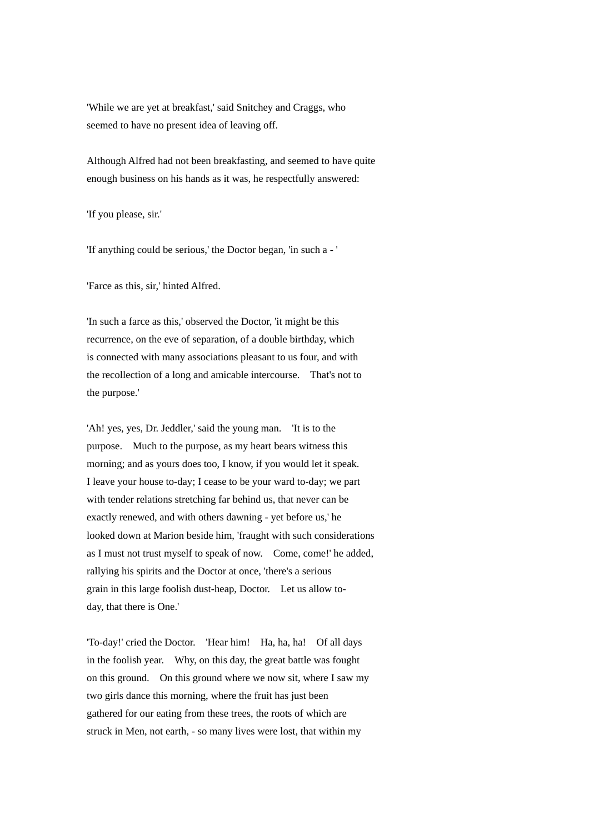'While we are yet at breakfast,' said Snitchey and Craggs, who seemed to have no present idea of leaving off.

Although Alfred had not been breakfasting, and seemed to have quite enough business on his hands as it was, he respectfully answered:

'If you please, sir.'

'If anything could be serious,' the Doctor began, 'in such a - '

'Farce as this, sir,' hinted Alfred.

'In such a farce as this,' observed the Doctor, 'it might be this recurrence, on the eve of separation, of a double birthday, which is connected with many associations pleasant to us four, and with the recollection of a long and amicable intercourse. That's not to the purpose.'

'Ah! yes, yes, Dr. Jeddler,' said the young man. 'It is to the purpose. Much to the purpose, as my heart bears witness this morning; and as yours does too, I know, if you would let it speak. I leave your house to-day; I cease to be your ward to-day; we part with tender relations stretching far behind us, that never can be exactly renewed, and with others dawning - yet before us,' he looked down at Marion beside him, 'fraught with such considerations as I must not trust myself to speak of now. Come, come!' he added, rallying his spirits and the Doctor at once, 'there's a serious grain in this large foolish dust-heap, Doctor. Let us allow today, that there is One.'

'To-day!' cried the Doctor. 'Hear him! Ha, ha, ha! Of all days in the foolish year. Why, on this day, the great battle was fought on this ground. On this ground where we now sit, where I saw my two girls dance this morning, where the fruit has just been gathered for our eating from these trees, the roots of which are struck in Men, not earth, - so many lives were lost, that within my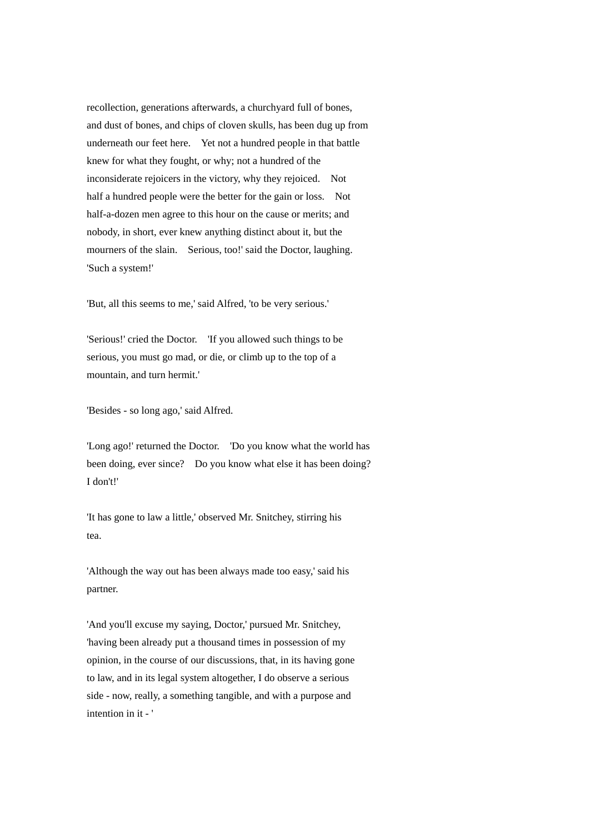recollection, generations afterwards, a churchyard full of bones, and dust of bones, and chips of cloven skulls, has been dug up from underneath our feet here. Yet not a hundred people in that battle knew for what they fought, or why; not a hundred of the inconsiderate rejoicers in the victory, why they rejoiced. Not half a hundred people were the better for the gain or loss. Not half-a-dozen men agree to this hour on the cause or merits; and nobody, in short, ever knew anything distinct about it, but the mourners of the slain. Serious, too!' said the Doctor, laughing. 'Such a system!'

'But, all this seems to me,' said Alfred, 'to be very serious.'

'Serious!' cried the Doctor. 'If you allowed such things to be serious, you must go mad, or die, or climb up to the top of a mountain, and turn hermit.'

'Besides - so long ago,' said Alfred.

'Long ago!' returned the Doctor. 'Do you know what the world has been doing, ever since? Do you know what else it has been doing? I don't!'

'It has gone to law a little,' observed Mr. Snitchey, stirring his tea.

'Although the way out has been always made too easy,' said his partner.

'And you'll excuse my saying, Doctor,' pursued Mr. Snitchey, 'having been already put a thousand times in possession of my opinion, in the course of our discussions, that, in its having gone to law, and in its legal system altogether, I do observe a serious side - now, really, a something tangible, and with a purpose and intention in it - '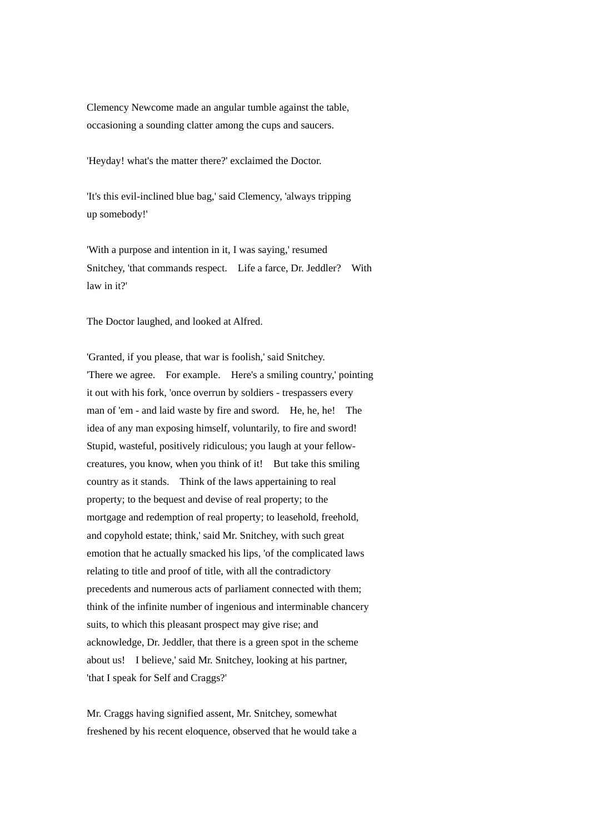Clemency Newcome made an angular tumble against the table, occasioning a sounding clatter among the cups and saucers.

'Heyday! what's the matter there?' exclaimed the Doctor.

'It's this evil-inclined blue bag,' said Clemency, 'always tripping up somebody!'

'With a purpose and intention in it, I was saying,' resumed Snitchey, 'that commands respect. Life a farce, Dr. Jeddler? With law in it?'

The Doctor laughed, and looked at Alfred.

'Granted, if you please, that war is foolish,' said Snitchey. 'There we agree. For example. Here's a smiling country,' pointing it out with his fork, 'once overrun by soldiers - trespassers every man of 'em - and laid waste by fire and sword. He, he, he! The idea of any man exposing himself, voluntarily, to fire and sword! Stupid, wasteful, positively ridiculous; you laugh at your fellowcreatures, you know, when you think of it! But take this smiling country as it stands. Think of the laws appertaining to real property; to the bequest and devise of real property; to the mortgage and redemption of real property; to leasehold, freehold, and copyhold estate; think,' said Mr. Snitchey, with such great emotion that he actually smacked his lips, 'of the complicated laws relating to title and proof of title, with all the contradictory precedents and numerous acts of parliament connected with them; think of the infinite number of ingenious and interminable chancery suits, to which this pleasant prospect may give rise; and acknowledge, Dr. Jeddler, that there is a green spot in the scheme about us! I believe,' said Mr. Snitchey, looking at his partner, 'that I speak for Self and Craggs?'

Mr. Craggs having signified assent, Mr. Snitchey, somewhat freshened by his recent eloquence, observed that he would take a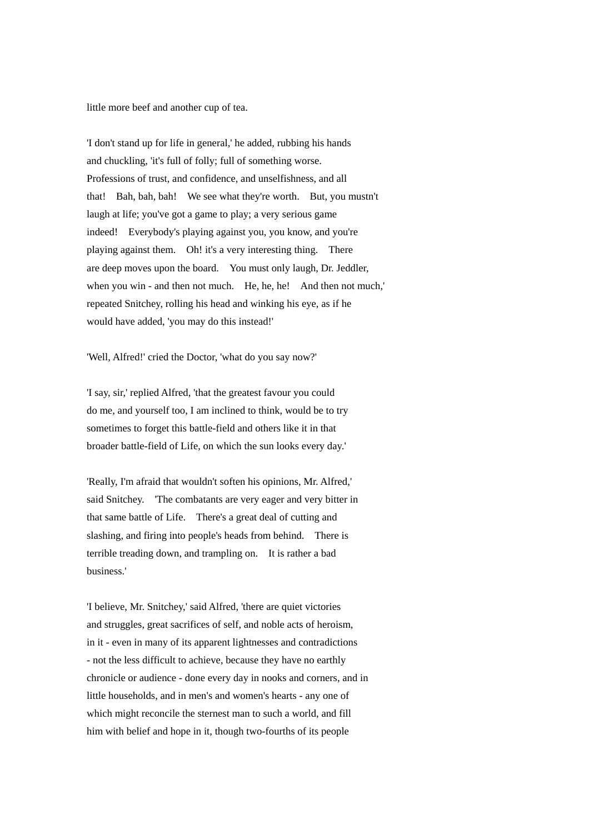little more beef and another cup of tea.

'I don't stand up for life in general,' he added, rubbing his hands and chuckling, 'it's full of folly; full of something worse. Professions of trust, and confidence, and unselfishness, and all that! Bah, bah, bah! We see what they're worth. But, you mustn't laugh at life; you've got a game to play; a very serious game indeed! Everybody's playing against you, you know, and you're playing against them. Oh! it's a very interesting thing. There are deep moves upon the board. You must only laugh, Dr. Jeddler, when you win - and then not much. He, he, he! And then not much,' repeated Snitchey, rolling his head and winking his eye, as if he would have added, 'you may do this instead!'

'Well, Alfred!' cried the Doctor, 'what do you say now?'

'I say, sir,' replied Alfred, 'that the greatest favour you could do me, and yourself too, I am inclined to think, would be to try sometimes to forget this battle-field and others like it in that broader battle-field of Life, on which the sun looks every day.'

'Really, I'm afraid that wouldn't soften his opinions, Mr. Alfred,' said Snitchey. 'The combatants are very eager and very bitter in that same battle of Life. There's a great deal of cutting and slashing, and firing into people's heads from behind. There is terrible treading down, and trampling on. It is rather a bad business.'

'I believe, Mr. Snitchey,' said Alfred, 'there are quiet victories and struggles, great sacrifices of self, and noble acts of heroism, in it - even in many of its apparent lightnesses and contradictions - not the less difficult to achieve, because they have no earthly chronicle or audience - done every day in nooks and corners, and in little households, and in men's and women's hearts - any one of which might reconcile the sternest man to such a world, and fill him with belief and hope in it, though two-fourths of its people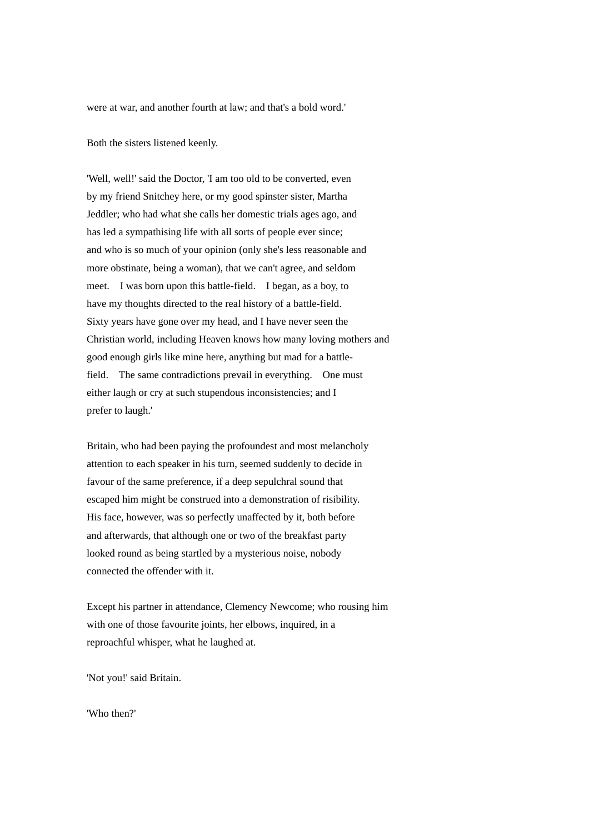were at war, and another fourth at law; and that's a bold word.'

Both the sisters listened keenly.

'Well, well!' said the Doctor, 'I am too old to be converted, even by my friend Snitchey here, or my good spinster sister, Martha Jeddler; who had what she calls her domestic trials ages ago, and has led a sympathising life with all sorts of people ever since; and who is so much of your opinion (only she's less reasonable and more obstinate, being a woman), that we can't agree, and seldom meet. I was born upon this battle-field. I began, as a boy, to have my thoughts directed to the real history of a battle-field. Sixty years have gone over my head, and I have never seen the Christian world, including Heaven knows how many loving mothers and good enough girls like mine here, anything but mad for a battlefield. The same contradictions prevail in everything. One must either laugh or cry at such stupendous inconsistencies; and I prefer to laugh.'

Britain, who had been paying the profoundest and most melancholy attention to each speaker in his turn, seemed suddenly to decide in favour of the same preference, if a deep sepulchral sound that escaped him might be construed into a demonstration of risibility. His face, however, was so perfectly unaffected by it, both before and afterwards, that although one or two of the breakfast party looked round as being startled by a mysterious noise, nobody connected the offender with it.

Except his partner in attendance, Clemency Newcome; who rousing him with one of those favourite joints, her elbows, inquired, in a reproachful whisper, what he laughed at.

'Not you!' said Britain.

'Who then?'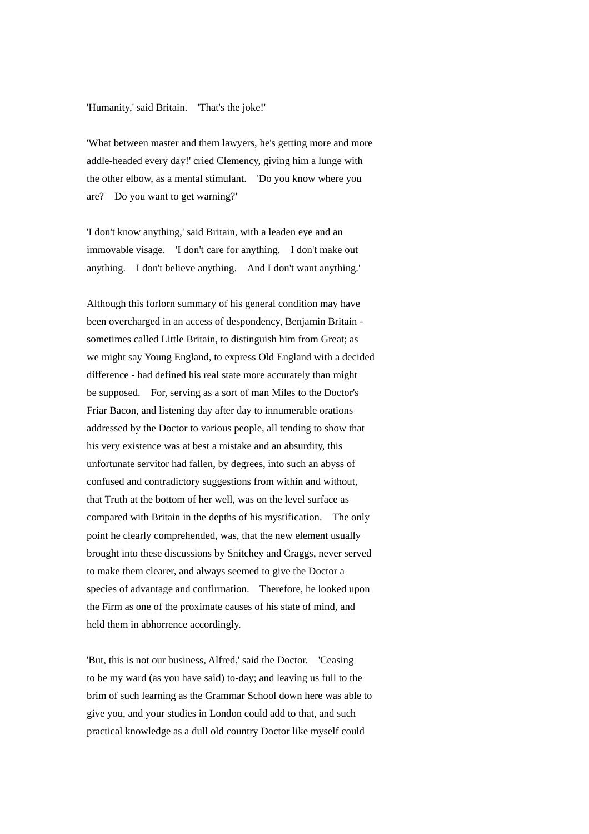## 'Humanity,' said Britain. 'That's the joke!'

'What between master and them lawyers, he's getting more and more addle-headed every day!' cried Clemency, giving him a lunge with the other elbow, as a mental stimulant. 'Do you know where you are? Do you want to get warning?'

'I don't know anything,' said Britain, with a leaden eye and an immovable visage. 'I don't care for anything. I don't make out anything. I don't believe anything. And I don't want anything.'

Although this forlorn summary of his general condition may have been overcharged in an access of despondency, Benjamin Britain sometimes called Little Britain, to distinguish him from Great; as we might say Young England, to express Old England with a decided difference - had defined his real state more accurately than might be supposed. For, serving as a sort of man Miles to the Doctor's Friar Bacon, and listening day after day to innumerable orations addressed by the Doctor to various people, all tending to show that his very existence was at best a mistake and an absurdity, this unfortunate servitor had fallen, by degrees, into such an abyss of confused and contradictory suggestions from within and without, that Truth at the bottom of her well, was on the level surface as compared with Britain in the depths of his mystification. The only point he clearly comprehended, was, that the new element usually brought into these discussions by Snitchey and Craggs, never served to make them clearer, and always seemed to give the Doctor a species of advantage and confirmation. Therefore, he looked upon the Firm as one of the proximate causes of his state of mind, and held them in abhorrence accordingly.

'But, this is not our business, Alfred,' said the Doctor. 'Ceasing to be my ward (as you have said) to-day; and leaving us full to the brim of such learning as the Grammar School down here was able to give you, and your studies in London could add to that, and such practical knowledge as a dull old country Doctor like myself could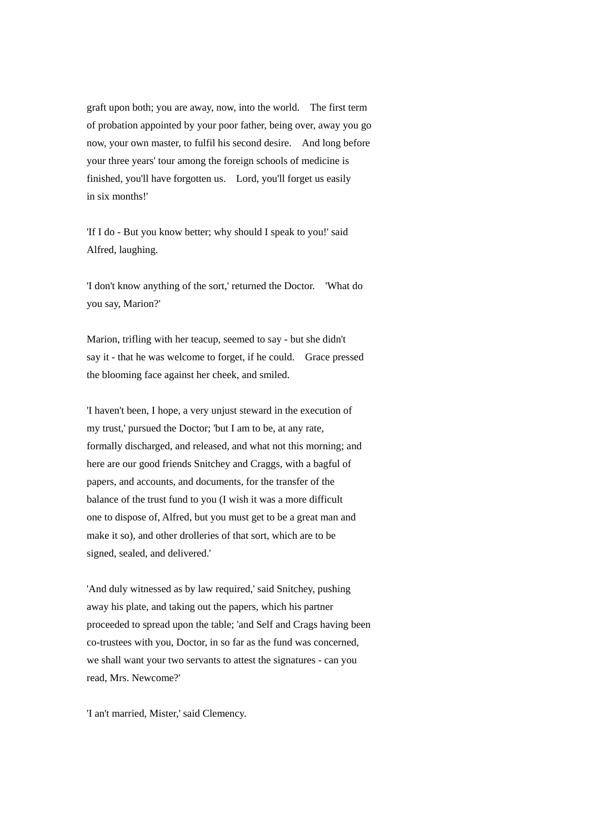graft upon both; you are away, now, into the world. The first term of probation appointed by your poor father, being over, away you go now, your own master, to fulfil his second desire. And long before your three years' tour among the foreign schools of medicine is finished, you'll have forgotten us. Lord, you'll forget us easily in six months!'

'If I do - But you know better; why should I speak to you!' said Alfred, laughing.

'I don't know anything of the sort,' returned the Doctor. 'What do you say, Marion?'

Marion, trifling with her teacup, seemed to say - but she didn't say it - that he was welcome to forget, if he could. Grace pressed the blooming face against her cheek, and smiled.

'I haven't been, I hope, a very unjust steward in the execution of my trust,' pursued the Doctor; 'but I am to be, at any rate, formally discharged, and released, and what not this morning; and here are our good friends Snitchey and Craggs, with a bagful of papers, and accounts, and documents, for the transfer of the balance of the trust fund to you (I wish it was a more difficult one to dispose of, Alfred, but you must get to be a great man and make it so), and other drolleries of that sort, which are to be signed, sealed, and delivered.'

'And duly witnessed as by law required,' said Snitchey, pushing away his plate, and taking out the papers, which his partner proceeded to spread upon the table; 'and Self and Crags having been co-trustees with you, Doctor, in so far as the fund was concerned, we shall want your two servants to attest the signatures - can you read, Mrs. Newcome?'

'I an't married, Mister,' said Clemency.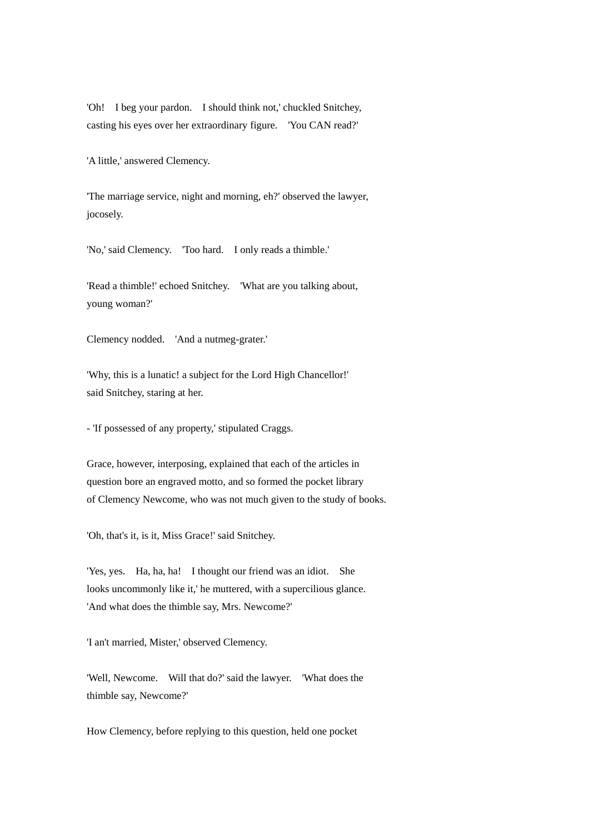'Oh! I beg your pardon. I should think not,' chuckled Snitchey, casting his eyes over her extraordinary figure. 'You CAN read?'

'A little,' answered Clemency.

'The marriage service, night and morning, eh?' observed the lawyer, jocosely.

'No,' said Clemency. 'Too hard. I only reads a thimble.'

'Read a thimble!' echoed Snitchey. 'What are you talking about, young woman?'

Clemency nodded. 'And a nutmeg-grater.'

'Why, this is a lunatic! a subject for the Lord High Chancellor!' said Snitchey, staring at her.

- 'If possessed of any property,' stipulated Craggs.

Grace, however, interposing, explained that each of the articles in question bore an engraved motto, and so formed the pocket library of Clemency Newcome, who was not much given to the study of books.

'Oh, that's it, is it, Miss Grace!' said Snitchey.

'Yes, yes. Ha, ha, ha! I thought our friend was an idiot. She looks uncommonly like it,' he muttered, with a supercilious glance. 'And what does the thimble say, Mrs. Newcome?'

'I an't married, Mister,' observed Clemency.

'Well, Newcome. Will that do?' said the lawyer. 'What does the thimble say, Newcome?'

How Clemency, before replying to this question, held one pocket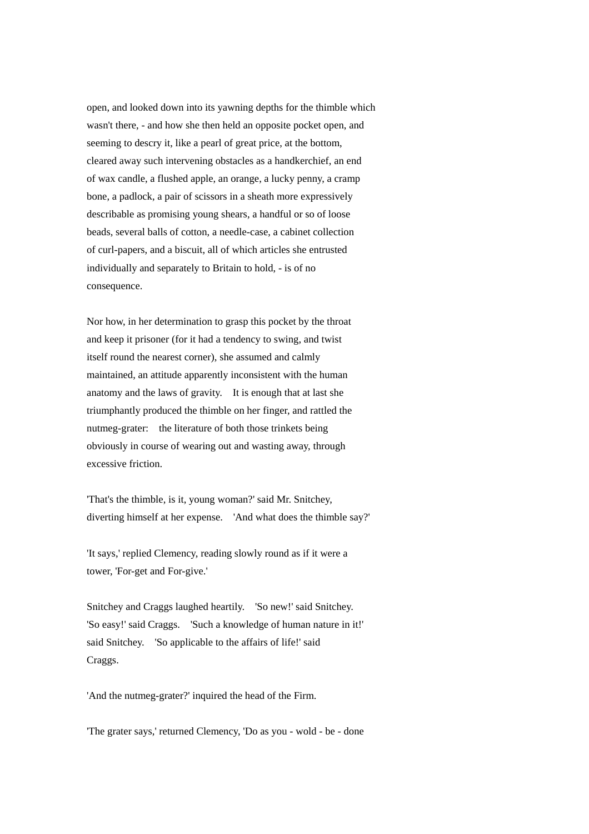open, and looked down into its yawning depths for the thimble which wasn't there, - and how she then held an opposite pocket open, and seeming to descry it, like a pearl of great price, at the bottom, cleared away such intervening obstacles as a handkerchief, an end of wax candle, a flushed apple, an orange, a lucky penny, a cramp bone, a padlock, a pair of scissors in a sheath more expressively describable as promising young shears, a handful or so of loose beads, several balls of cotton, a needle-case, a cabinet collection of curl-papers, and a biscuit, all of which articles she entrusted individually and separately to Britain to hold, - is of no consequence.

Nor how, in her determination to grasp this pocket by the throat and keep it prisoner (for it had a tendency to swing, and twist itself round the nearest corner), she assumed and calmly maintained, an attitude apparently inconsistent with the human anatomy and the laws of gravity. It is enough that at last she triumphantly produced the thimble on her finger, and rattled the nutmeg-grater: the literature of both those trinkets being obviously in course of wearing out and wasting away, through excessive friction.

'That's the thimble, is it, young woman?' said Mr. Snitchey, diverting himself at her expense. 'And what does the thimble say?'

'It says,' replied Clemency, reading slowly round as if it were a tower, 'For-get and For-give.'

Snitchey and Craggs laughed heartily. 'So new!' said Snitchey. 'So easy!' said Craggs. 'Such a knowledge of human nature in it!' said Snitchey. 'So applicable to the affairs of life!' said Craggs.

'And the nutmeg-grater?' inquired the head of the Firm.

'The grater says,' returned Clemency, 'Do as you - wold - be - done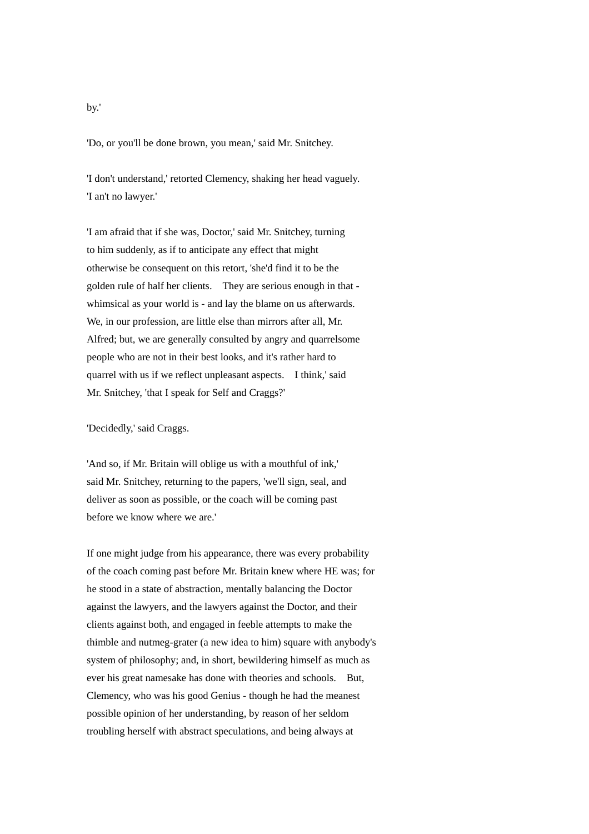'Do, or you'll be done brown, you mean,' said Mr. Snitchey.

'I don't understand,' retorted Clemency, shaking her head vaguely. 'I an't no lawyer.'

'I am afraid that if she was, Doctor,' said Mr. Snitchey, turning to him suddenly, as if to anticipate any effect that might otherwise be consequent on this retort, 'she'd find it to be the golden rule of half her clients. They are serious enough in that whimsical as your world is - and lay the blame on us afterwards. We, in our profession, are little else than mirrors after all, Mr. Alfred; but, we are generally consulted by angry and quarrelsome people who are not in their best looks, and it's rather hard to quarrel with us if we reflect unpleasant aspects. I think,' said Mr. Snitchey, 'that I speak for Self and Craggs?'

'Decidedly,' said Craggs.

'And so, if Mr. Britain will oblige us with a mouthful of ink,' said Mr. Snitchey, returning to the papers, 'we'll sign, seal, and deliver as soon as possible, or the coach will be coming past before we know where we are.'

If one might judge from his appearance, there was every probability of the coach coming past before Mr. Britain knew where HE was; for he stood in a state of abstraction, mentally balancing the Doctor against the lawyers, and the lawyers against the Doctor, and their clients against both, and engaged in feeble attempts to make the thimble and nutmeg-grater (a new idea to him) square with anybody's system of philosophy; and, in short, bewildering himself as much as ever his great namesake has done with theories and schools. But, Clemency, who was his good Genius - though he had the meanest possible opinion of her understanding, by reason of her seldom troubling herself with abstract speculations, and being always at

by.'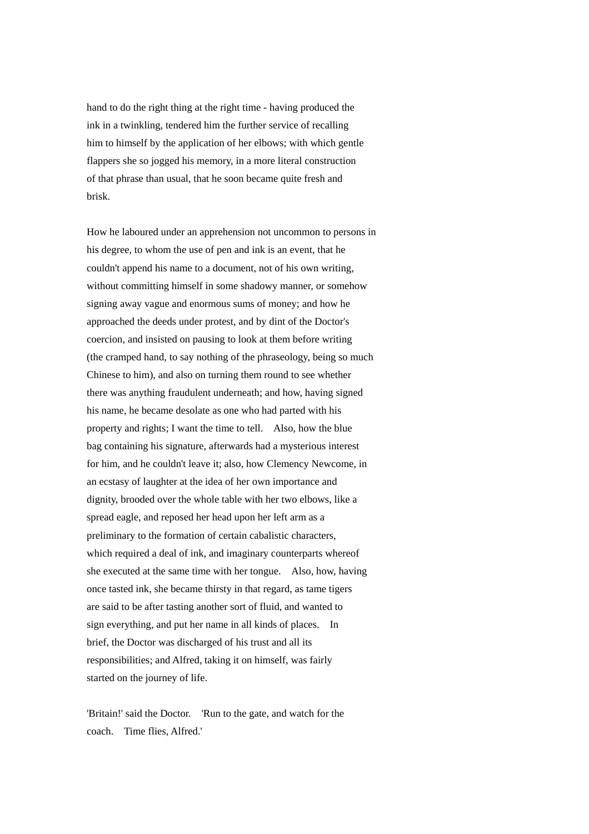hand to do the right thing at the right time - having produced the ink in a twinkling, tendered him the further service of recalling him to himself by the application of her elbows; with which gentle flappers she so jogged his memory, in a more literal construction of that phrase than usual, that he soon became quite fresh and brisk.

How he laboured under an apprehension not uncommon to persons in his degree, to whom the use of pen and ink is an event, that he couldn't append his name to a document, not of his own writing, without committing himself in some shadowy manner, or somehow signing away vague and enormous sums of money; and how he approached the deeds under protest, and by dint of the Doctor's coercion, and insisted on pausing to look at them before writing (the cramped hand, to say nothing of the phraseology, being so much Chinese to him), and also on turning them round to see whether there was anything fraudulent underneath; and how, having signed his name, he became desolate as one who had parted with his property and rights; I want the time to tell. Also, how the blue bag containing his signature, afterwards had a mysterious interest for him, and he couldn't leave it; also, how Clemency Newcome, in an ecstasy of laughter at the idea of her own importance and dignity, brooded over the whole table with her two elbows, like a spread eagle, and reposed her head upon her left arm as a preliminary to the formation of certain cabalistic characters, which required a deal of ink, and imaginary counterparts whereof she executed at the same time with her tongue. Also, how, having once tasted ink, she became thirsty in that regard, as tame tigers are said to be after tasting another sort of fluid, and wanted to sign everything, and put her name in all kinds of places. In brief, the Doctor was discharged of his trust and all its responsibilities; and Alfred, taking it on himself, was fairly started on the journey of life.

'Britain!' said the Doctor. 'Run to the gate, and watch for the coach. Time flies, Alfred.'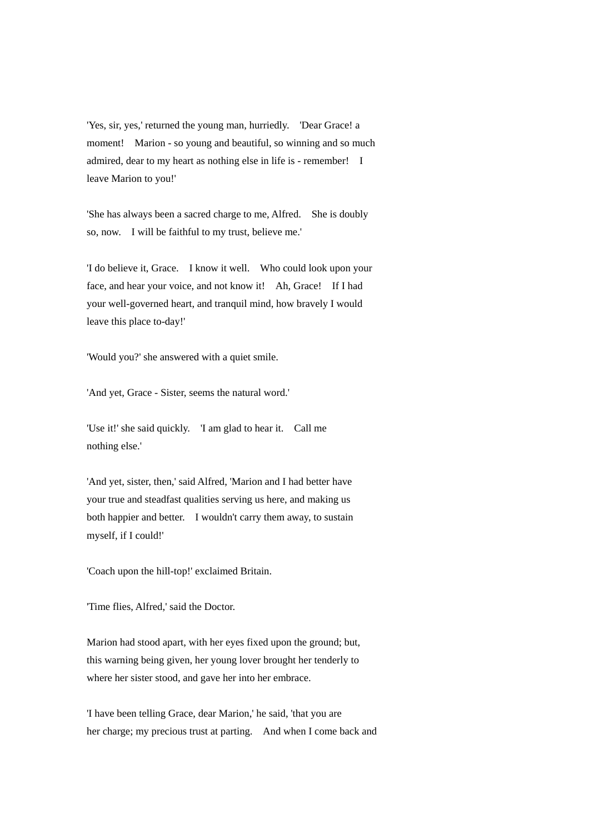'Yes, sir, yes,' returned the young man, hurriedly. 'Dear Grace! a moment! Marion - so young and beautiful, so winning and so much admired, dear to my heart as nothing else in life is - remember! I leave Marion to you!'

'She has always been a sacred charge to me, Alfred. She is doubly so, now. I will be faithful to my trust, believe me.'

'I do believe it, Grace. I know it well. Who could look upon your face, and hear your voice, and not know it! Ah, Grace! If I had your well-governed heart, and tranquil mind, how bravely I would leave this place to-day!'

'Would you?' she answered with a quiet smile.

'And yet, Grace - Sister, seems the natural word.'

'Use it!' she said quickly. 'I am glad to hear it. Call me nothing else.'

'And yet, sister, then,' said Alfred, 'Marion and I had better have your true and steadfast qualities serving us here, and making us both happier and better. I wouldn't carry them away, to sustain myself, if I could!'

'Coach upon the hill-top!' exclaimed Britain.

'Time flies, Alfred,' said the Doctor.

Marion had stood apart, with her eyes fixed upon the ground; but, this warning being given, her young lover brought her tenderly to where her sister stood, and gave her into her embrace.

'I have been telling Grace, dear Marion,' he said, 'that you are her charge; my precious trust at parting. And when I come back and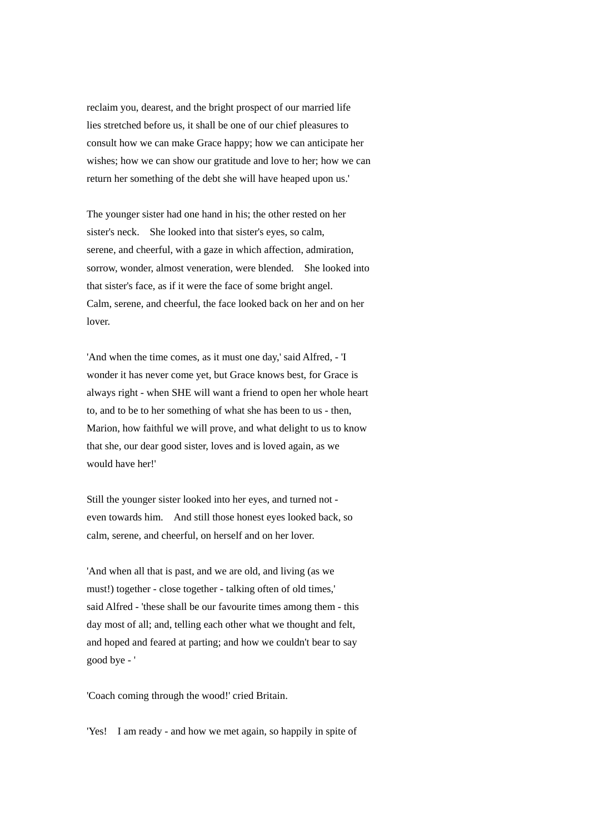reclaim you, dearest, and the bright prospect of our married life lies stretched before us, it shall be one of our chief pleasures to consult how we can make Grace happy; how we can anticipate her wishes; how we can show our gratitude and love to her; how we can return her something of the debt she will have heaped upon us.'

The younger sister had one hand in his; the other rested on her sister's neck. She looked into that sister's eyes, so calm, serene, and cheerful, with a gaze in which affection, admiration, sorrow, wonder, almost veneration, were blended. She looked into that sister's face, as if it were the face of some bright angel. Calm, serene, and cheerful, the face looked back on her and on her lover.

'And when the time comes, as it must one day,' said Alfred, - 'I wonder it has never come yet, but Grace knows best, for Grace is always right - when SHE will want a friend to open her whole heart to, and to be to her something of what she has been to us - then, Marion, how faithful we will prove, and what delight to us to know that she, our dear good sister, loves and is loved again, as we would have her!'

Still the younger sister looked into her eyes, and turned not even towards him. And still those honest eyes looked back, so calm, serene, and cheerful, on herself and on her lover.

'And when all that is past, and we are old, and living (as we must!) together - close together - talking often of old times,' said Alfred - 'these shall be our favourite times among them - this day most of all; and, telling each other what we thought and felt, and hoped and feared at parting; and how we couldn't bear to say good bye - '

'Coach coming through the wood!' cried Britain.

'Yes! I am ready - and how we met again, so happily in spite of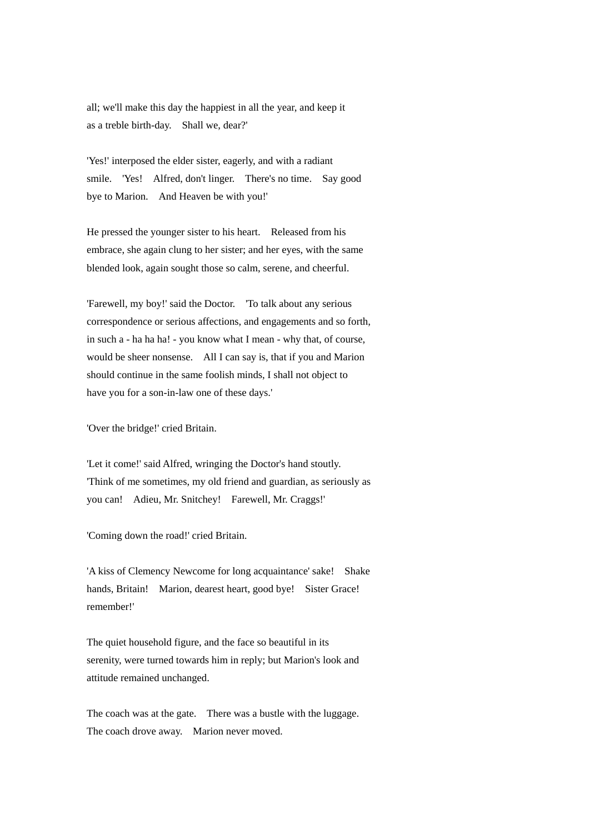all; we'll make this day the happiest in all the year, and keep it as a treble birth-day. Shall we, dear?'

'Yes!' interposed the elder sister, eagerly, and with a radiant smile. 'Yes! Alfred, don't linger. There's no time. Say good bye to Marion. And Heaven be with you!'

He pressed the younger sister to his heart. Released from his embrace, she again clung to her sister; and her eyes, with the same blended look, again sought those so calm, serene, and cheerful.

'Farewell, my boy!' said the Doctor. 'To talk about any serious correspondence or serious affections, and engagements and so forth, in such a - ha ha ha! - you know what I mean - why that, of course, would be sheer nonsense. All I can say is, that if you and Marion should continue in the same foolish minds, I shall not object to have you for a son-in-law one of these days.'

'Over the bridge!' cried Britain.

'Let it come!' said Alfred, wringing the Doctor's hand stoutly. 'Think of me sometimes, my old friend and guardian, as seriously as you can! Adieu, Mr. Snitchey! Farewell, Mr. Craggs!'

'Coming down the road!' cried Britain.

'A kiss of Clemency Newcome for long acquaintance' sake! Shake hands, Britain! Marion, dearest heart, good bye! Sister Grace! remember!'

The quiet household figure, and the face so beautiful in its serenity, were turned towards him in reply; but Marion's look and attitude remained unchanged.

The coach was at the gate. There was a bustle with the luggage. The coach drove away. Marion never moved.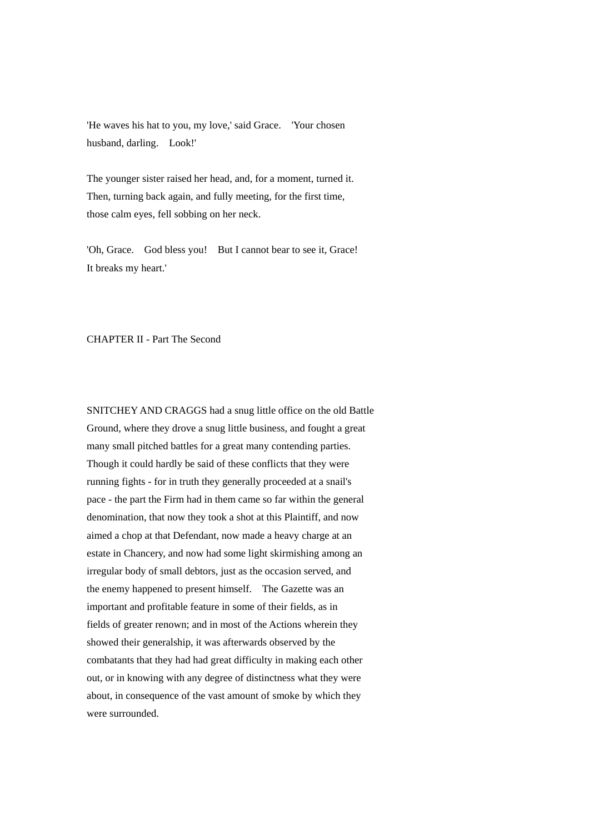'He waves his hat to you, my love,' said Grace. 'Your chosen husband, darling. Look!'

The younger sister raised her head, and, for a moment, turned it. Then, turning back again, and fully meeting, for the first time, those calm eyes, fell sobbing on her neck.

'Oh, Grace. God bless you! But I cannot bear to see it, Grace! It breaks my heart.'

## CHAPTER II - Part The Second

SNITCHEY AND CRAGGS had a snug little office on the old Battle Ground, where they drove a snug little business, and fought a great many small pitched battles for a great many contending parties. Though it could hardly be said of these conflicts that they were running fights - for in truth they generally proceeded at a snail's pace - the part the Firm had in them came so far within the general denomination, that now they took a shot at this Plaintiff, and now aimed a chop at that Defendant, now made a heavy charge at an estate in Chancery, and now had some light skirmishing among an irregular body of small debtors, just as the occasion served, and the enemy happened to present himself. The Gazette was an important and profitable feature in some of their fields, as in fields of greater renown; and in most of the Actions wherein they showed their generalship, it was afterwards observed by the combatants that they had had great difficulty in making each other out, or in knowing with any degree of distinctness what they were about, in consequence of the vast amount of smoke by which they were surrounded.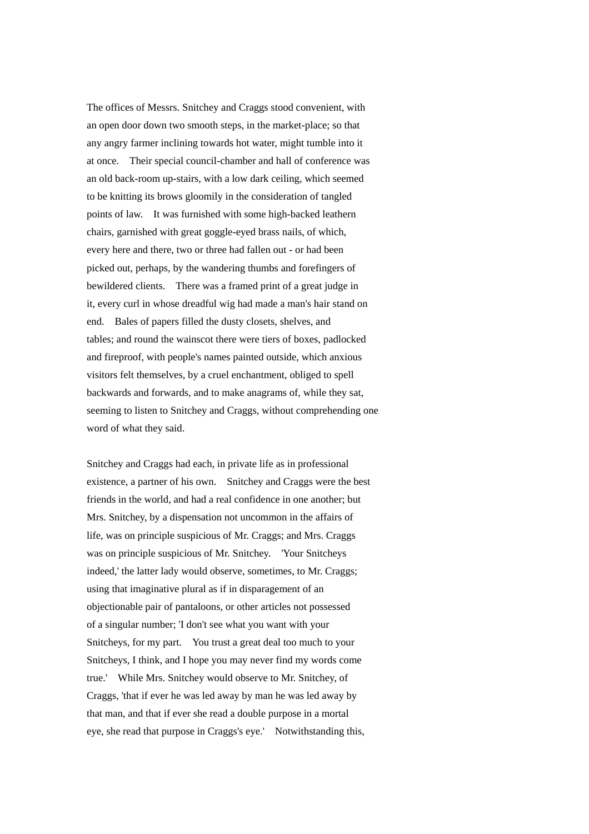The offices of Messrs. Snitchey and Craggs stood convenient, with an open door down two smooth steps, in the market-place; so that any angry farmer inclining towards hot water, might tumble into it at once. Their special council-chamber and hall of conference was an old back-room up-stairs, with a low dark ceiling, which seemed to be knitting its brows gloomily in the consideration of tangled points of law. It was furnished with some high-backed leathern chairs, garnished with great goggle-eyed brass nails, of which, every here and there, two or three had fallen out - or had been picked out, perhaps, by the wandering thumbs and forefingers of bewildered clients. There was a framed print of a great judge in it, every curl in whose dreadful wig had made a man's hair stand on end. Bales of papers filled the dusty closets, shelves, and tables; and round the wainscot there were tiers of boxes, padlocked and fireproof, with people's names painted outside, which anxious visitors felt themselves, by a cruel enchantment, obliged to spell backwards and forwards, and to make anagrams of, while they sat, seeming to listen to Snitchey and Craggs, without comprehending one word of what they said.

Snitchey and Craggs had each, in private life as in professional existence, a partner of his own. Snitchey and Craggs were the best friends in the world, and had a real confidence in one another; but Mrs. Snitchey, by a dispensation not uncommon in the affairs of life, was on principle suspicious of Mr. Craggs; and Mrs. Craggs was on principle suspicious of Mr. Snitchey. 'Your Snitcheys indeed,' the latter lady would observe, sometimes, to Mr. Craggs; using that imaginative plural as if in disparagement of an objectionable pair of pantaloons, or other articles not possessed of a singular number; 'I don't see what you want with your Snitcheys, for my part. You trust a great deal too much to your Snitcheys, I think, and I hope you may never find my words come true.' While Mrs. Snitchey would observe to Mr. Snitchey, of Craggs, 'that if ever he was led away by man he was led away by that man, and that if ever she read a double purpose in a mortal eye, she read that purpose in Craggs's eye.' Notwithstanding this,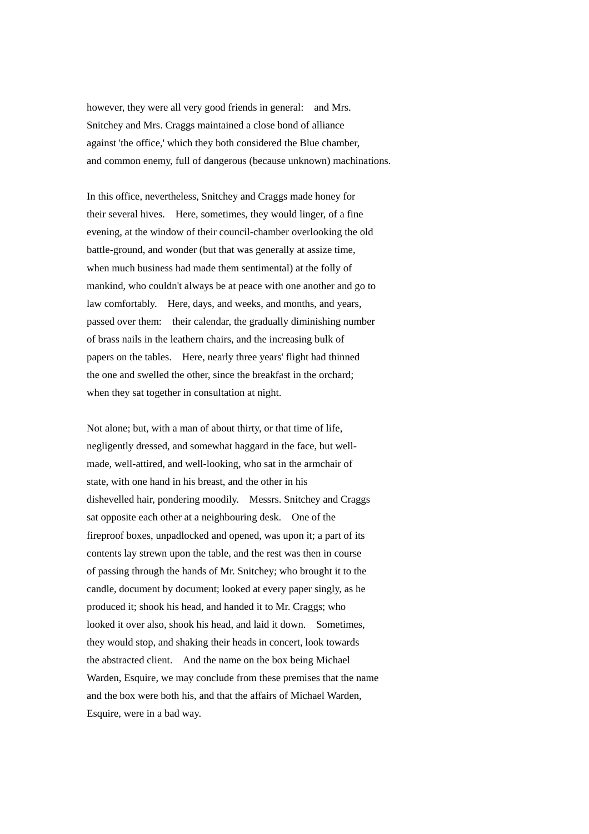however, they were all very good friends in general: and Mrs. Snitchey and Mrs. Craggs maintained a close bond of alliance against 'the office,' which they both considered the Blue chamber, and common enemy, full of dangerous (because unknown) machinations.

In this office, nevertheless, Snitchey and Craggs made honey for their several hives. Here, sometimes, they would linger, of a fine evening, at the window of their council-chamber overlooking the old battle-ground, and wonder (but that was generally at assize time, when much business had made them sentimental) at the folly of mankind, who couldn't always be at peace with one another and go to law comfortably. Here, days, and weeks, and months, and years, passed over them: their calendar, the gradually diminishing number of brass nails in the leathern chairs, and the increasing bulk of papers on the tables. Here, nearly three years' flight had thinned the one and swelled the other, since the breakfast in the orchard; when they sat together in consultation at night.

Not alone; but, with a man of about thirty, or that time of life, negligently dressed, and somewhat haggard in the face, but wellmade, well-attired, and well-looking, who sat in the armchair of state, with one hand in his breast, and the other in his dishevelled hair, pondering moodily. Messrs. Snitchey and Craggs sat opposite each other at a neighbouring desk. One of the fireproof boxes, unpadlocked and opened, was upon it; a part of its contents lay strewn upon the table, and the rest was then in course of passing through the hands of Mr. Snitchey; who brought it to the candle, document by document; looked at every paper singly, as he produced it; shook his head, and handed it to Mr. Craggs; who looked it over also, shook his head, and laid it down. Sometimes, they would stop, and shaking their heads in concert, look towards the abstracted client. And the name on the box being Michael Warden, Esquire, we may conclude from these premises that the name and the box were both his, and that the affairs of Michael Warden, Esquire, were in a bad way.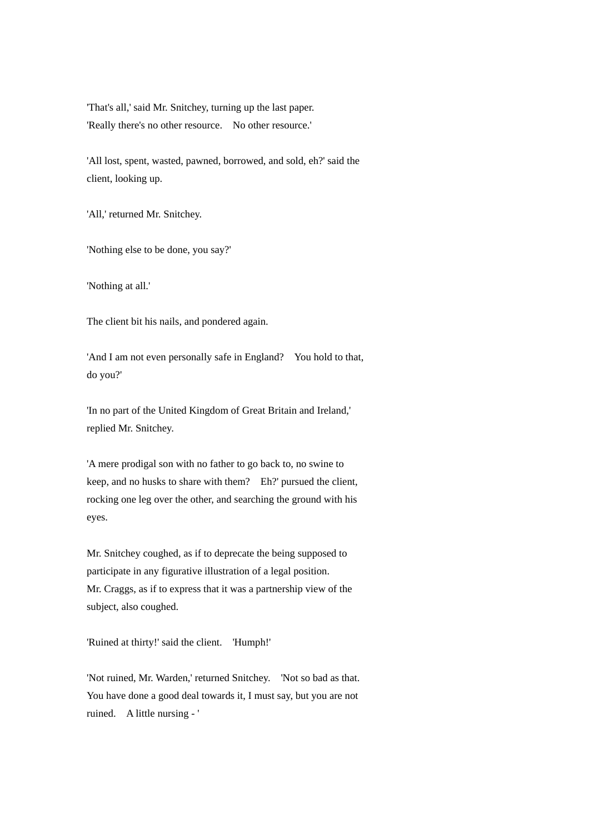'That's all,' said Mr. Snitchey, turning up the last paper. 'Really there's no other resource. No other resource.'

'All lost, spent, wasted, pawned, borrowed, and sold, eh?' said the client, looking up.

'All,' returned Mr. Snitchey.

'Nothing else to be done, you say?'

'Nothing at all.'

The client bit his nails, and pondered again.

'And I am not even personally safe in England? You hold to that, do you?'

'In no part of the United Kingdom of Great Britain and Ireland,' replied Mr. Snitchey.

'A mere prodigal son with no father to go back to, no swine to keep, and no husks to share with them? Eh?' pursued the client, rocking one leg over the other, and searching the ground with his eyes.

Mr. Snitchey coughed, as if to deprecate the being supposed to participate in any figurative illustration of a legal position. Mr. Craggs, as if to express that it was a partnership view of the subject, also coughed.

'Ruined at thirty!' said the client. 'Humph!'

'Not ruined, Mr. Warden,' returned Snitchey. 'Not so bad as that. You have done a good deal towards it, I must say, but you are not ruined. A little nursing - '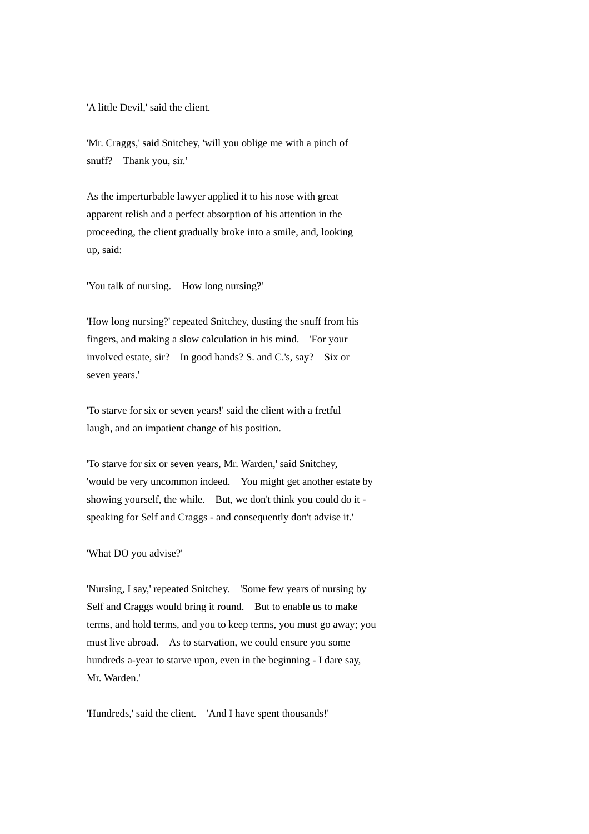'A little Devil,' said the client.

'Mr. Craggs,' said Snitchey, 'will you oblige me with a pinch of snuff? Thank you, sir.'

As the imperturbable lawyer applied it to his nose with great apparent relish and a perfect absorption of his attention in the proceeding, the client gradually broke into a smile, and, looking up, said:

'You talk of nursing. How long nursing?'

'How long nursing?' repeated Snitchey, dusting the snuff from his fingers, and making a slow calculation in his mind. 'For your involved estate, sir? In good hands? S. and C.'s, say? Six or seven years.'

'To starve for six or seven years!' said the client with a fretful laugh, and an impatient change of his position.

'To starve for six or seven years, Mr. Warden,' said Snitchey, 'would be very uncommon indeed. You might get another estate by showing yourself, the while. But, we don't think you could do it speaking for Self and Craggs - and consequently don't advise it.'

'What DO you advise?'

'Nursing, I say,' repeated Snitchey. 'Some few years of nursing by Self and Craggs would bring it round. But to enable us to make terms, and hold terms, and you to keep terms, you must go away; you must live abroad. As to starvation, we could ensure you some hundreds a-year to starve upon, even in the beginning - I dare say, Mr. Warden.'

'Hundreds,' said the client. 'And I have spent thousands!'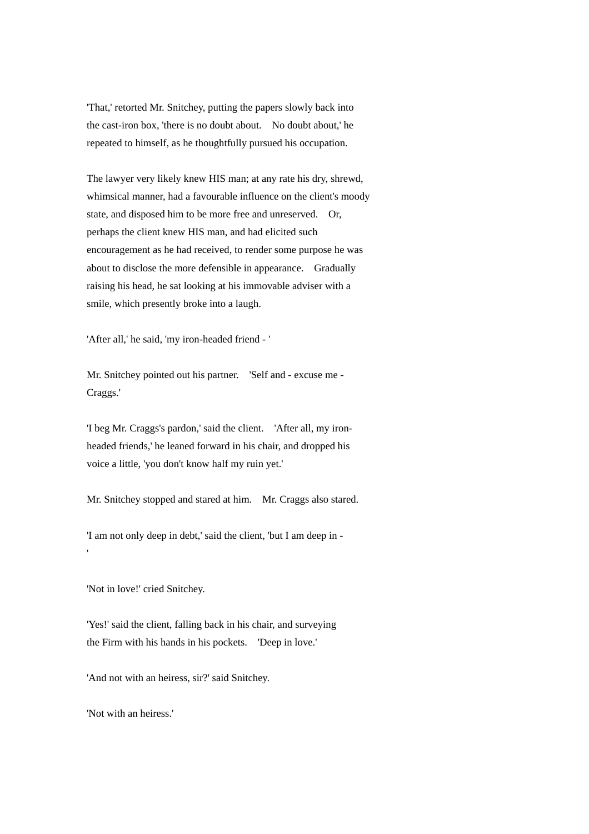'That,' retorted Mr. Snitchey, putting the papers slowly back into the cast-iron box, 'there is no doubt about. No doubt about,' he repeated to himself, as he thoughtfully pursued his occupation.

The lawyer very likely knew HIS man; at any rate his dry, shrewd, whimsical manner, had a favourable influence on the client's moody state, and disposed him to be more free and unreserved. Or, perhaps the client knew HIS man, and had elicited such encouragement as he had received, to render some purpose he was about to disclose the more defensible in appearance. Gradually raising his head, he sat looking at his immovable adviser with a smile, which presently broke into a laugh.

'After all,' he said, 'my iron-headed friend - '

Mr. Snitchey pointed out his partner. 'Self and - excuse me - Craggs.'

'I beg Mr. Craggs's pardon,' said the client. 'After all, my ironheaded friends,' he leaned forward in his chair, and dropped his voice a little, 'you don't know half my ruin yet.'

Mr. Snitchey stopped and stared at him. Mr. Craggs also stared.

'I am not only deep in debt,' said the client, 'but I am deep in -

'Not in love!' cried Snitchey.

'

'Yes!' said the client, falling back in his chair, and surveying the Firm with his hands in his pockets. 'Deep in love.'

'And not with an heiress, sir?' said Snitchey.

'Not with an heiress.'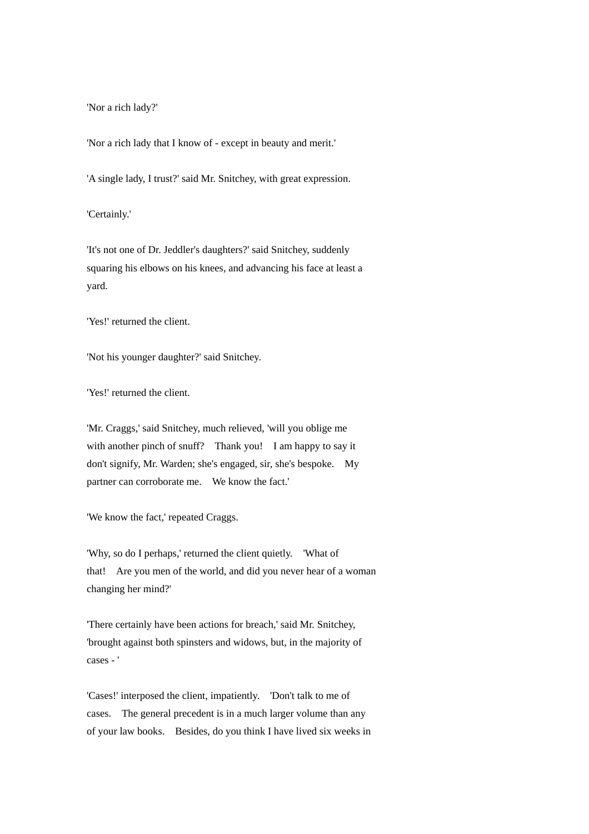'Nor a rich lady?'

'Nor a rich lady that I know of - except in beauty and merit.'

'A single lady, I trust?' said Mr. Snitchey, with great expression.

'Certainly.'

'It's not one of Dr. Jeddler's daughters?' said Snitchey, suddenly squaring his elbows on his knees, and advancing his face at least a yard.

'Yes!' returned the client.

'Not his younger daughter?' said Snitchey.

'Yes!' returned the client.

'Mr. Craggs,' said Snitchey, much relieved, 'will you oblige me with another pinch of snuff? Thank you! I am happy to say it don't signify, Mr. Warden; she's engaged, sir, she's bespoke. My partner can corroborate me. We know the fact.'

'We know the fact,' repeated Craggs.

'Why, so do I perhaps,' returned the client quietly. 'What of that! Are you men of the world, and did you never hear of a woman changing her mind?'

'There certainly have been actions for breach,' said Mr. Snitchey, 'brought against both spinsters and widows, but, in the majority of cases - '

'Cases!' interposed the client, impatiently. 'Don't talk to me of cases. The general precedent is in a much larger volume than any of your law books. Besides, do you think I have lived six weeks in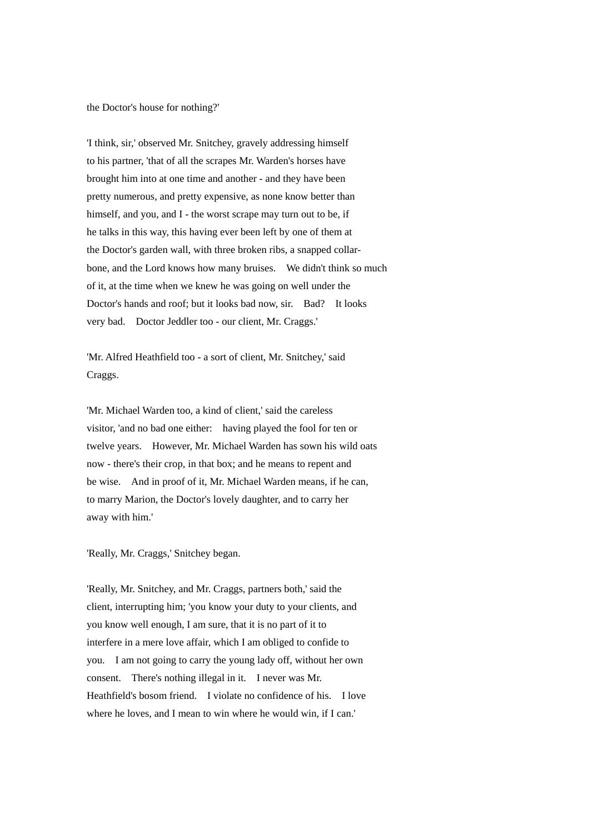the Doctor's house for nothing?'

'I think, sir,' observed Mr. Snitchey, gravely addressing himself to his partner, 'that of all the scrapes Mr. Warden's horses have brought him into at one time and another - and they have been pretty numerous, and pretty expensive, as none know better than himself, and you, and I - the worst scrape may turn out to be, if he talks in this way, this having ever been left by one of them at the Doctor's garden wall, with three broken ribs, a snapped collarbone, and the Lord knows how many bruises. We didn't think so much of it, at the time when we knew he was going on well under the Doctor's hands and roof; but it looks bad now, sir. Bad? It looks very bad. Doctor Jeddler too - our client, Mr. Craggs.'

'Mr. Alfred Heathfield too - a sort of client, Mr. Snitchey,' said Craggs.

'Mr. Michael Warden too, a kind of client,' said the careless visitor, 'and no bad one either: having played the fool for ten or twelve years. However, Mr. Michael Warden has sown his wild oats now - there's their crop, in that box; and he means to repent and be wise. And in proof of it, Mr. Michael Warden means, if he can, to marry Marion, the Doctor's lovely daughter, and to carry her away with him.'

'Really, Mr. Craggs,' Snitchey began.

'Really, Mr. Snitchey, and Mr. Craggs, partners both,' said the client, interrupting him; 'you know your duty to your clients, and you know well enough, I am sure, that it is no part of it to interfere in a mere love affair, which I am obliged to confide to you. I am not going to carry the young lady off, without her own consent. There's nothing illegal in it. I never was Mr. Heathfield's bosom friend. I violate no confidence of his. I love where he loves, and I mean to win where he would win, if I can.'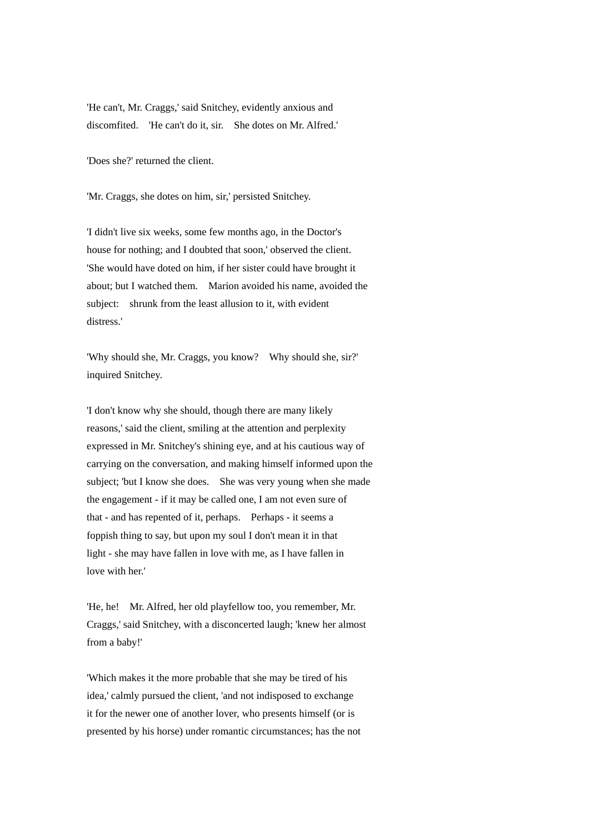'He can't, Mr. Craggs,' said Snitchey, evidently anxious and discomfited. 'He can't do it, sir. She dotes on Mr. Alfred.'

'Does she?' returned the client.

'Mr. Craggs, she dotes on him, sir,' persisted Snitchey.

'I didn't live six weeks, some few months ago, in the Doctor's house for nothing; and I doubted that soon,' observed the client. 'She would have doted on him, if her sister could have brought it about; but I watched them. Marion avoided his name, avoided the subject: shrunk from the least allusion to it, with evident distress.'

'Why should she, Mr. Craggs, you know? Why should she, sir?' inquired Snitchey.

'I don't know why she should, though there are many likely reasons,' said the client, smiling at the attention and perplexity expressed in Mr. Snitchey's shining eye, and at his cautious way of carrying on the conversation, and making himself informed upon the subject; 'but I know she does. She was very young when she made the engagement - if it may be called one, I am not even sure of that - and has repented of it, perhaps. Perhaps - it seems a foppish thing to say, but upon my soul I don't mean it in that light - she may have fallen in love with me, as I have fallen in love with her.'

'He, he! Mr. Alfred, her old playfellow too, you remember, Mr. Craggs,' said Snitchey, with a disconcerted laugh; 'knew her almost from a baby!'

'Which makes it the more probable that she may be tired of his idea,' calmly pursued the client, 'and not indisposed to exchange it for the newer one of another lover, who presents himself (or is presented by his horse) under romantic circumstances; has the not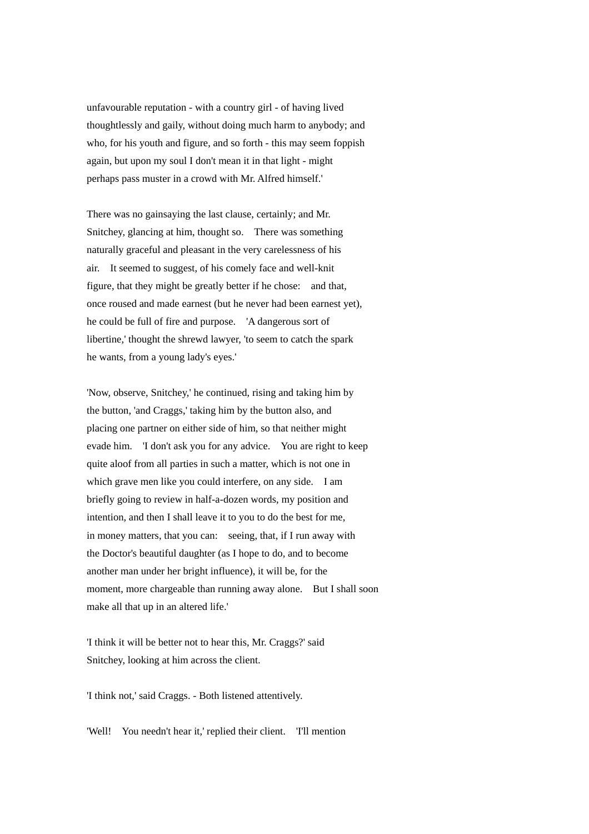unfavourable reputation - with a country girl - of having lived thoughtlessly and gaily, without doing much harm to anybody; and who, for his youth and figure, and so forth - this may seem foppish again, but upon my soul I don't mean it in that light - might perhaps pass muster in a crowd with Mr. Alfred himself.'

There was no gainsaying the last clause, certainly; and Mr. Snitchey, glancing at him, thought so. There was something naturally graceful and pleasant in the very carelessness of his air. It seemed to suggest, of his comely face and well-knit figure, that they might be greatly better if he chose: and that, once roused and made earnest (but he never had been earnest yet), he could be full of fire and purpose. 'A dangerous sort of libertine,' thought the shrewd lawyer, 'to seem to catch the spark he wants, from a young lady's eyes.'

'Now, observe, Snitchey,' he continued, rising and taking him by the button, 'and Craggs,' taking him by the button also, and placing one partner on either side of him, so that neither might evade him. 'I don't ask you for any advice. You are right to keep quite aloof from all parties in such a matter, which is not one in which grave men like you could interfere, on any side. I am briefly going to review in half-a-dozen words, my position and intention, and then I shall leave it to you to do the best for me, in money matters, that you can: seeing, that, if I run away with the Doctor's beautiful daughter (as I hope to do, and to become another man under her bright influence), it will be, for the moment, more chargeable than running away alone. But I shall soon make all that up in an altered life.'

'I think it will be better not to hear this, Mr. Craggs?' said Snitchey, looking at him across the client.

'I think not,' said Craggs. - Both listened attentively.

'Well! You needn't hear it,' replied their client. 'I'll mention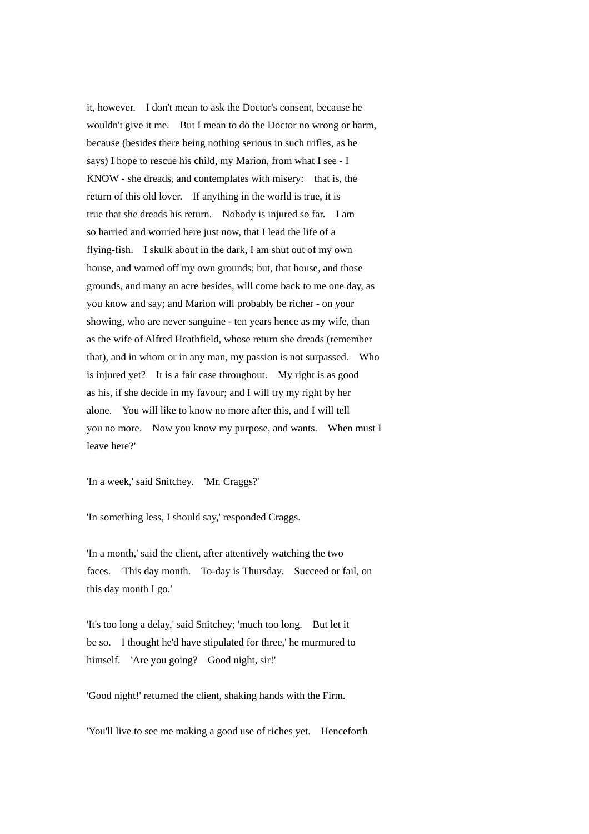it, however. I don't mean to ask the Doctor's consent, because he wouldn't give it me. But I mean to do the Doctor no wrong or harm, because (besides there being nothing serious in such trifles, as he says) I hope to rescue his child, my Marion, from what I see - I KNOW - she dreads, and contemplates with misery: that is, the return of this old lover. If anything in the world is true, it is true that she dreads his return. Nobody is injured so far. I am so harried and worried here just now, that I lead the life of a flying-fish. I skulk about in the dark, I am shut out of my own house, and warned off my own grounds; but, that house, and those grounds, and many an acre besides, will come back to me one day, as you know and say; and Marion will probably be richer - on your showing, who are never sanguine - ten years hence as my wife, than as the wife of Alfred Heathfield, whose return she dreads (remember that), and in whom or in any man, my passion is not surpassed. Who is injured yet? It is a fair case throughout. My right is as good as his, if she decide in my favour; and I will try my right by her alone. You will like to know no more after this, and I will tell you no more. Now you know my purpose, and wants. When must I leave here?'

'In a week,' said Snitchey. 'Mr. Craggs?'

'In something less, I should say,' responded Craggs.

'In a month,' said the client, after attentively watching the two faces. 'This day month. To-day is Thursday. Succeed or fail, on this day month I go.'

'It's too long a delay,' said Snitchey; 'much too long. But let it be so. I thought he'd have stipulated for three,' he murmured to himself. 'Are you going? Good night, sir!'

'Good night!' returned the client, shaking hands with the Firm.

'You'll live to see me making a good use of riches yet. Henceforth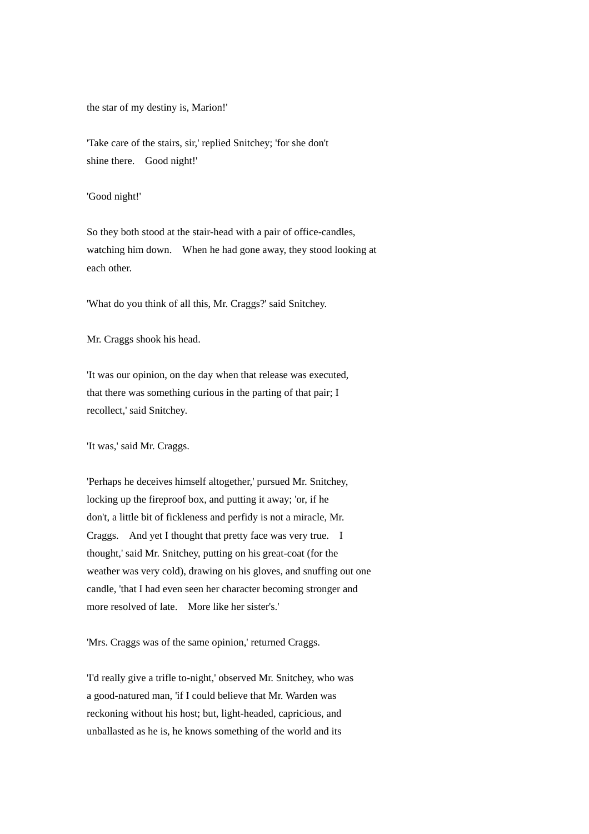the star of my destiny is, Marion!'

'Take care of the stairs, sir,' replied Snitchey; 'for she don't shine there. Good night!'

'Good night!'

So they both stood at the stair-head with a pair of office-candles, watching him down. When he had gone away, they stood looking at each other.

'What do you think of all this, Mr. Craggs?' said Snitchey.

Mr. Craggs shook his head.

'It was our opinion, on the day when that release was executed, that there was something curious in the parting of that pair; I recollect,' said Snitchey.

'It was,' said Mr. Craggs.

'Perhaps he deceives himself altogether,' pursued Mr. Snitchey, locking up the fireproof box, and putting it away; 'or, if he don't, a little bit of fickleness and perfidy is not a miracle, Mr. Craggs. And yet I thought that pretty face was very true. I thought,' said Mr. Snitchey, putting on his great-coat (for the weather was very cold), drawing on his gloves, and snuffing out one candle, 'that I had even seen her character becoming stronger and more resolved of late. More like her sister's.'

'Mrs. Craggs was of the same opinion,' returned Craggs.

'I'd really give a trifle to-night,' observed Mr. Snitchey, who was a good-natured man, 'if I could believe that Mr. Warden was reckoning without his host; but, light-headed, capricious, and unballasted as he is, he knows something of the world and its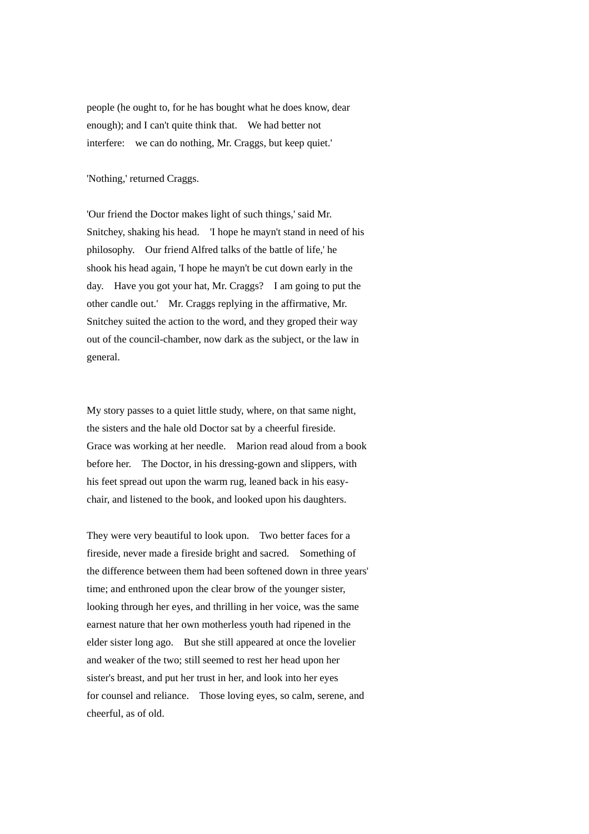people (he ought to, for he has bought what he does know, dear enough); and I can't quite think that. We had better not interfere: we can do nothing, Mr. Craggs, but keep quiet.'

## 'Nothing,' returned Craggs.

'Our friend the Doctor makes light of such things,' said Mr. Snitchey, shaking his head. 'I hope he mayn't stand in need of his philosophy. Our friend Alfred talks of the battle of life,' he shook his head again, 'I hope he mayn't be cut down early in the day. Have you got your hat, Mr. Craggs? I am going to put the other candle out.' Mr. Craggs replying in the affirmative, Mr. Snitchey suited the action to the word, and they groped their way out of the council-chamber, now dark as the subject, or the law in general.

My story passes to a quiet little study, where, on that same night, the sisters and the hale old Doctor sat by a cheerful fireside. Grace was working at her needle. Marion read aloud from a book before her. The Doctor, in his dressing-gown and slippers, with his feet spread out upon the warm rug, leaned back in his easychair, and listened to the book, and looked upon his daughters.

They were very beautiful to look upon. Two better faces for a fireside, never made a fireside bright and sacred. Something of the difference between them had been softened down in three years' time; and enthroned upon the clear brow of the younger sister, looking through her eyes, and thrilling in her voice, was the same earnest nature that her own motherless youth had ripened in the elder sister long ago. But she still appeared at once the lovelier and weaker of the two; still seemed to rest her head upon her sister's breast, and put her trust in her, and look into her eyes for counsel and reliance. Those loving eyes, so calm, serene, and cheerful, as of old.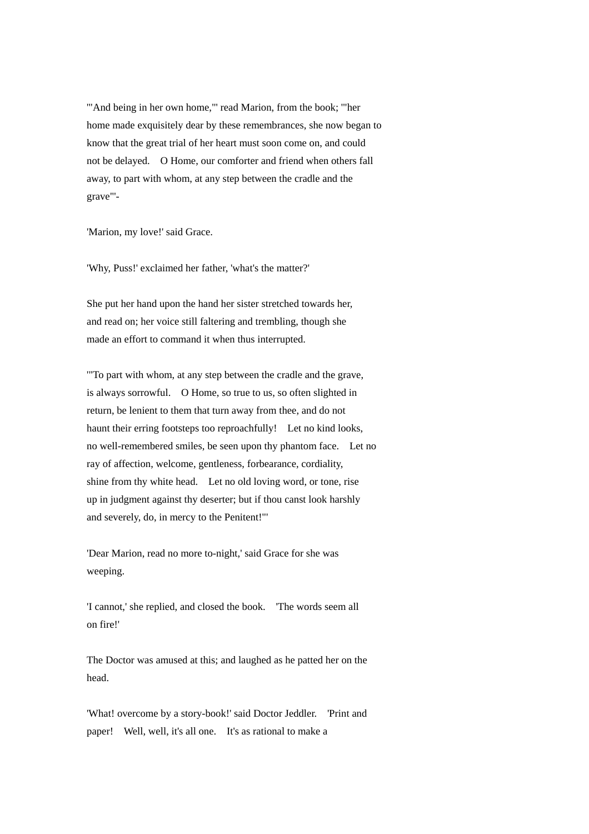'"And being in her own home,"' read Marion, from the book; '"her home made exquisitely dear by these remembrances, she now began to know that the great trial of her heart must soon come on, and could not be delayed. O Home, our comforter and friend when others fall away, to part with whom, at any step between the cradle and the grave"'-

'Marion, my love!' said Grace.

'Why, Puss!' exclaimed her father, 'what's the matter?'

She put her hand upon the hand her sister stretched towards her, and read on; her voice still faltering and trembling, though she made an effort to command it when thus interrupted.

'"To part with whom, at any step between the cradle and the grave, is always sorrowful. O Home, so true to us, so often slighted in return, be lenient to them that turn away from thee, and do not haunt their erring footsteps too reproachfully! Let no kind looks, no well-remembered smiles, be seen upon thy phantom face. Let no ray of affection, welcome, gentleness, forbearance, cordiality, shine from thy white head. Let no old loving word, or tone, rise up in judgment against thy deserter; but if thou canst look harshly and severely, do, in mercy to the Penitent!"'

'Dear Marion, read no more to-night,' said Grace for she was weeping.

'I cannot,' she replied, and closed the book. 'The words seem all on fire!'

The Doctor was amused at this; and laughed as he patted her on the head.

'What! overcome by a story-book!' said Doctor Jeddler. 'Print and paper! Well, well, it's all one. It's as rational to make a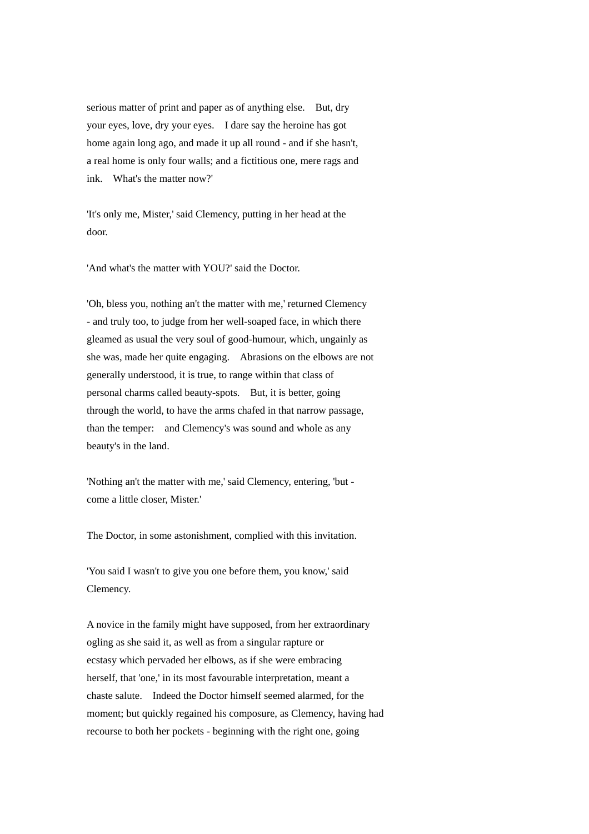serious matter of print and paper as of anything else. But, dry your eyes, love, dry your eyes. I dare say the heroine has got home again long ago, and made it up all round - and if she hasn't, a real home is only four walls; and a fictitious one, mere rags and ink. What's the matter now?'

'It's only me, Mister,' said Clemency, putting in her head at the door.

'And what's the matter with YOU?' said the Doctor.

'Oh, bless you, nothing an't the matter with me,' returned Clemency - and truly too, to judge from her well-soaped face, in which there gleamed as usual the very soul of good-humour, which, ungainly as she was, made her quite engaging. Abrasions on the elbows are not generally understood, it is true, to range within that class of personal charms called beauty-spots. But, it is better, going through the world, to have the arms chafed in that narrow passage, than the temper: and Clemency's was sound and whole as any beauty's in the land.

'Nothing an't the matter with me,' said Clemency, entering, 'but come a little closer, Mister.'

The Doctor, in some astonishment, complied with this invitation.

'You said I wasn't to give you one before them, you know,' said Clemency.

A novice in the family might have supposed, from her extraordinary ogling as she said it, as well as from a singular rapture or ecstasy which pervaded her elbows, as if she were embracing herself, that 'one,' in its most favourable interpretation, meant a chaste salute. Indeed the Doctor himself seemed alarmed, for the moment; but quickly regained his composure, as Clemency, having had recourse to both her pockets - beginning with the right one, going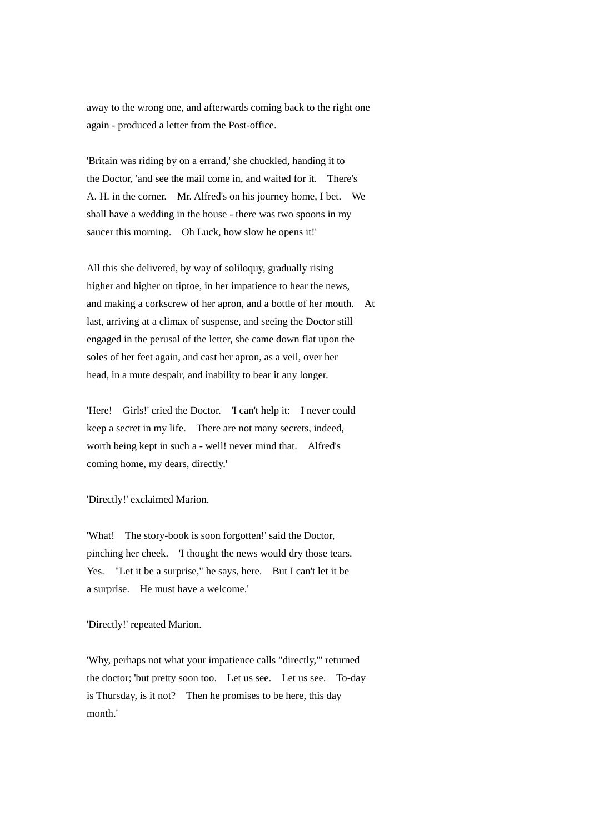away to the wrong one, and afterwards coming back to the right one again - produced a letter from the Post-office.

'Britain was riding by on a errand,' she chuckled, handing it to the Doctor, 'and see the mail come in, and waited for it. There's A. H. in the corner. Mr. Alfred's on his journey home, I bet. We shall have a wedding in the house - there was two spoons in my saucer this morning. Oh Luck, how slow he opens it!'

All this she delivered, by way of soliloquy, gradually rising higher and higher on tiptoe, in her impatience to hear the news, and making a corkscrew of her apron, and a bottle of her mouth. At last, arriving at a climax of suspense, and seeing the Doctor still engaged in the perusal of the letter, she came down flat upon the soles of her feet again, and cast her apron, as a veil, over her head, in a mute despair, and inability to bear it any longer.

'Here! Girls!' cried the Doctor. 'I can't help it: I never could keep a secret in my life. There are not many secrets, indeed, worth being kept in such a - well! never mind that. Alfred's coming home, my dears, directly.'

## 'Directly!' exclaimed Marion.

'What! The story-book is soon forgotten!' said the Doctor, pinching her cheek. 'I thought the news would dry those tears. Yes. "Let it be a surprise," he says, here. But I can't let it be a surprise. He must have a welcome.'

## 'Directly!' repeated Marion.

'Why, perhaps not what your impatience calls "directly,"' returned the doctor; 'but pretty soon too. Let us see. Let us see. To-day is Thursday, is it not? Then he promises to be here, this day month.'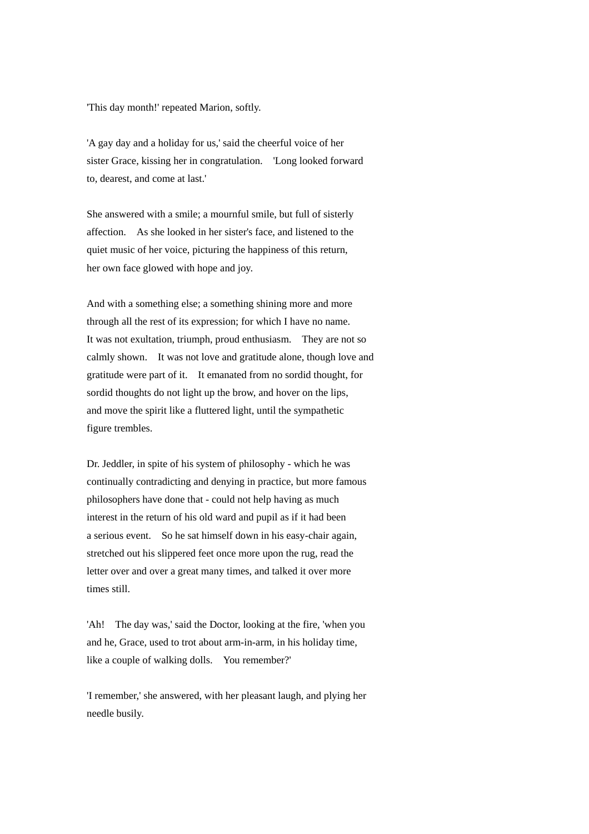'This day month!' repeated Marion, softly.

'A gay day and a holiday for us,' said the cheerful voice of her sister Grace, kissing her in congratulation. 'Long looked forward to, dearest, and come at last.'

She answered with a smile; a mournful smile, but full of sisterly affection. As she looked in her sister's face, and listened to the quiet music of her voice, picturing the happiness of this return, her own face glowed with hope and joy.

And with a something else; a something shining more and more through all the rest of its expression; for which I have no name. It was not exultation, triumph, proud enthusiasm. They are not so calmly shown. It was not love and gratitude alone, though love and gratitude were part of it. It emanated from no sordid thought, for sordid thoughts do not light up the brow, and hover on the lips, and move the spirit like a fluttered light, until the sympathetic figure trembles.

Dr. Jeddler, in spite of his system of philosophy - which he was continually contradicting and denying in practice, but more famous philosophers have done that - could not help having as much interest in the return of his old ward and pupil as if it had been a serious event. So he sat himself down in his easy-chair again, stretched out his slippered feet once more upon the rug, read the letter over and over a great many times, and talked it over more times still.

'Ah! The day was,' said the Doctor, looking at the fire, 'when you and he, Grace, used to trot about arm-in-arm, in his holiday time, like a couple of walking dolls. You remember?'

'I remember,' she answered, with her pleasant laugh, and plying her needle busily.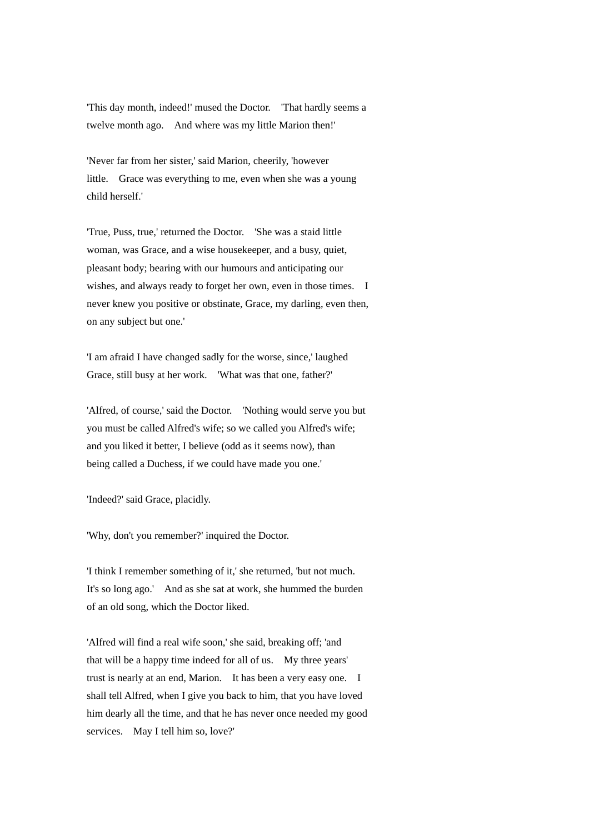'This day month, indeed!' mused the Doctor. 'That hardly seems a twelve month ago. And where was my little Marion then!'

'Never far from her sister,' said Marion, cheerily, 'however little. Grace was everything to me, even when she was a young child herself.'

'True, Puss, true,' returned the Doctor. 'She was a staid little woman, was Grace, and a wise housekeeper, and a busy, quiet, pleasant body; bearing with our humours and anticipating our wishes, and always ready to forget her own, even in those times. I never knew you positive or obstinate, Grace, my darling, even then, on any subject but one.'

'I am afraid I have changed sadly for the worse, since,' laughed Grace, still busy at her work. 'What was that one, father?'

'Alfred, of course,' said the Doctor. 'Nothing would serve you but you must be called Alfred's wife; so we called you Alfred's wife; and you liked it better, I believe (odd as it seems now), than being called a Duchess, if we could have made you one.'

'Indeed?' said Grace, placidly.

'Why, don't you remember?' inquired the Doctor.

'I think I remember something of it,' she returned, 'but not much. It's so long ago.' And as she sat at work, she hummed the burden of an old song, which the Doctor liked.

'Alfred will find a real wife soon,' she said, breaking off; 'and that will be a happy time indeed for all of us. My three years' trust is nearly at an end, Marion. It has been a very easy one. I shall tell Alfred, when I give you back to him, that you have loved him dearly all the time, and that he has never once needed my good services. May I tell him so, love?'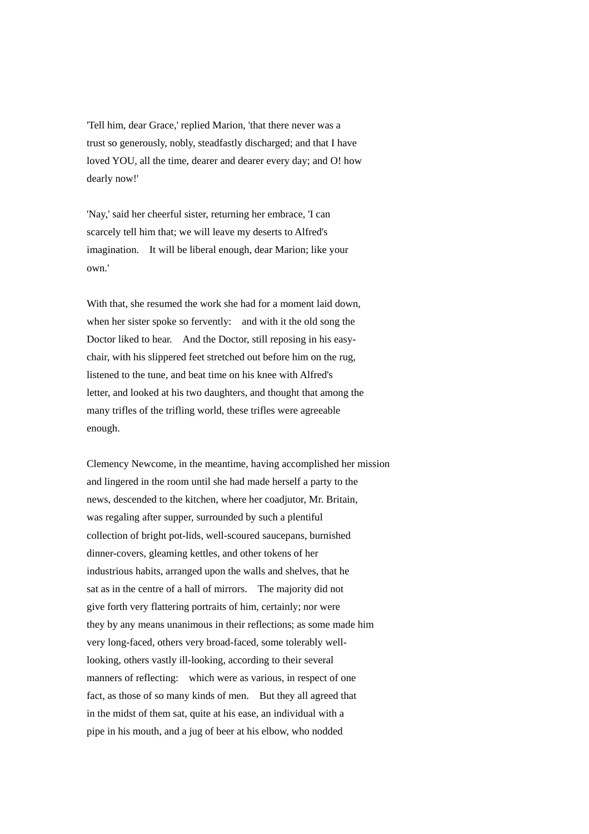'Tell him, dear Grace,' replied Marion, 'that there never was a trust so generously, nobly, steadfastly discharged; and that I have loved YOU, all the time, dearer and dearer every day; and O! how dearly now!'

'Nay,' said her cheerful sister, returning her embrace, 'I can scarcely tell him that; we will leave my deserts to Alfred's imagination. It will be liberal enough, dear Marion; like your own.'

With that, she resumed the work she had for a moment laid down. when her sister spoke so fervently: and with it the old song the Doctor liked to hear. And the Doctor, still reposing in his easychair, with his slippered feet stretched out before him on the rug, listened to the tune, and beat time on his knee with Alfred's letter, and looked at his two daughters, and thought that among the many trifles of the trifling world, these trifles were agreeable enough.

Clemency Newcome, in the meantime, having accomplished her mission and lingered in the room until she had made herself a party to the news, descended to the kitchen, where her coadjutor, Mr. Britain, was regaling after supper, surrounded by such a plentiful collection of bright pot-lids, well-scoured saucepans, burnished dinner-covers, gleaming kettles, and other tokens of her industrious habits, arranged upon the walls and shelves, that he sat as in the centre of a hall of mirrors. The majority did not give forth very flattering portraits of him, certainly; nor were they by any means unanimous in their reflections; as some made him very long-faced, others very broad-faced, some tolerably welllooking, others vastly ill-looking, according to their several manners of reflecting: which were as various, in respect of one fact, as those of so many kinds of men. But they all agreed that in the midst of them sat, quite at his ease, an individual with a pipe in his mouth, and a jug of beer at his elbow, who nodded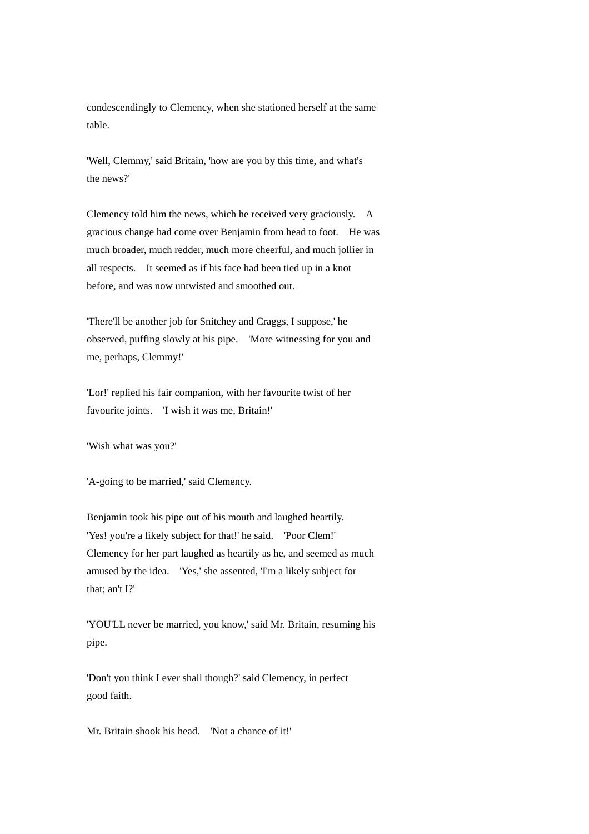condescendingly to Clemency, when she stationed herself at the same table.

'Well, Clemmy,' said Britain, 'how are you by this time, and what's the news?'

Clemency told him the news, which he received very graciously. A gracious change had come over Benjamin from head to foot. He was much broader, much redder, much more cheerful, and much jollier in all respects. It seemed as if his face had been tied up in a knot before, and was now untwisted and smoothed out.

'There'll be another job for Snitchey and Craggs, I suppose,' he observed, puffing slowly at his pipe. 'More witnessing for you and me, perhaps, Clemmy!'

'Lor!' replied his fair companion, with her favourite twist of her favourite joints. 'I wish it was me, Britain!'

'Wish what was you?'

'A-going to be married,' said Clemency.

Benjamin took his pipe out of his mouth and laughed heartily. 'Yes! you're a likely subject for that!' he said. 'Poor Clem!' Clemency for her part laughed as heartily as he, and seemed as much amused by the idea. 'Yes,' she assented, 'I'm a likely subject for that; an't I?'

'YOU'LL never be married, you know,' said Mr. Britain, resuming his pipe.

'Don't you think I ever shall though?' said Clemency, in perfect good faith.

Mr. Britain shook his head. 'Not a chance of it!'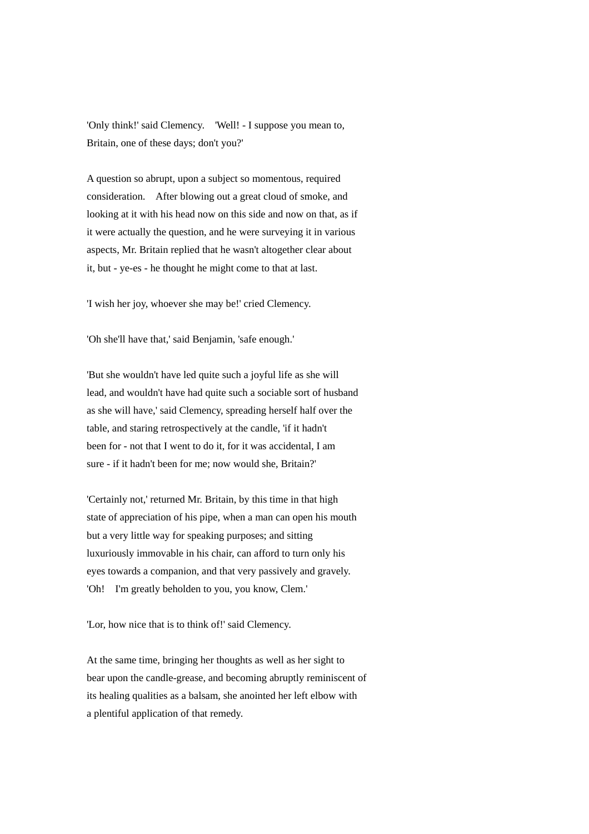'Only think!' said Clemency. 'Well! - I suppose you mean to, Britain, one of these days; don't you?'

A question so abrupt, upon a subject so momentous, required consideration. After blowing out a great cloud of smoke, and looking at it with his head now on this side and now on that, as if it were actually the question, and he were surveying it in various aspects, Mr. Britain replied that he wasn't altogether clear about it, but - ye-es - he thought he might come to that at last.

'I wish her joy, whoever she may be!' cried Clemency.

'Oh she'll have that,' said Benjamin, 'safe enough.'

'But she wouldn't have led quite such a joyful life as she will lead, and wouldn't have had quite such a sociable sort of husband as she will have,' said Clemency, spreading herself half over the table, and staring retrospectively at the candle, 'if it hadn't been for - not that I went to do it, for it was accidental, I am sure - if it hadn't been for me; now would she, Britain?'

'Certainly not,' returned Mr. Britain, by this time in that high state of appreciation of his pipe, when a man can open his mouth but a very little way for speaking purposes; and sitting luxuriously immovable in his chair, can afford to turn only his eyes towards a companion, and that very passively and gravely. 'Oh! I'm greatly beholden to you, you know, Clem.'

'Lor, how nice that is to think of!' said Clemency.

At the same time, bringing her thoughts as well as her sight to bear upon the candle-grease, and becoming abruptly reminiscent of its healing qualities as a balsam, she anointed her left elbow with a plentiful application of that remedy.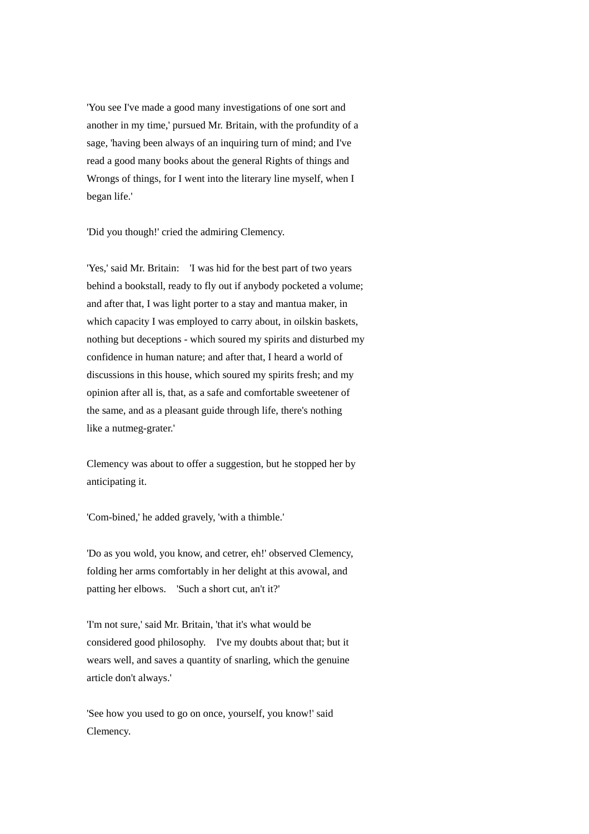'You see I've made a good many investigations of one sort and another in my time,' pursued Mr. Britain, with the profundity of a sage, 'having been always of an inquiring turn of mind; and I've read a good many books about the general Rights of things and Wrongs of things, for I went into the literary line myself, when I began life.'

'Did you though!' cried the admiring Clemency.

'Yes,' said Mr. Britain: 'I was hid for the best part of two years behind a bookstall, ready to fly out if anybody pocketed a volume; and after that, I was light porter to a stay and mantua maker, in which capacity I was employed to carry about, in oilskin baskets, nothing but deceptions - which soured my spirits and disturbed my confidence in human nature; and after that, I heard a world of discussions in this house, which soured my spirits fresh; and my opinion after all is, that, as a safe and comfortable sweetener of the same, and as a pleasant guide through life, there's nothing like a nutmeg-grater.'

Clemency was about to offer a suggestion, but he stopped her by anticipating it.

'Com-bined,' he added gravely, 'with a thimble.'

'Do as you wold, you know, and cetrer, eh!' observed Clemency, folding her arms comfortably in her delight at this avowal, and patting her elbows. 'Such a short cut, an't it?'

'I'm not sure,' said Mr. Britain, 'that it's what would be considered good philosophy. I've my doubts about that; but it wears well, and saves a quantity of snarling, which the genuine article don't always.'

'See how you used to go on once, yourself, you know!' said Clemency.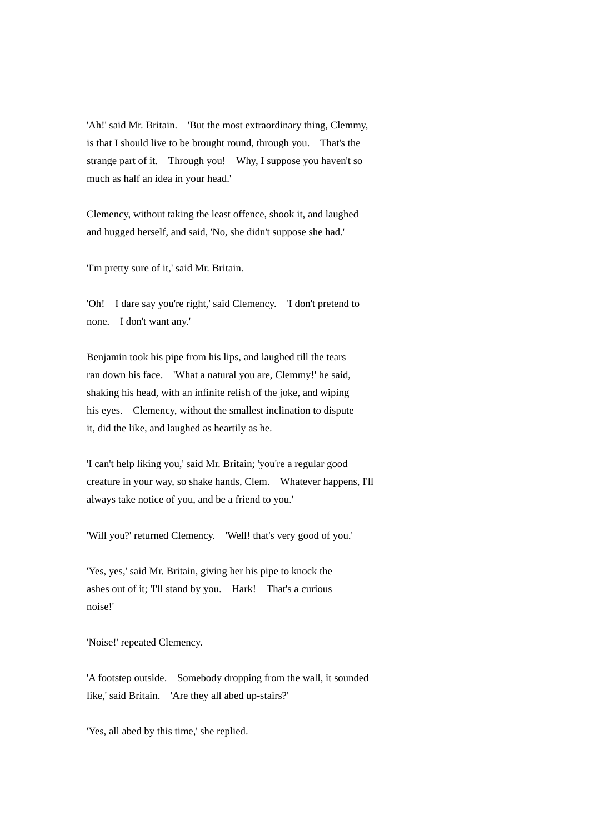'Ah!' said Mr. Britain. 'But the most extraordinary thing, Clemmy, is that I should live to be brought round, through you. That's the strange part of it. Through you! Why, I suppose you haven't so much as half an idea in your head.'

Clemency, without taking the least offence, shook it, and laughed and hugged herself, and said, 'No, she didn't suppose she had.'

'I'm pretty sure of it,' said Mr. Britain.

'Oh! I dare say you're right,' said Clemency. 'I don't pretend to none. I don't want any.'

Benjamin took his pipe from his lips, and laughed till the tears ran down his face. 'What a natural you are, Clemmy!' he said, shaking his head, with an infinite relish of the joke, and wiping his eyes. Clemency, without the smallest inclination to dispute it, did the like, and laughed as heartily as he.

'I can't help liking you,' said Mr. Britain; 'you're a regular good creature in your way, so shake hands, Clem. Whatever happens, I'll always take notice of you, and be a friend to you.'

'Will you?' returned Clemency. 'Well! that's very good of you.'

'Yes, yes,' said Mr. Britain, giving her his pipe to knock the ashes out of it; 'I'll stand by you. Hark! That's a curious noise!'

'Noise!' repeated Clemency.

'A footstep outside. Somebody dropping from the wall, it sounded like,' said Britain. 'Are they all abed up-stairs?'

'Yes, all abed by this time,' she replied.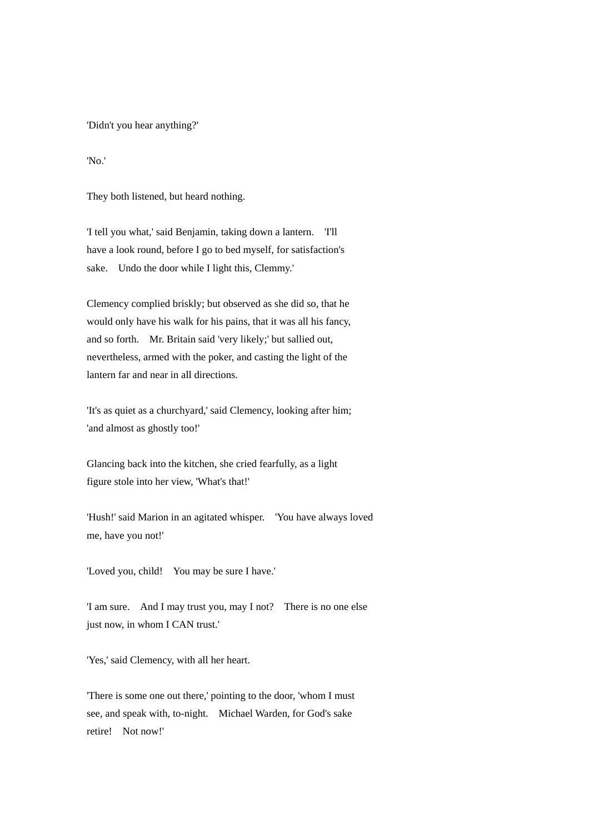'Didn't you hear anything?'

'No.'

They both listened, but heard nothing.

'I tell you what,' said Benjamin, taking down a lantern. 'I'll have a look round, before I go to bed myself, for satisfaction's sake. Undo the door while I light this, Clemmy.'

Clemency complied briskly; but observed as she did so, that he would only have his walk for his pains, that it was all his fancy, and so forth. Mr. Britain said 'very likely;' but sallied out, nevertheless, armed with the poker, and casting the light of the lantern far and near in all directions.

'It's as quiet as a churchyard,' said Clemency, looking after him; 'and almost as ghostly too!'

Glancing back into the kitchen, she cried fearfully, as a light figure stole into her view, 'What's that!'

'Hush!' said Marion in an agitated whisper. 'You have always loved me, have you not!'

'Loved you, child! You may be sure I have.'

'I am sure. And I may trust you, may I not? There is no one else just now, in whom I CAN trust.'

'Yes,' said Clemency, with all her heart.

'There is some one out there,' pointing to the door, 'whom I must see, and speak with, to-night. Michael Warden, for God's sake retire! Not now!'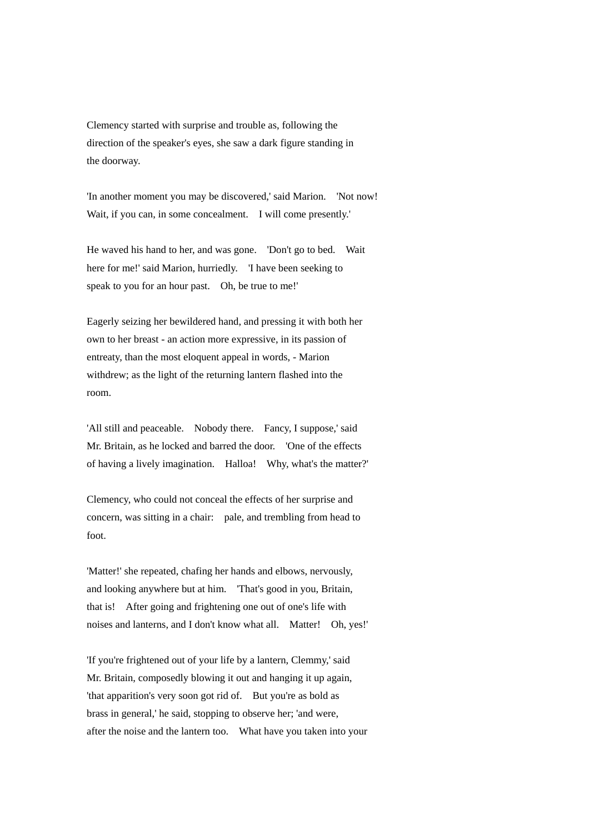Clemency started with surprise and trouble as, following the direction of the speaker's eyes, she saw a dark figure standing in the doorway.

'In another moment you may be discovered,' said Marion. 'Not now! Wait, if you can, in some concealment. I will come presently.'

He waved his hand to her, and was gone. 'Don't go to bed. Wait here for me!' said Marion, hurriedly. Thave been seeking to speak to you for an hour past. Oh, be true to me!'

Eagerly seizing her bewildered hand, and pressing it with both her own to her breast - an action more expressive, in its passion of entreaty, than the most eloquent appeal in words, - Marion withdrew; as the light of the returning lantern flashed into the room.

'All still and peaceable. Nobody there. Fancy, I suppose,' said Mr. Britain, as he locked and barred the door. 'One of the effects of having a lively imagination. Halloa! Why, what's the matter?'

Clemency, who could not conceal the effects of her surprise and concern, was sitting in a chair: pale, and trembling from head to foot.

'Matter!' she repeated, chafing her hands and elbows, nervously, and looking anywhere but at him. 'That's good in you, Britain, that is! After going and frightening one out of one's life with noises and lanterns, and I don't know what all. Matter! Oh, yes!'

'If you're frightened out of your life by a lantern, Clemmy,' said Mr. Britain, composedly blowing it out and hanging it up again, 'that apparition's very soon got rid of. But you're as bold as brass in general,' he said, stopping to observe her; 'and were, after the noise and the lantern too. What have you taken into your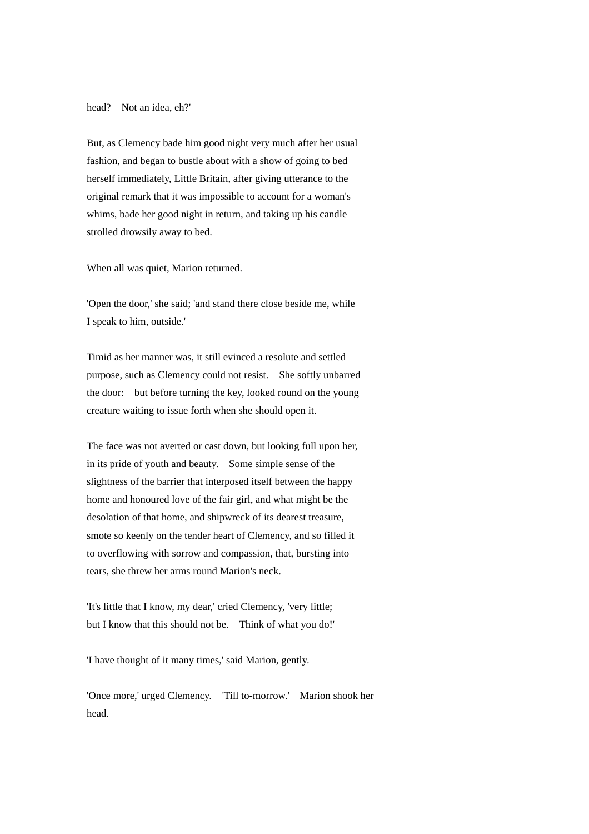head? Not an idea, eh?'

But, as Clemency bade him good night very much after her usual fashion, and began to bustle about with a show of going to bed herself immediately, Little Britain, after giving utterance to the original remark that it was impossible to account for a woman's whims, bade her good night in return, and taking up his candle strolled drowsily away to bed.

When all was quiet, Marion returned.

'Open the door,' she said; 'and stand there close beside me, while I speak to him, outside.'

Timid as her manner was, it still evinced a resolute and settled purpose, such as Clemency could not resist. She softly unbarred the door: but before turning the key, looked round on the young creature waiting to issue forth when she should open it.

The face was not averted or cast down, but looking full upon her, in its pride of youth and beauty. Some simple sense of the slightness of the barrier that interposed itself between the happy home and honoured love of the fair girl, and what might be the desolation of that home, and shipwreck of its dearest treasure, smote so keenly on the tender heart of Clemency, and so filled it to overflowing with sorrow and compassion, that, bursting into tears, she threw her arms round Marion's neck.

'It's little that I know, my dear,' cried Clemency, 'very little; but I know that this should not be. Think of what you do!'

'I have thought of it many times,' said Marion, gently.

'Once more,' urged Clemency. 'Till to-morrow.' Marion shook her head.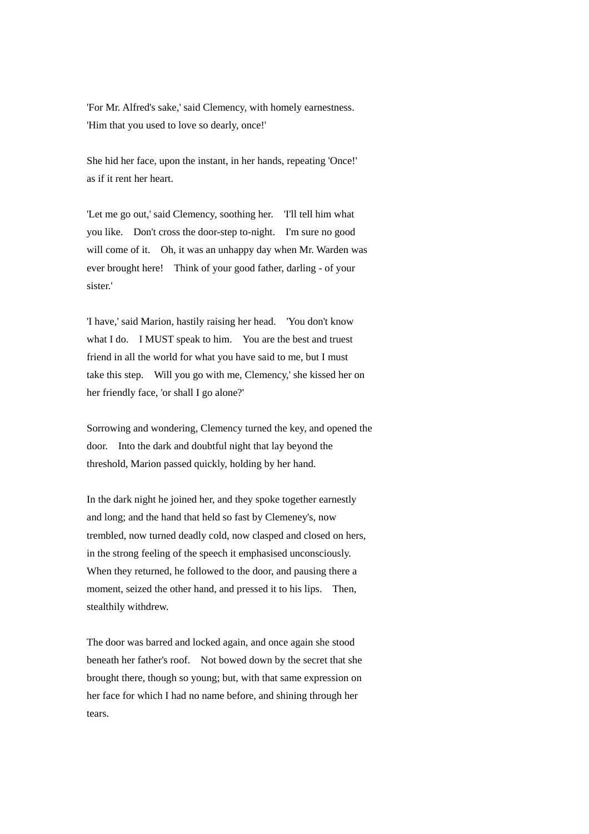'For Mr. Alfred's sake,' said Clemency, with homely earnestness. 'Him that you used to love so dearly, once!'

She hid her face, upon the instant, in her hands, repeating 'Once!' as if it rent her heart.

'Let me go out,' said Clemency, soothing her. 'I'll tell him what you like. Don't cross the door-step to-night. I'm sure no good will come of it. Oh, it was an unhappy day when Mr. Warden was ever brought here! Think of your good father, darling - of your sister.'

'I have,' said Marion, hastily raising her head. 'You don't know what I do. I MUST speak to him. You are the best and truest friend in all the world for what you have said to me, but I must take this step. Will you go with me, Clemency,' she kissed her on her friendly face, 'or shall I go alone?'

Sorrowing and wondering, Clemency turned the key, and opened the door. Into the dark and doubtful night that lay beyond the threshold, Marion passed quickly, holding by her hand.

In the dark night he joined her, and they spoke together earnestly and long; and the hand that held so fast by Clemeney's, now trembled, now turned deadly cold, now clasped and closed on hers, in the strong feeling of the speech it emphasised unconsciously. When they returned, he followed to the door, and pausing there a moment, seized the other hand, and pressed it to his lips. Then, stealthily withdrew.

The door was barred and locked again, and once again she stood beneath her father's roof. Not bowed down by the secret that she brought there, though so young; but, with that same expression on her face for which I had no name before, and shining through her tears.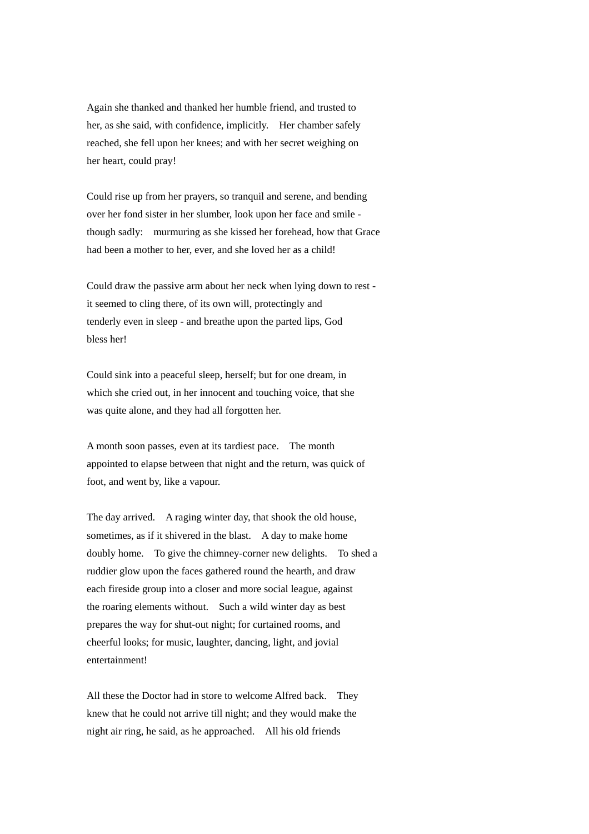Again she thanked and thanked her humble friend, and trusted to her, as she said, with confidence, implicitly. Her chamber safely reached, she fell upon her knees; and with her secret weighing on her heart, could pray!

Could rise up from her prayers, so tranquil and serene, and bending over her fond sister in her slumber, look upon her face and smile though sadly: murmuring as she kissed her forehead, how that Grace had been a mother to her, ever, and she loved her as a child!

Could draw the passive arm about her neck when lying down to rest it seemed to cling there, of its own will, protectingly and tenderly even in sleep - and breathe upon the parted lips, God bless her!

Could sink into a peaceful sleep, herself; but for one dream, in which she cried out, in her innocent and touching voice, that she was quite alone, and they had all forgotten her.

A month soon passes, even at its tardiest pace. The month appointed to elapse between that night and the return, was quick of foot, and went by, like a vapour.

The day arrived. A raging winter day, that shook the old house, sometimes, as if it shivered in the blast. A day to make home doubly home. To give the chimney-corner new delights. To shed a ruddier glow upon the faces gathered round the hearth, and draw each fireside group into a closer and more social league, against the roaring elements without. Such a wild winter day as best prepares the way for shut-out night; for curtained rooms, and cheerful looks; for music, laughter, dancing, light, and jovial entertainment!

All these the Doctor had in store to welcome Alfred back. They knew that he could not arrive till night; and they would make the night air ring, he said, as he approached. All his old friends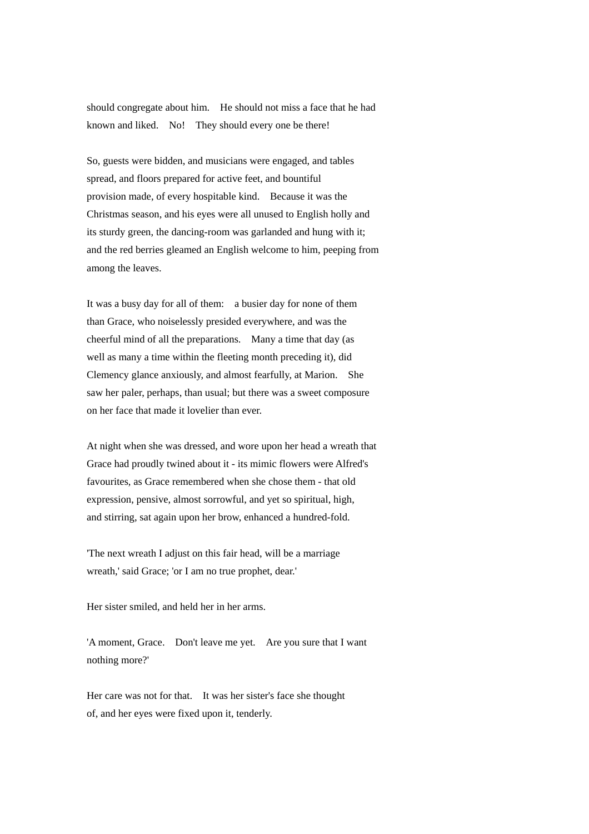should congregate about him. He should not miss a face that he had known and liked. No! They should every one be there!

So, guests were bidden, and musicians were engaged, and tables spread, and floors prepared for active feet, and bountiful provision made, of every hospitable kind. Because it was the Christmas season, and his eyes were all unused to English holly and its sturdy green, the dancing-room was garlanded and hung with it; and the red berries gleamed an English welcome to him, peeping from among the leaves.

It was a busy day for all of them: a busier day for none of them than Grace, who noiselessly presided everywhere, and was the cheerful mind of all the preparations. Many a time that day (as well as many a time within the fleeting month preceding it), did Clemency glance anxiously, and almost fearfully, at Marion. She saw her paler, perhaps, than usual; but there was a sweet composure on her face that made it lovelier than ever.

At night when she was dressed, and wore upon her head a wreath that Grace had proudly twined about it - its mimic flowers were Alfred's favourites, as Grace remembered when she chose them - that old expression, pensive, almost sorrowful, and yet so spiritual, high, and stirring, sat again upon her brow, enhanced a hundred-fold.

'The next wreath I adjust on this fair head, will be a marriage wreath,' said Grace; 'or I am no true prophet, dear.'

Her sister smiled, and held her in her arms.

'A moment, Grace. Don't leave me yet. Are you sure that I want nothing more?'

Her care was not for that. It was her sister's face she thought of, and her eyes were fixed upon it, tenderly.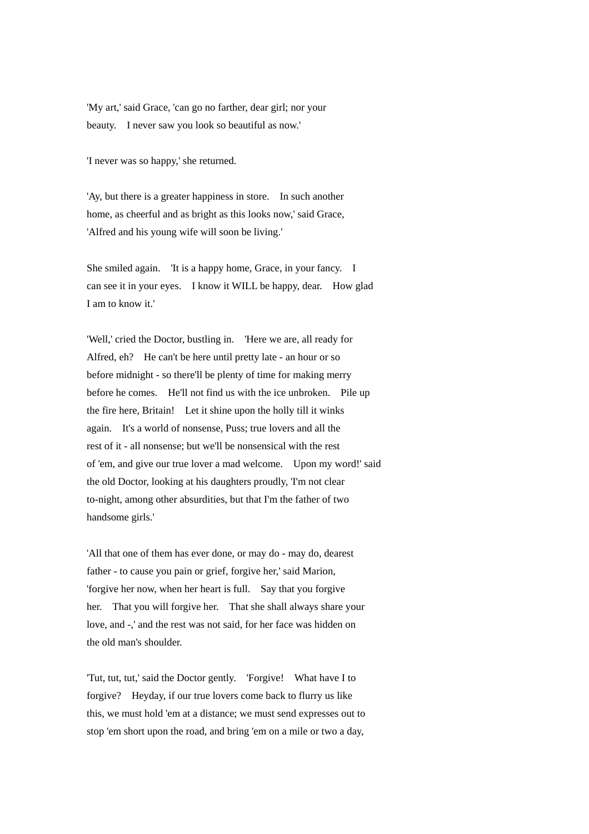'My art,' said Grace, 'can go no farther, dear girl; nor your beauty. I never saw you look so beautiful as now.'

'I never was so happy,' she returned.

'Ay, but there is a greater happiness in store. In such another home, as cheerful and as bright as this looks now,' said Grace, 'Alfred and his young wife will soon be living.'

She smiled again. 'It is a happy home, Grace, in your fancy. I can see it in your eyes. I know it WILL be happy, dear. How glad I am to know it.'

'Well,' cried the Doctor, bustling in. 'Here we are, all ready for Alfred, eh? He can't be here until pretty late - an hour or so before midnight - so there'll be plenty of time for making merry before he comes. He'll not find us with the ice unbroken. Pile up the fire here, Britain! Let it shine upon the holly till it winks again. It's a world of nonsense, Puss; true lovers and all the rest of it - all nonsense; but we'll be nonsensical with the rest of 'em, and give our true lover a mad welcome. Upon my word!' said the old Doctor, looking at his daughters proudly, 'I'm not clear to-night, among other absurdities, but that I'm the father of two handsome girls.'

'All that one of them has ever done, or may do - may do, dearest father - to cause you pain or grief, forgive her,' said Marion, 'forgive her now, when her heart is full. Say that you forgive her. That you will forgive her. That she shall always share your love, and -,' and the rest was not said, for her face was hidden on the old man's shoulder.

'Tut, tut, tut,' said the Doctor gently. 'Forgive! What have I to forgive? Heyday, if our true lovers come back to flurry us like this, we must hold 'em at a distance; we must send expresses out to stop 'em short upon the road, and bring 'em on a mile or two a day,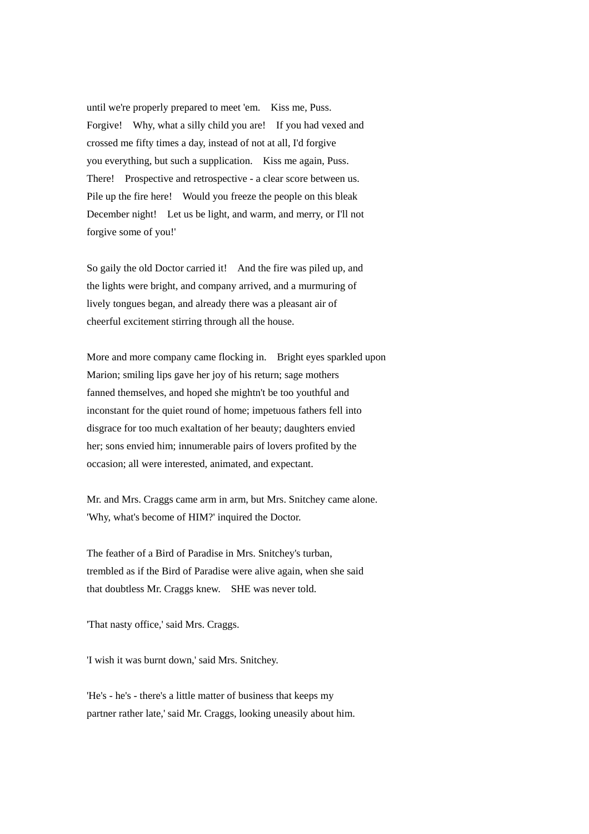until we're properly prepared to meet 'em. Kiss me, Puss. Forgive! Why, what a silly child you are! If you had vexed and crossed me fifty times a day, instead of not at all, I'd forgive you everything, but such a supplication. Kiss me again, Puss. There! Prospective and retrospective - a clear score between us. Pile up the fire here! Would you freeze the people on this bleak December night! Let us be light, and warm, and merry, or I'll not forgive some of you!'

So gaily the old Doctor carried it! And the fire was piled up, and the lights were bright, and company arrived, and a murmuring of lively tongues began, and already there was a pleasant air of cheerful excitement stirring through all the house.

More and more company came flocking in. Bright eyes sparkled upon Marion; smiling lips gave her joy of his return; sage mothers fanned themselves, and hoped she mightn't be too youthful and inconstant for the quiet round of home; impetuous fathers fell into disgrace for too much exaltation of her beauty; daughters envied her; sons envied him; innumerable pairs of lovers profited by the occasion; all were interested, animated, and expectant.

Mr. and Mrs. Craggs came arm in arm, but Mrs. Snitchey came alone. 'Why, what's become of HIM?' inquired the Doctor.

The feather of a Bird of Paradise in Mrs. Snitchey's turban, trembled as if the Bird of Paradise were alive again, when she said that doubtless Mr. Craggs knew. SHE was never told.

'That nasty office,' said Mrs. Craggs.

'I wish it was burnt down,' said Mrs. Snitchey.

'He's - he's - there's a little matter of business that keeps my partner rather late,' said Mr. Craggs, looking uneasily about him.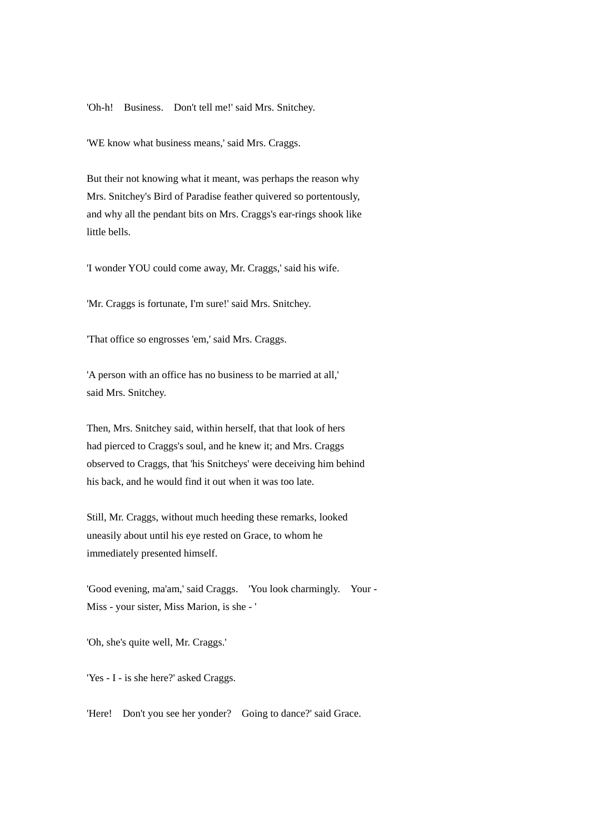'Oh-h! Business. Don't tell me!' said Mrs. Snitchey.

'WE know what business means,' said Mrs. Craggs.

But their not knowing what it meant, was perhaps the reason why Mrs. Snitchey's Bird of Paradise feather quivered so portentously, and why all the pendant bits on Mrs. Craggs's ear-rings shook like little bells.

'I wonder YOU could come away, Mr. Craggs,' said his wife.

'Mr. Craggs is fortunate, I'm sure!' said Mrs. Snitchey.

'That office so engrosses 'em,' said Mrs. Craggs.

'A person with an office has no business to be married at all,' said Mrs. Snitchey.

Then, Mrs. Snitchey said, within herself, that that look of hers had pierced to Craggs's soul, and he knew it; and Mrs. Craggs observed to Craggs, that 'his Snitcheys' were deceiving him behind his back, and he would find it out when it was too late.

Still, Mr. Craggs, without much heeding these remarks, looked uneasily about until his eye rested on Grace, to whom he immediately presented himself.

'Good evening, ma'am,' said Craggs. 'You look charmingly. Your - Miss - your sister, Miss Marion, is she - '

'Oh, she's quite well, Mr. Craggs.'

'Yes - I - is she here?' asked Craggs.

'Here! Don't you see her yonder? Going to dance?' said Grace.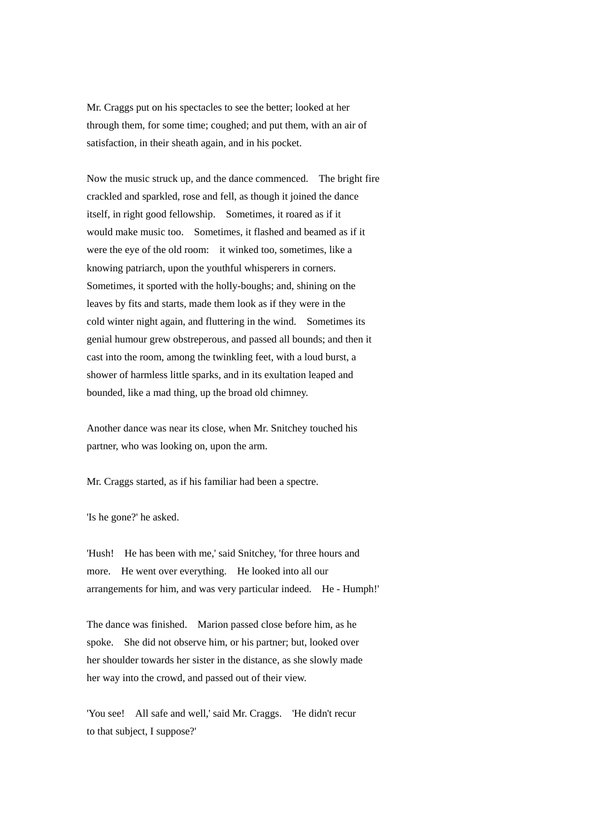Mr. Craggs put on his spectacles to see the better; looked at her through them, for some time; coughed; and put them, with an air of satisfaction, in their sheath again, and in his pocket.

Now the music struck up, and the dance commenced. The bright fire crackled and sparkled, rose and fell, as though it joined the dance itself, in right good fellowship. Sometimes, it roared as if it would make music too. Sometimes, it flashed and beamed as if it were the eye of the old room: it winked too, sometimes, like a knowing patriarch, upon the youthful whisperers in corners. Sometimes, it sported with the holly-boughs; and, shining on the leaves by fits and starts, made them look as if they were in the cold winter night again, and fluttering in the wind. Sometimes its genial humour grew obstreperous, and passed all bounds; and then it cast into the room, among the twinkling feet, with a loud burst, a shower of harmless little sparks, and in its exultation leaped and bounded, like a mad thing, up the broad old chimney.

Another dance was near its close, when Mr. Snitchey touched his partner, who was looking on, upon the arm.

Mr. Craggs started, as if his familiar had been a spectre.

'Is he gone?' he asked.

'Hush! He has been with me,' said Snitchey, 'for three hours and more. He went over everything. He looked into all our arrangements for him, and was very particular indeed. He - Humph!'

The dance was finished. Marion passed close before him, as he spoke. She did not observe him, or his partner; but, looked over her shoulder towards her sister in the distance, as she slowly made her way into the crowd, and passed out of their view.

'You see! All safe and well,' said Mr. Craggs. 'He didn't recur to that subject, I suppose?'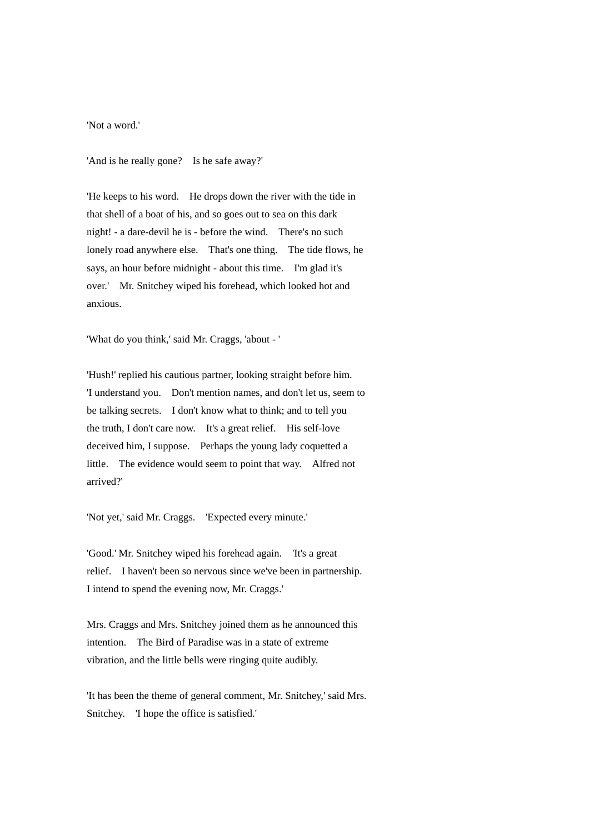'Not a word.'

'And is he really gone? Is he safe away?'

'He keeps to his word. He drops down the river with the tide in that shell of a boat of his, and so goes out to sea on this dark night! - a dare-devil he is - before the wind. There's no such lonely road anywhere else. That's one thing. The tide flows, he says, an hour before midnight - about this time. I'm glad it's over.' Mr. Snitchey wiped his forehead, which looked hot and anxious.

'What do you think,' said Mr. Craggs, 'about - '

'Hush!' replied his cautious partner, looking straight before him. 'I understand you. Don't mention names, and don't let us, seem to be talking secrets. I don't know what to think; and to tell you the truth, I don't care now. It's a great relief. His self-love deceived him, I suppose. Perhaps the young lady coquetted a little. The evidence would seem to point that way. Alfred not arrived?'

'Not yet,' said Mr. Craggs. 'Expected every minute.'

'Good.' Mr. Snitchey wiped his forehead again. 'It's a great relief. I haven't been so nervous since we've been in partnership. I intend to spend the evening now, Mr. Craggs.'

Mrs. Craggs and Mrs. Snitchey joined them as he announced this intention. The Bird of Paradise was in a state of extreme vibration, and the little bells were ringing quite audibly.

'It has been the theme of general comment, Mr. Snitchey,' said Mrs. Snitchey. 'I hope the office is satisfied.'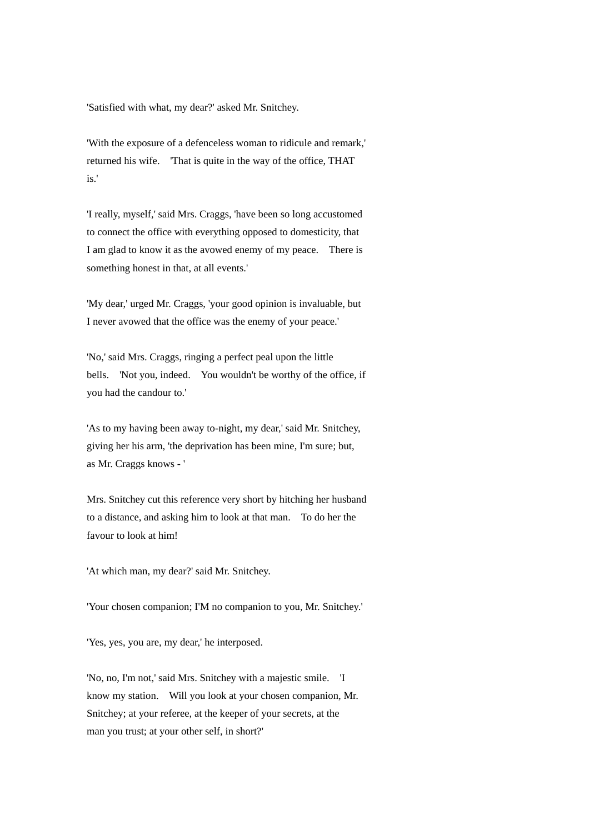'Satisfied with what, my dear?' asked Mr. Snitchey.

'With the exposure of a defenceless woman to ridicule and remark,' returned his wife. 'That is quite in the way of the office, THAT is.'

'I really, myself,' said Mrs. Craggs, 'have been so long accustomed to connect the office with everything opposed to domesticity, that I am glad to know it as the avowed enemy of my peace. There is something honest in that, at all events.'

'My dear,' urged Mr. Craggs, 'your good opinion is invaluable, but I never avowed that the office was the enemy of your peace.'

'No,' said Mrs. Craggs, ringing a perfect peal upon the little bells. 'Not you, indeed. You wouldn't be worthy of the office, if you had the candour to.'

'As to my having been away to-night, my dear,' said Mr. Snitchey, giving her his arm, 'the deprivation has been mine, I'm sure; but, as Mr. Craggs knows - '

Mrs. Snitchey cut this reference very short by hitching her husband to a distance, and asking him to look at that man. To do her the favour to look at him!

'At which man, my dear?' said Mr. Snitchey.

'Your chosen companion; I'M no companion to you, Mr. Snitchey.'

'Yes, yes, you are, my dear,' he interposed.

'No, no, I'm not,' said Mrs. Snitchey with a majestic smile. 'I know my station. Will you look at your chosen companion, Mr. Snitchey; at your referee, at the keeper of your secrets, at the man you trust; at your other self, in short?'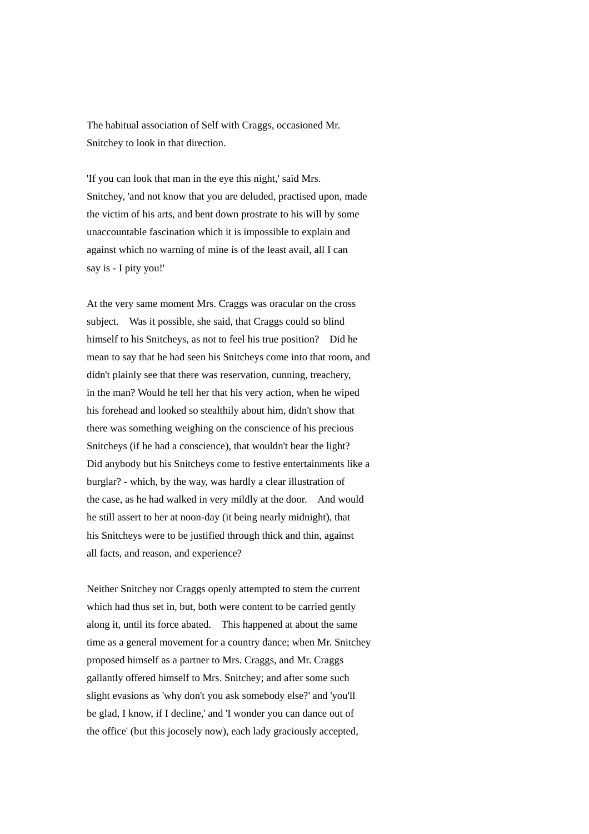The habitual association of Self with Craggs, occasioned Mr. Snitchey to look in that direction.

'If you can look that man in the eye this night,' said Mrs. Snitchey, 'and not know that you are deluded, practised upon, made the victim of his arts, and bent down prostrate to his will by some unaccountable fascination which it is impossible to explain and against which no warning of mine is of the least avail, all I can say is - I pity you!'

At the very same moment Mrs. Craggs was oracular on the cross subject. Was it possible, she said, that Craggs could so blind himself to his Snitcheys, as not to feel his true position? Did he mean to say that he had seen his Snitcheys come into that room, and didn't plainly see that there was reservation, cunning, treachery, in the man? Would he tell her that his very action, when he wiped his forehead and looked so stealthily about him, didn't show that there was something weighing on the conscience of his precious Snitcheys (if he had a conscience), that wouldn't bear the light? Did anybody but his Snitcheys come to festive entertainments like a burglar? - which, by the way, was hardly a clear illustration of the case, as he had walked in very mildly at the door. And would he still assert to her at noon-day (it being nearly midnight), that his Snitcheys were to be justified through thick and thin, against all facts, and reason, and experience?

Neither Snitchey nor Craggs openly attempted to stem the current which had thus set in, but, both were content to be carried gently along it, until its force abated. This happened at about the same time as a general movement for a country dance; when Mr. Snitchey proposed himself as a partner to Mrs. Craggs, and Mr. Craggs gallantly offered himself to Mrs. Snitchey; and after some such slight evasions as 'why don't you ask somebody else?' and 'you'll be glad, I know, if I decline,' and 'I wonder you can dance out of the office' (but this jocosely now), each lady graciously accepted,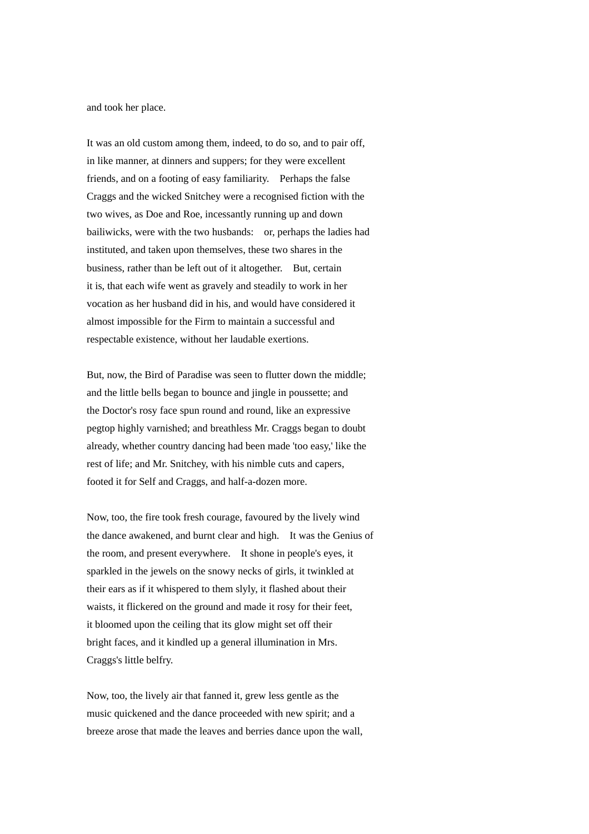and took her place.

It was an old custom among them, indeed, to do so, and to pair off, in like manner, at dinners and suppers; for they were excellent friends, and on a footing of easy familiarity. Perhaps the false Craggs and the wicked Snitchey were a recognised fiction with the two wives, as Doe and Roe, incessantly running up and down bailiwicks, were with the two husbands: or, perhaps the ladies had instituted, and taken upon themselves, these two shares in the business, rather than be left out of it altogether. But, certain it is, that each wife went as gravely and steadily to work in her vocation as her husband did in his, and would have considered it almost impossible for the Firm to maintain a successful and respectable existence, without her laudable exertions.

But, now, the Bird of Paradise was seen to flutter down the middle; and the little bells began to bounce and jingle in poussette; and the Doctor's rosy face spun round and round, like an expressive pegtop highly varnished; and breathless Mr. Craggs began to doubt already, whether country dancing had been made 'too easy,' like the rest of life; and Mr. Snitchey, with his nimble cuts and capers, footed it for Self and Craggs, and half-a-dozen more.

Now, too, the fire took fresh courage, favoured by the lively wind the dance awakened, and burnt clear and high. It was the Genius of the room, and present everywhere. It shone in people's eyes, it sparkled in the jewels on the snowy necks of girls, it twinkled at their ears as if it whispered to them slyly, it flashed about their waists, it flickered on the ground and made it rosy for their feet, it bloomed upon the ceiling that its glow might set off their bright faces, and it kindled up a general illumination in Mrs. Craggs's little belfry.

Now, too, the lively air that fanned it, grew less gentle as the music quickened and the dance proceeded with new spirit; and a breeze arose that made the leaves and berries dance upon the wall,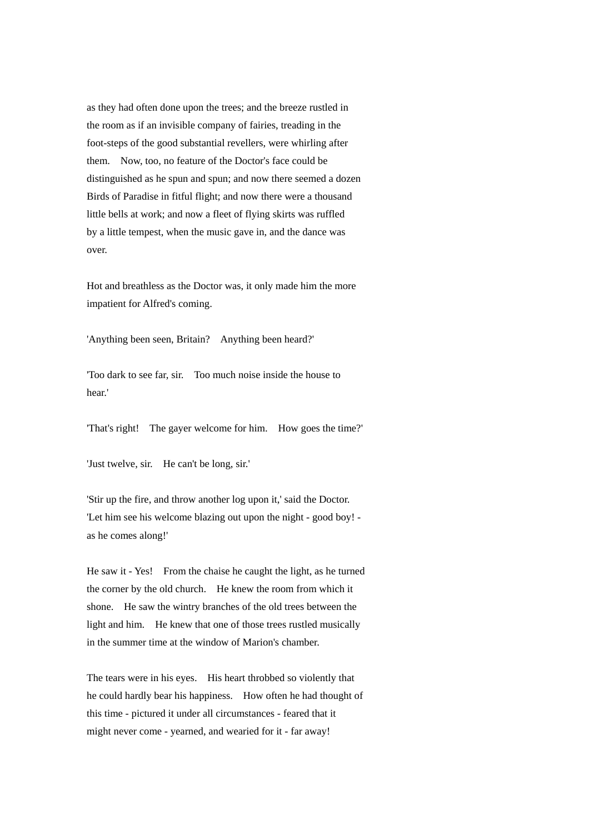as they had often done upon the trees; and the breeze rustled in the room as if an invisible company of fairies, treading in the foot-steps of the good substantial revellers, were whirling after them. Now, too, no feature of the Doctor's face could be distinguished as he spun and spun; and now there seemed a dozen Birds of Paradise in fitful flight; and now there were a thousand little bells at work; and now a fleet of flying skirts was ruffled by a little tempest, when the music gave in, and the dance was over.

Hot and breathless as the Doctor was, it only made him the more impatient for Alfred's coming.

'Anything been seen, Britain? Anything been heard?'

'Too dark to see far, sir. Too much noise inside the house to hear.'

'That's right! The gayer welcome for him. How goes the time?'

'Just twelve, sir. He can't be long, sir.'

'Stir up the fire, and throw another log upon it,' said the Doctor. 'Let him see his welcome blazing out upon the night - good boy! as he comes along!'

He saw it - Yes! From the chaise he caught the light, as he turned the corner by the old church. He knew the room from which it shone. He saw the wintry branches of the old trees between the light and him. He knew that one of those trees rustled musically in the summer time at the window of Marion's chamber.

The tears were in his eyes. His heart throbbed so violently that he could hardly bear his happiness. How often he had thought of this time - pictured it under all circumstances - feared that it might never come - yearned, and wearied for it - far away!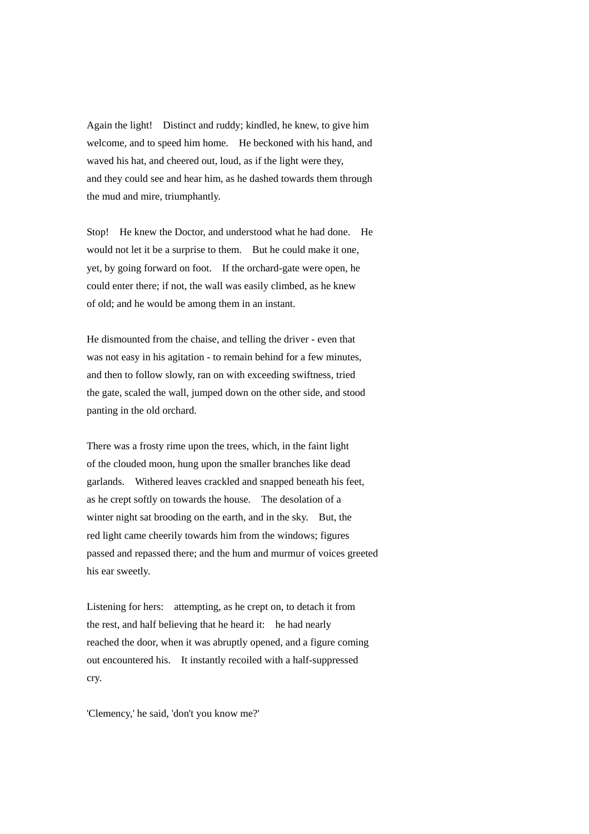Again the light! Distinct and ruddy; kindled, he knew, to give him welcome, and to speed him home. He beckoned with his hand, and waved his hat, and cheered out, loud, as if the light were they, and they could see and hear him, as he dashed towards them through the mud and mire, triumphantly.

Stop! He knew the Doctor, and understood what he had done. He would not let it be a surprise to them. But he could make it one, yet, by going forward on foot. If the orchard-gate were open, he could enter there; if not, the wall was easily climbed, as he knew of old; and he would be among them in an instant.

He dismounted from the chaise, and telling the driver - even that was not easy in his agitation - to remain behind for a few minutes, and then to follow slowly, ran on with exceeding swiftness, tried the gate, scaled the wall, jumped down on the other side, and stood panting in the old orchard.

There was a frosty rime upon the trees, which, in the faint light of the clouded moon, hung upon the smaller branches like dead garlands. Withered leaves crackled and snapped beneath his feet, as he crept softly on towards the house. The desolation of a winter night sat brooding on the earth, and in the sky. But, the red light came cheerily towards him from the windows; figures passed and repassed there; and the hum and murmur of voices greeted his ear sweetly.

Listening for hers: attempting, as he crept on, to detach it from the rest, and half believing that he heard it: he had nearly reached the door, when it was abruptly opened, and a figure coming out encountered his. It instantly recoiled with a half-suppressed cry.

'Clemency,' he said, 'don't you know me?'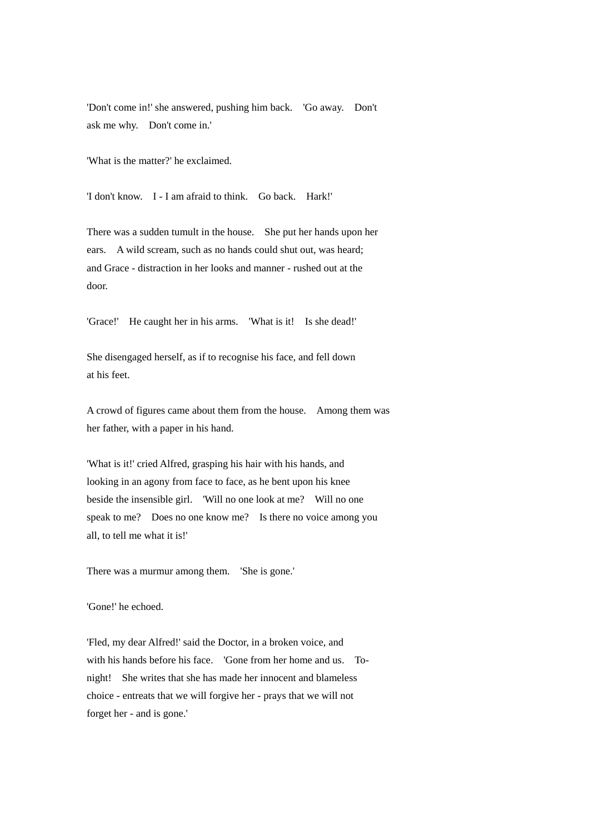'Don't come in!' she answered, pushing him back. 'Go away. Don't ask me why. Don't come in.'

'What is the matter?' he exclaimed.

'I don't know. I - I am afraid to think. Go back. Hark!'

There was a sudden tumult in the house. She put her hands upon her ears. A wild scream, such as no hands could shut out, was heard; and Grace - distraction in her looks and manner - rushed out at the door.

'Grace!' He caught her in his arms. 'What is it! Is she dead!'

She disengaged herself, as if to recognise his face, and fell down at his feet.

A crowd of figures came about them from the house. Among them was her father, with a paper in his hand.

'What is it!' cried Alfred, grasping his hair with his hands, and looking in an agony from face to face, as he bent upon his knee beside the insensible girl. 'Will no one look at me? Will no one speak to me? Does no one know me? Is there no voice among you all, to tell me what it is!'

There was a murmur among them. 'She is gone.'

'Gone!' he echoed.

'Fled, my dear Alfred!' said the Doctor, in a broken voice, and with his hands before his face. 'Gone from her home and us. Tonight! She writes that she has made her innocent and blameless choice - entreats that we will forgive her - prays that we will not forget her - and is gone.'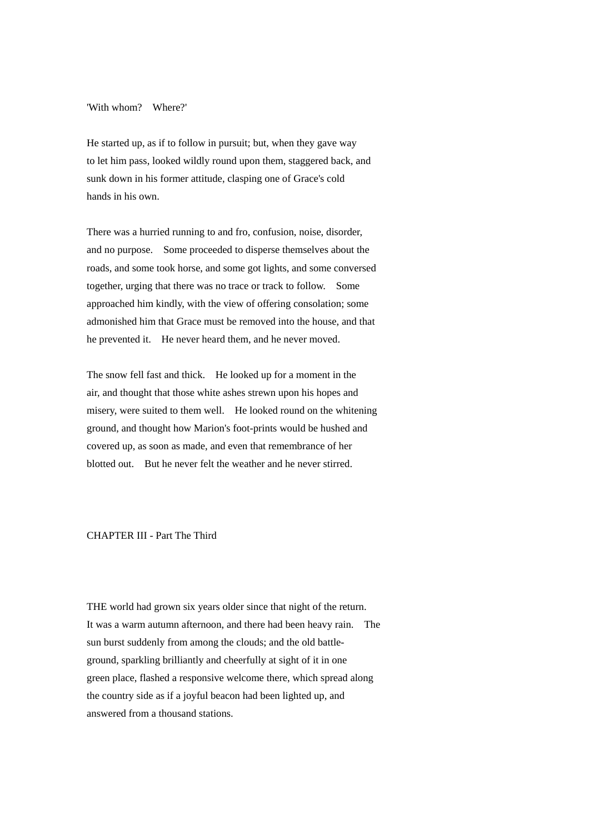'With whom? Where?'

He started up, as if to follow in pursuit; but, when they gave way to let him pass, looked wildly round upon them, staggered back, and sunk down in his former attitude, clasping one of Grace's cold hands in his own.

There was a hurried running to and fro, confusion, noise, disorder, and no purpose. Some proceeded to disperse themselves about the roads, and some took horse, and some got lights, and some conversed together, urging that there was no trace or track to follow. Some approached him kindly, with the view of offering consolation; some admonished him that Grace must be removed into the house, and that he prevented it. He never heard them, and he never moved.

The snow fell fast and thick. He looked up for a moment in the air, and thought that those white ashes strewn upon his hopes and misery, were suited to them well. He looked round on the whitening ground, and thought how Marion's foot-prints would be hushed and covered up, as soon as made, and even that remembrance of her blotted out. But he never felt the weather and he never stirred.

## CHAPTER III - Part The Third

THE world had grown six years older since that night of the return. It was a warm autumn afternoon, and there had been heavy rain. The sun burst suddenly from among the clouds; and the old battleground, sparkling brilliantly and cheerfully at sight of it in one green place, flashed a responsive welcome there, which spread along the country side as if a joyful beacon had been lighted up, and answered from a thousand stations.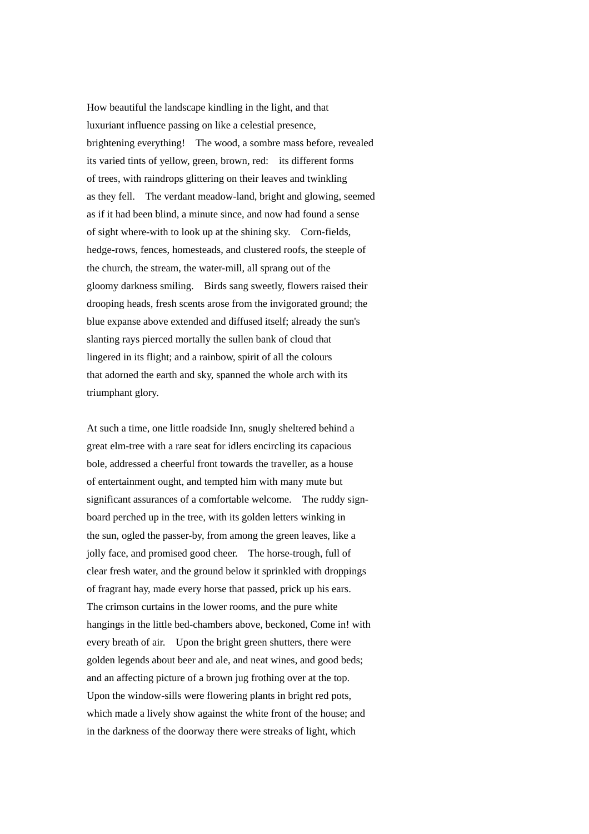How beautiful the landscape kindling in the light, and that luxuriant influence passing on like a celestial presence, brightening everything! The wood, a sombre mass before, revealed its varied tints of yellow, green, brown, red: its different forms of trees, with raindrops glittering on their leaves and twinkling as they fell. The verdant meadow-land, bright and glowing, seemed as if it had been blind, a minute since, and now had found a sense of sight where-with to look up at the shining sky. Corn-fields, hedge-rows, fences, homesteads, and clustered roofs, the steeple of the church, the stream, the water-mill, all sprang out of the gloomy darkness smiling. Birds sang sweetly, flowers raised their drooping heads, fresh scents arose from the invigorated ground; the blue expanse above extended and diffused itself; already the sun's slanting rays pierced mortally the sullen bank of cloud that lingered in its flight; and a rainbow, spirit of all the colours that adorned the earth and sky, spanned the whole arch with its triumphant glory.

At such a time, one little roadside Inn, snugly sheltered behind a great elm-tree with a rare seat for idlers encircling its capacious bole, addressed a cheerful front towards the traveller, as a house of entertainment ought, and tempted him with many mute but significant assurances of a comfortable welcome. The ruddy signboard perched up in the tree, with its golden letters winking in the sun, ogled the passer-by, from among the green leaves, like a jolly face, and promised good cheer. The horse-trough, full of clear fresh water, and the ground below it sprinkled with droppings of fragrant hay, made every horse that passed, prick up his ears. The crimson curtains in the lower rooms, and the pure white hangings in the little bed-chambers above, beckoned, Come in! with every breath of air. Upon the bright green shutters, there were golden legends about beer and ale, and neat wines, and good beds; and an affecting picture of a brown jug frothing over at the top. Upon the window-sills were flowering plants in bright red pots, which made a lively show against the white front of the house; and in the darkness of the doorway there were streaks of light, which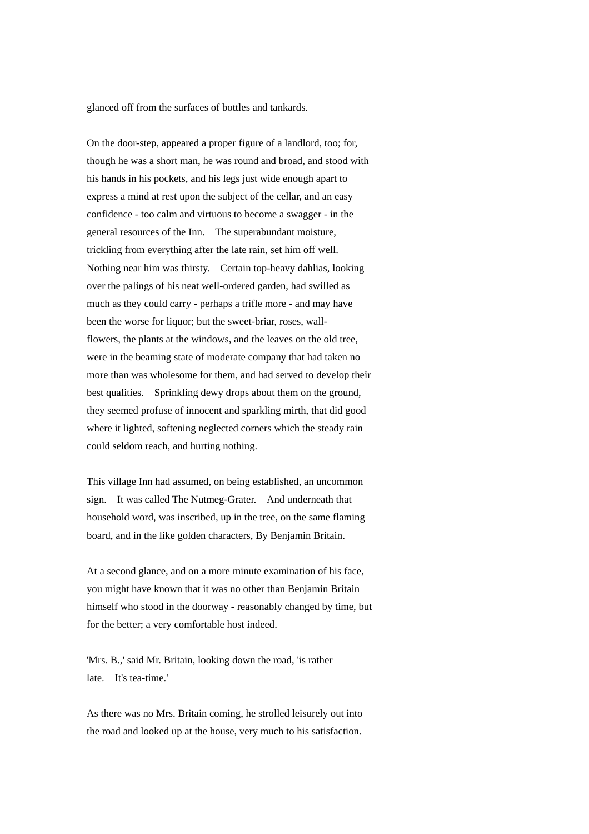glanced off from the surfaces of bottles and tankards.

On the door-step, appeared a proper figure of a landlord, too; for, though he was a short man, he was round and broad, and stood with his hands in his pockets, and his legs just wide enough apart to express a mind at rest upon the subject of the cellar, and an easy confidence - too calm and virtuous to become a swagger - in the general resources of the Inn. The superabundant moisture, trickling from everything after the late rain, set him off well. Nothing near him was thirsty. Certain top-heavy dahlias, looking over the palings of his neat well-ordered garden, had swilled as much as they could carry - perhaps a trifle more - and may have been the worse for liquor; but the sweet-briar, roses, wallflowers, the plants at the windows, and the leaves on the old tree, were in the beaming state of moderate company that had taken no more than was wholesome for them, and had served to develop their best qualities. Sprinkling dewy drops about them on the ground, they seemed profuse of innocent and sparkling mirth, that did good where it lighted, softening neglected corners which the steady rain could seldom reach, and hurting nothing.

This village Inn had assumed, on being established, an uncommon sign. It was called The Nutmeg-Grater. And underneath that household word, was inscribed, up in the tree, on the same flaming board, and in the like golden characters, By Benjamin Britain.

At a second glance, and on a more minute examination of his face, you might have known that it was no other than Benjamin Britain himself who stood in the doorway - reasonably changed by time, but for the better; a very comfortable host indeed.

'Mrs. B.,' said Mr. Britain, looking down the road, 'is rather late. It's tea-time.'

As there was no Mrs. Britain coming, he strolled leisurely out into the road and looked up at the house, very much to his satisfaction.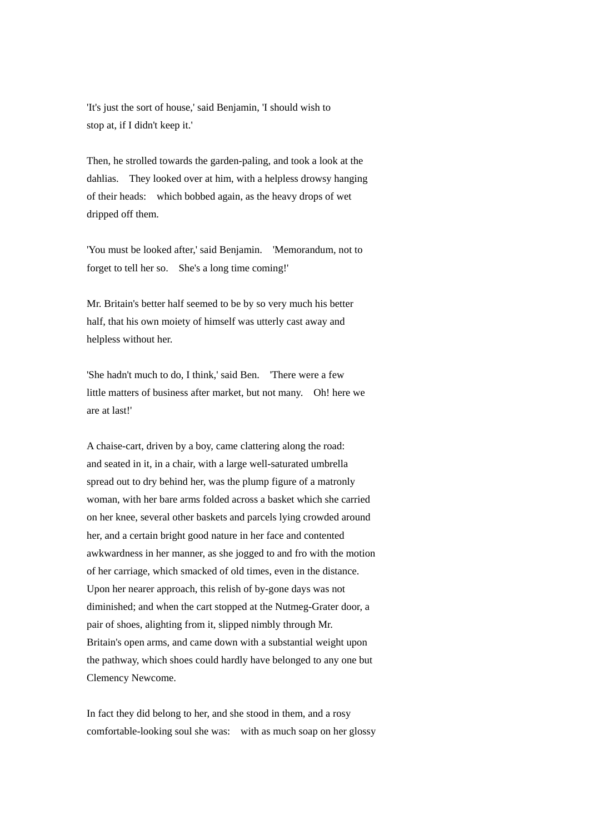'It's just the sort of house,' said Benjamin, 'I should wish to stop at, if I didn't keep it.'

Then, he strolled towards the garden-paling, and took a look at the dahlias. They looked over at him, with a helpless drowsy hanging of their heads: which bobbed again, as the heavy drops of wet dripped off them.

'You must be looked after,' said Benjamin. 'Memorandum, not to forget to tell her so. She's a long time coming!'

Mr. Britain's better half seemed to be by so very much his better half, that his own moiety of himself was utterly cast away and helpless without her.

'She hadn't much to do, I think,' said Ben. 'There were a few little matters of business after market, but not many. Oh! here we are at last!'

A chaise-cart, driven by a boy, came clattering along the road: and seated in it, in a chair, with a large well-saturated umbrella spread out to dry behind her, was the plump figure of a matronly woman, with her bare arms folded across a basket which she carried on her knee, several other baskets and parcels lying crowded around her, and a certain bright good nature in her face and contented awkwardness in her manner, as she jogged to and fro with the motion of her carriage, which smacked of old times, even in the distance. Upon her nearer approach, this relish of by-gone days was not diminished; and when the cart stopped at the Nutmeg-Grater door, a pair of shoes, alighting from it, slipped nimbly through Mr. Britain's open arms, and came down with a substantial weight upon the pathway, which shoes could hardly have belonged to any one but Clemency Newcome.

In fact they did belong to her, and she stood in them, and a rosy comfortable-looking soul she was: with as much soap on her glossy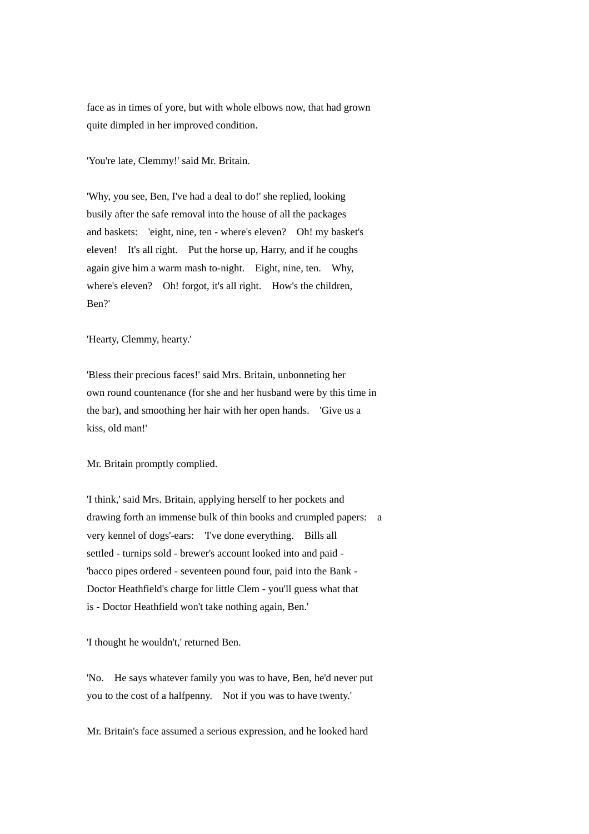face as in times of yore, but with whole elbows now, that had grown quite dimpled in her improved condition.

'You're late, Clemmy!' said Mr. Britain.

'Why, you see, Ben, I've had a deal to do!' she replied, looking busily after the safe removal into the house of all the packages and baskets: 'eight, nine, ten - where's eleven? Oh! my basket's eleven! It's all right. Put the horse up, Harry, and if he coughs again give him a warm mash to-night. Eight, nine, ten. Why, where's eleven? Oh! forgot, it's all right. How's the children, Ben?'

'Hearty, Clemmy, hearty.'

'Bless their precious faces!' said Mrs. Britain, unbonneting her own round countenance (for she and her husband were by this time in the bar), and smoothing her hair with her open hands. 'Give us a kiss, old man!'

Mr. Britain promptly complied.

'I think,' said Mrs. Britain, applying herself to her pockets and drawing forth an immense bulk of thin books and crumpled papers: a very kennel of dogs'-ears: 'I've done everything. Bills all settled - turnips sold - brewer's account looked into and paid - 'bacco pipes ordered - seventeen pound four, paid into the Bank - Doctor Heathfield's charge for little Clem - you'll guess what that is - Doctor Heathfield won't take nothing again, Ben.'

'I thought he wouldn't,' returned Ben.

'No. He says whatever family you was to have, Ben, he'd never put you to the cost of a halfpenny. Not if you was to have twenty.'

Mr. Britain's face assumed a serious expression, and he looked hard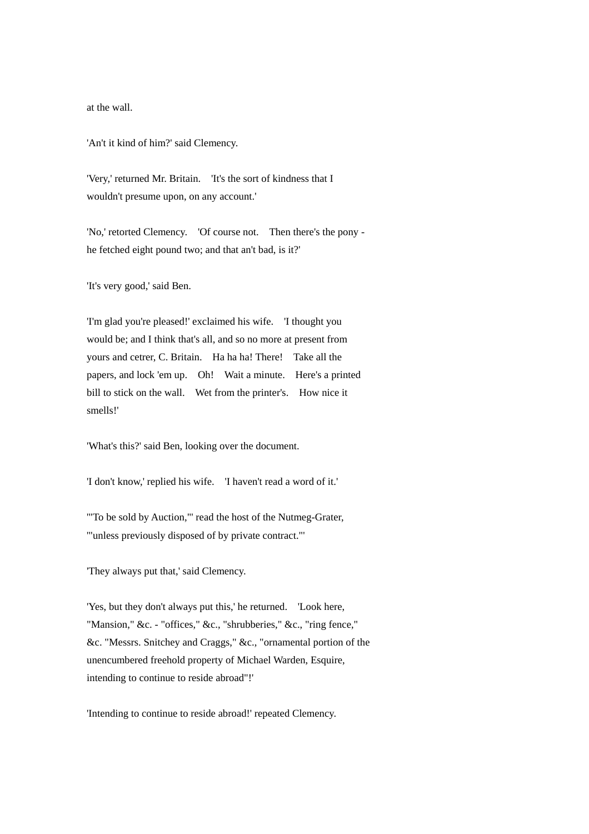at the wall.

'An't it kind of him?' said Clemency.

'Very,' returned Mr. Britain. 'It's the sort of kindness that I wouldn't presume upon, on any account.'

'No,' retorted Clemency. 'Of course not. Then there's the pony he fetched eight pound two; and that an't bad, is it?'

'It's very good,' said Ben.

'I'm glad you're pleased!' exclaimed his wife. 'I thought you would be; and I think that's all, and so no more at present from yours and cetrer, C. Britain. Ha ha ha! There! Take all the papers, and lock 'em up. Oh! Wait a minute. Here's a printed bill to stick on the wall. Wet from the printer's. How nice it smells!'

'What's this?' said Ben, looking over the document.

'I don't know,' replied his wife. 'I haven't read a word of it.'

'"To be sold by Auction,"' read the host of the Nutmeg-Grater, '"unless previously disposed of by private contract."'

'They always put that,' said Clemency.

'Yes, but they don't always put this,' he returned. 'Look here, "Mansion," &c. - "offices," &c., "shrubberies," &c., "ring fence," &c. "Messrs. Snitchey and Craggs," &c., "ornamental portion of the unencumbered freehold property of Michael Warden, Esquire, intending to continue to reside abroad"!'

'Intending to continue to reside abroad!' repeated Clemency.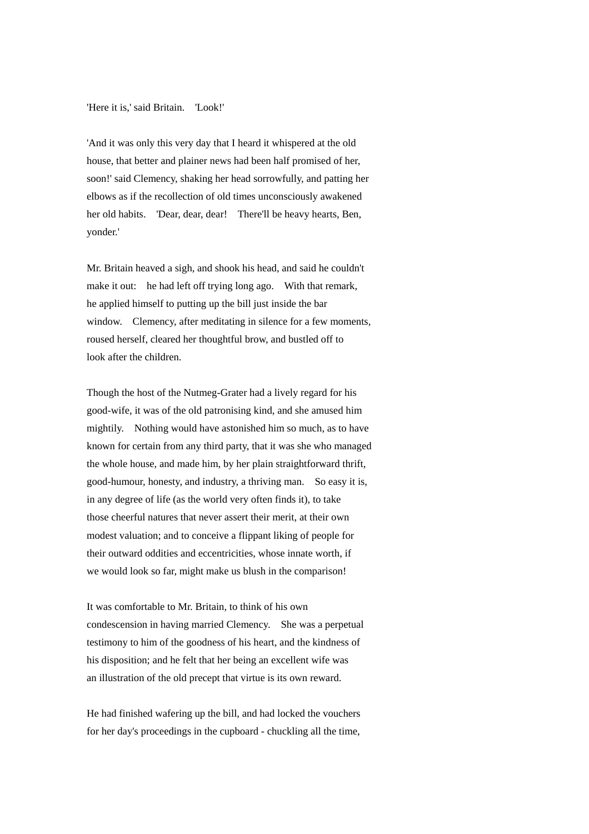'Here it is,' said Britain. 'Look!'

'And it was only this very day that I heard it whispered at the old house, that better and plainer news had been half promised of her, soon!' said Clemency, shaking her head sorrowfully, and patting her elbows as if the recollection of old times unconsciously awakened her old habits. 'Dear, dear, dear! There'll be heavy hearts, Ben, yonder.'

Mr. Britain heaved a sigh, and shook his head, and said he couldn't make it out: he had left off trying long ago. With that remark, he applied himself to putting up the bill just inside the bar window. Clemency, after meditating in silence for a few moments, roused herself, cleared her thoughtful brow, and bustled off to look after the children.

Though the host of the Nutmeg-Grater had a lively regard for his good-wife, it was of the old patronising kind, and she amused him mightily. Nothing would have astonished him so much, as to have known for certain from any third party, that it was she who managed the whole house, and made him, by her plain straightforward thrift, good-humour, honesty, and industry, a thriving man. So easy it is, in any degree of life (as the world very often finds it), to take those cheerful natures that never assert their merit, at their own modest valuation; and to conceive a flippant liking of people for their outward oddities and eccentricities, whose innate worth, if we would look so far, might make us blush in the comparison!

It was comfortable to Mr. Britain, to think of his own condescension in having married Clemency. She was a perpetual testimony to him of the goodness of his heart, and the kindness of his disposition; and he felt that her being an excellent wife was an illustration of the old precept that virtue is its own reward.

He had finished wafering up the bill, and had locked the vouchers for her day's proceedings in the cupboard - chuckling all the time,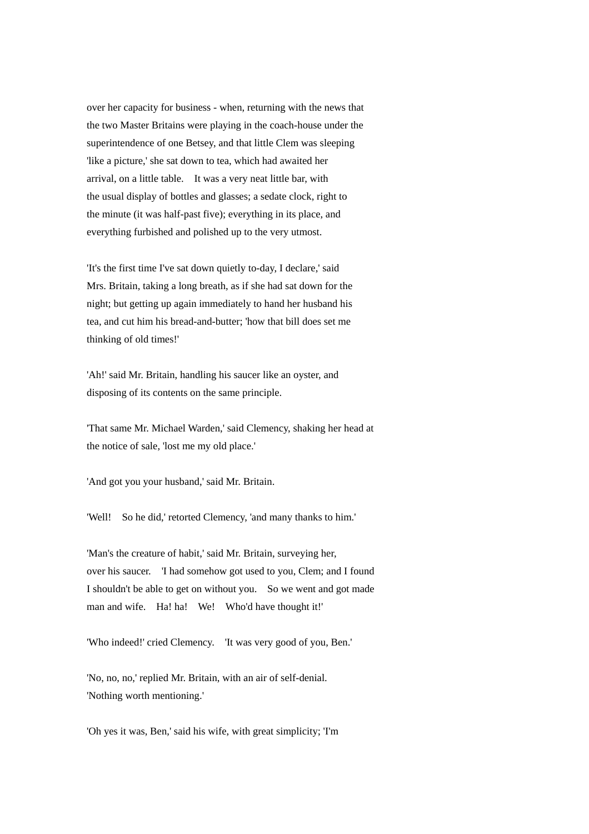over her capacity for business - when, returning with the news that the two Master Britains were playing in the coach-house under the superintendence of one Betsey, and that little Clem was sleeping 'like a picture,' she sat down to tea, which had awaited her arrival, on a little table. It was a very neat little bar, with the usual display of bottles and glasses; a sedate clock, right to the minute (it was half-past five); everything in its place, and everything furbished and polished up to the very utmost.

'It's the first time I've sat down quietly to-day, I declare,' said Mrs. Britain, taking a long breath, as if she had sat down for the night; but getting up again immediately to hand her husband his tea, and cut him his bread-and-butter; 'how that bill does set me thinking of old times!'

'Ah!' said Mr. Britain, handling his saucer like an oyster, and disposing of its contents on the same principle.

'That same Mr. Michael Warden,' said Clemency, shaking her head at the notice of sale, 'lost me my old place.'

'And got you your husband,' said Mr. Britain.

'Well! So he did,' retorted Clemency, 'and many thanks to him.'

'Man's the creature of habit,' said Mr. Britain, surveying her, over his saucer. 'I had somehow got used to you, Clem; and I found I shouldn't be able to get on without you. So we went and got made man and wife. Ha! ha! We! Who'd have thought it!'

'Who indeed!' cried Clemency. 'It was very good of you, Ben.'

'No, no, no,' replied Mr. Britain, with an air of self-denial. 'Nothing worth mentioning.'

'Oh yes it was, Ben,' said his wife, with great simplicity; 'I'm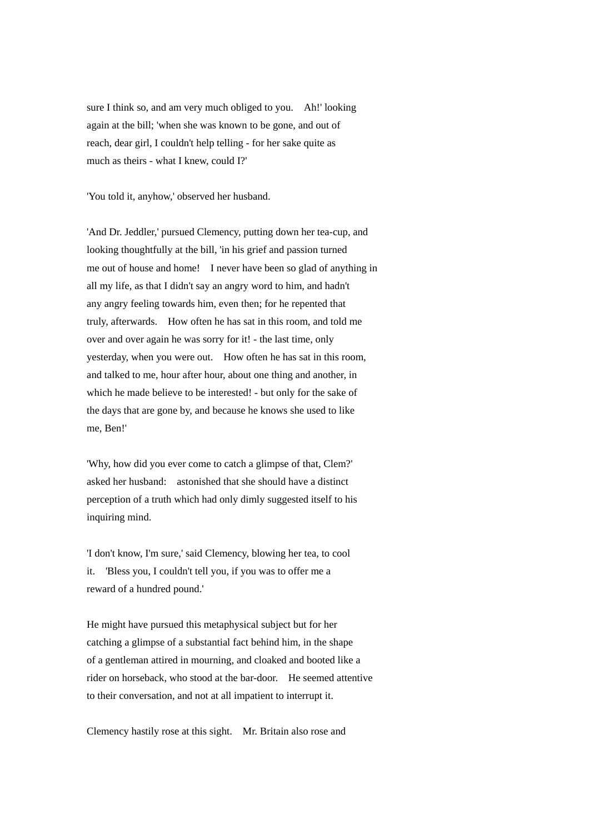sure I think so, and am very much obliged to you. Ah!' looking again at the bill; 'when she was known to be gone, and out of reach, dear girl, I couldn't help telling - for her sake quite as much as theirs - what I knew, could I?'

'You told it, anyhow,' observed her husband.

'And Dr. Jeddler,' pursued Clemency, putting down her tea-cup, and looking thoughtfully at the bill, 'in his grief and passion turned me out of house and home! I never have been so glad of anything in all my life, as that I didn't say an angry word to him, and hadn't any angry feeling towards him, even then; for he repented that truly, afterwards. How often he has sat in this room, and told me over and over again he was sorry for it! - the last time, only yesterday, when you were out. How often he has sat in this room, and talked to me, hour after hour, about one thing and another, in which he made believe to be interested! - but only for the sake of the days that are gone by, and because he knows she used to like me, Ben!'

'Why, how did you ever come to catch a glimpse of that, Clem?' asked her husband: astonished that she should have a distinct perception of a truth which had only dimly suggested itself to his inquiring mind.

'I don't know, I'm sure,' said Clemency, blowing her tea, to cool it. 'Bless you, I couldn't tell you, if you was to offer me a reward of a hundred pound.'

He might have pursued this metaphysical subject but for her catching a glimpse of a substantial fact behind him, in the shape of a gentleman attired in mourning, and cloaked and booted like a rider on horseback, who stood at the bar-door. He seemed attentive to their conversation, and not at all impatient to interrupt it.

Clemency hastily rose at this sight. Mr. Britain also rose and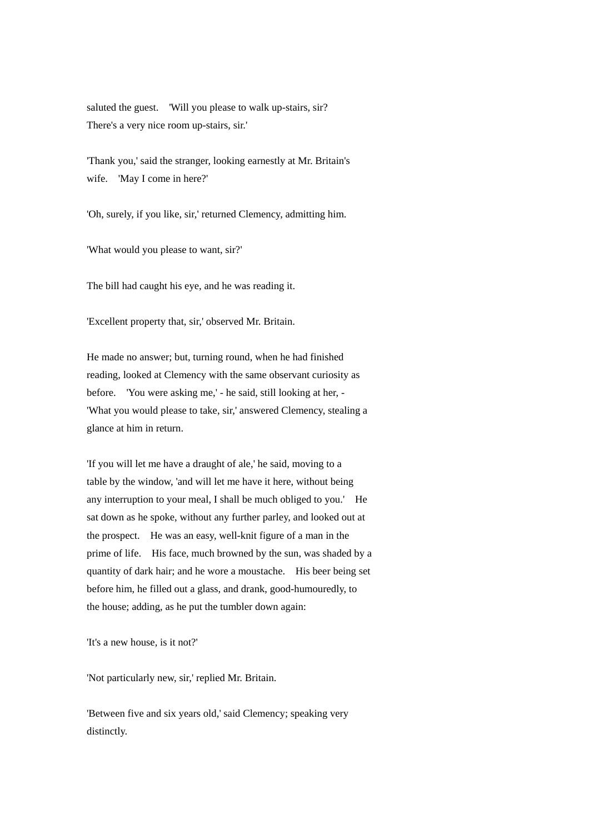saluted the guest. 'Will you please to walk up-stairs, sir? There's a very nice room up-stairs, sir.'

'Thank you,' said the stranger, looking earnestly at Mr. Britain's wife. 'May I come in here?'

'Oh, surely, if you like, sir,' returned Clemency, admitting him.

'What would you please to want, sir?'

The bill had caught his eye, and he was reading it.

'Excellent property that, sir,' observed Mr. Britain.

He made no answer; but, turning round, when he had finished reading, looked at Clemency with the same observant curiosity as before. 'You were asking me,' - he said, still looking at her, - 'What you would please to take, sir,' answered Clemency, stealing a glance at him in return.

'If you will let me have a draught of ale,' he said, moving to a table by the window, 'and will let me have it here, without being any interruption to your meal, I shall be much obliged to you.' He sat down as he spoke, without any further parley, and looked out at the prospect. He was an easy, well-knit figure of a man in the prime of life. His face, much browned by the sun, was shaded by a quantity of dark hair; and he wore a moustache. His beer being set before him, he filled out a glass, and drank, good-humouredly, to the house; adding, as he put the tumbler down again:

'It's a new house, is it not?'

'Not particularly new, sir,' replied Mr. Britain.

'Between five and six years old,' said Clemency; speaking very distinctly.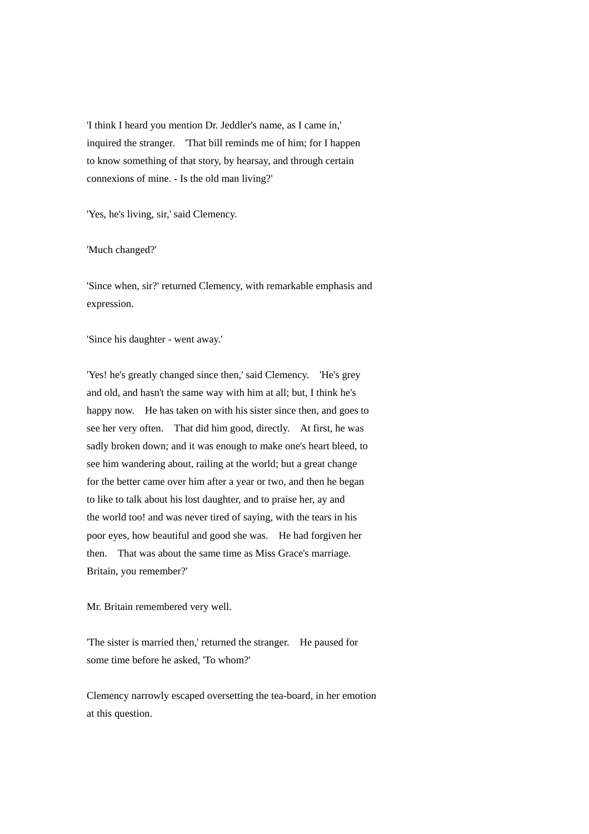'I think I heard you mention Dr. Jeddler's name, as I came in,' inquired the stranger. 'That bill reminds me of him; for I happen to know something of that story, by hearsay, and through certain connexions of mine. - Is the old man living?'

'Yes, he's living, sir,' said Clemency.

'Much changed?'

'Since when, sir?' returned Clemency, with remarkable emphasis and expression.

'Since his daughter - went away.'

'Yes! he's greatly changed since then,' said Clemency. 'He's grey and old, and hasn't the same way with him at all; but, I think he's happy now. He has taken on with his sister since then, and goes to see her very often. That did him good, directly. At first, he was sadly broken down; and it was enough to make one's heart bleed, to see him wandering about, railing at the world; but a great change for the better came over him after a year or two, and then he began to like to talk about his lost daughter, and to praise her, ay and the world too! and was never tired of saying, with the tears in his poor eyes, how beautiful and good she was. He had forgiven her then. That was about the same time as Miss Grace's marriage. Britain, you remember?'

Mr. Britain remembered very well.

'The sister is married then,' returned the stranger. He paused for some time before he asked, 'To whom?'

Clemency narrowly escaped oversetting the tea-board, in her emotion at this question.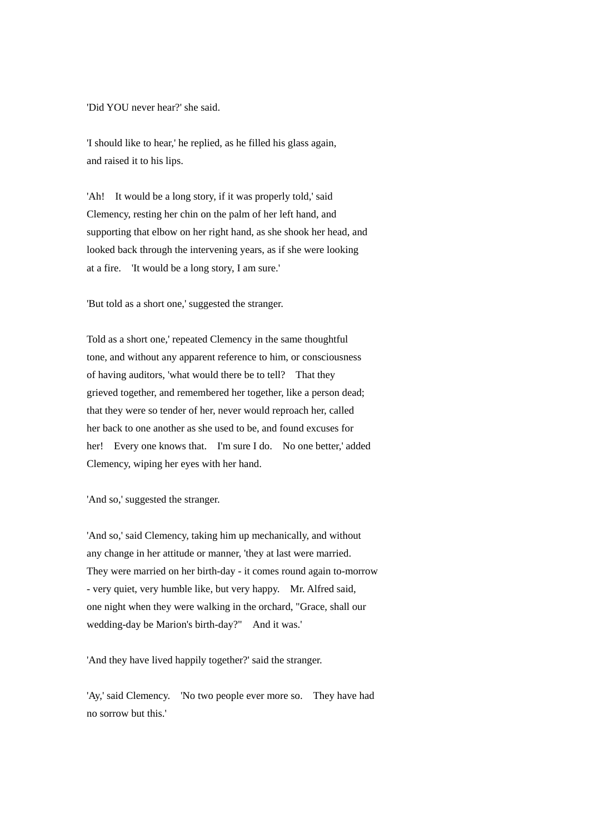'Did YOU never hear?' she said.

'I should like to hear,' he replied, as he filled his glass again, and raised it to his lips.

'Ah! It would be a long story, if it was properly told,' said Clemency, resting her chin on the palm of her left hand, and supporting that elbow on her right hand, as she shook her head, and looked back through the intervening years, as if she were looking at a fire. 'It would be a long story, I am sure.'

'But told as a short one,' suggested the stranger.

Told as a short one,' repeated Clemency in the same thoughtful tone, and without any apparent reference to him, or consciousness of having auditors, 'what would there be to tell? That they grieved together, and remembered her together, like a person dead; that they were so tender of her, never would reproach her, called her back to one another as she used to be, and found excuses for her! Every one knows that. I'm sure I do. No one better,' added Clemency, wiping her eyes with her hand.

'And so,' suggested the stranger.

'And so,' said Clemency, taking him up mechanically, and without any change in her attitude or manner, 'they at last were married. They were married on her birth-day - it comes round again to-morrow - very quiet, very humble like, but very happy. Mr. Alfred said, one night when they were walking in the orchard, "Grace, shall our wedding-day be Marion's birth-day?" And it was.'

'And they have lived happily together?' said the stranger.

'Ay,' said Clemency. 'No two people ever more so. They have had no sorrow but this.'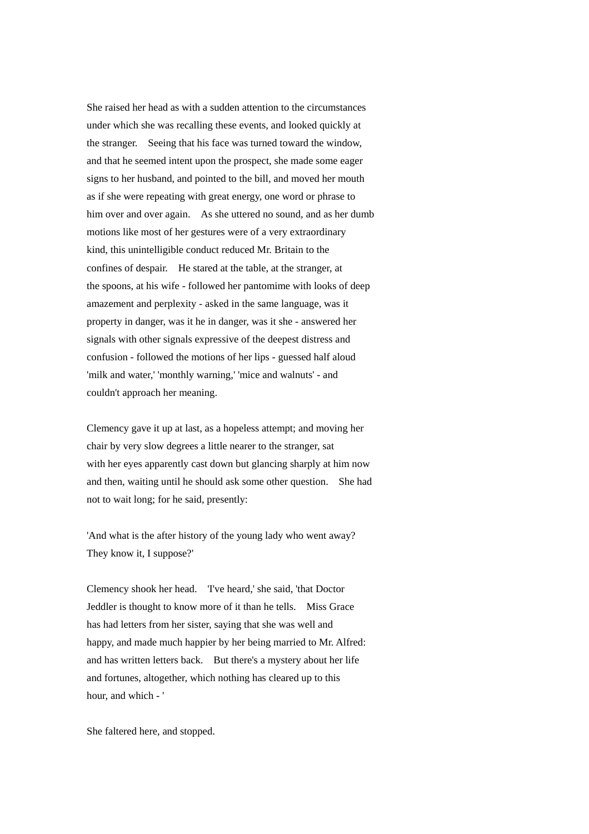She raised her head as with a sudden attention to the circumstances under which she was recalling these events, and looked quickly at the stranger. Seeing that his face was turned toward the window, and that he seemed intent upon the prospect, she made some eager signs to her husband, and pointed to the bill, and moved her mouth as if she were repeating with great energy, one word or phrase to him over and over again. As she uttered no sound, and as her dumb motions like most of her gestures were of a very extraordinary kind, this unintelligible conduct reduced Mr. Britain to the confines of despair. He stared at the table, at the stranger, at the spoons, at his wife - followed her pantomime with looks of deep amazement and perplexity - asked in the same language, was it property in danger, was it he in danger, was it she - answered her signals with other signals expressive of the deepest distress and confusion - followed the motions of her lips - guessed half aloud 'milk and water,' 'monthly warning,' 'mice and walnuts' - and couldn't approach her meaning.

Clemency gave it up at last, as a hopeless attempt; and moving her chair by very slow degrees a little nearer to the stranger, sat with her eyes apparently cast down but glancing sharply at him now and then, waiting until he should ask some other question. She had not to wait long; for he said, presently:

'And what is the after history of the young lady who went away? They know it, I suppose?'

Clemency shook her head. 'I've heard,' she said, 'that Doctor Jeddler is thought to know more of it than he tells. Miss Grace has had letters from her sister, saying that she was well and happy, and made much happier by her being married to Mr. Alfred: and has written letters back. But there's a mystery about her life and fortunes, altogether, which nothing has cleared up to this hour, and which - '

She faltered here, and stopped.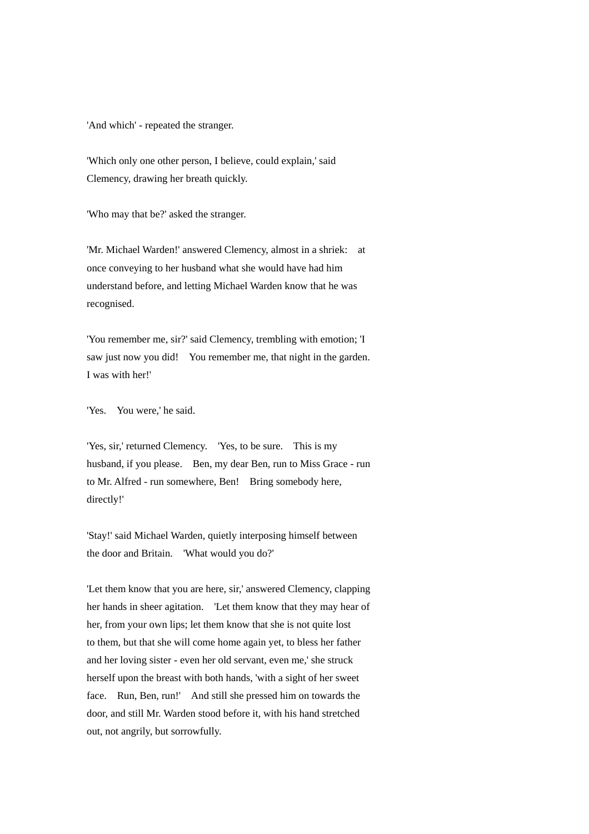'And which' - repeated the stranger.

'Which only one other person, I believe, could explain,' said Clemency, drawing her breath quickly.

'Who may that be?' asked the stranger.

'Mr. Michael Warden!' answered Clemency, almost in a shriek: at once conveying to her husband what she would have had him understand before, and letting Michael Warden know that he was recognised.

'You remember me, sir?' said Clemency, trembling with emotion; 'I saw just now you did! You remember me, that night in the garden. I was with her!'

'Yes. You were,' he said.

'Yes, sir,' returned Clemency. 'Yes, to be sure. This is my husband, if you please. Ben, my dear Ben, run to Miss Grace - run to Mr. Alfred - run somewhere, Ben! Bring somebody here, directly!'

'Stay!' said Michael Warden, quietly interposing himself between the door and Britain. 'What would you do?'

'Let them know that you are here, sir,' answered Clemency, clapping her hands in sheer agitation. 'Let them know that they may hear of her, from your own lips; let them know that she is not quite lost to them, but that she will come home again yet, to bless her father and her loving sister - even her old servant, even me,' she struck herself upon the breast with both hands, 'with a sight of her sweet face. Run, Ben, run!' And still she pressed him on towards the door, and still Mr. Warden stood before it, with his hand stretched out, not angrily, but sorrowfully.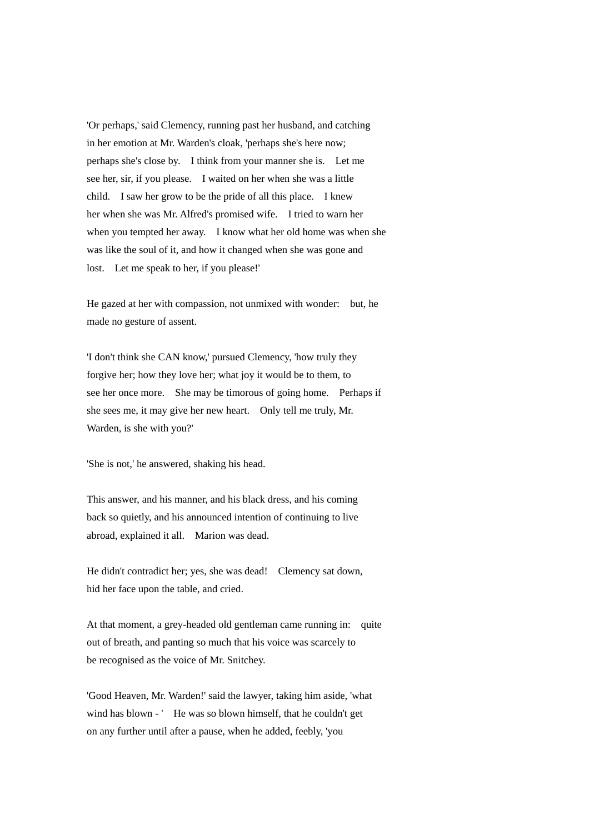'Or perhaps,' said Clemency, running past her husband, and catching in her emotion at Mr. Warden's cloak, 'perhaps she's here now; perhaps she's close by. I think from your manner she is. Let me see her, sir, if you please. I waited on her when she was a little child. I saw her grow to be the pride of all this place. I knew her when she was Mr. Alfred's promised wife. I tried to warn her when you tempted her away. I know what her old home was when she was like the soul of it, and how it changed when she was gone and lost. Let me speak to her, if you please!'

He gazed at her with compassion, not unmixed with wonder: but, he made no gesture of assent.

'I don't think she CAN know,' pursued Clemency, 'how truly they forgive her; how they love her; what joy it would be to them, to see her once more. She may be timorous of going home. Perhaps if she sees me, it may give her new heart. Only tell me truly, Mr. Warden, is she with you?'

'She is not,' he answered, shaking his head.

This answer, and his manner, and his black dress, and his coming back so quietly, and his announced intention of continuing to live abroad, explained it all. Marion was dead.

He didn't contradict her; yes, she was dead! Clemency sat down, hid her face upon the table, and cried.

At that moment, a grey-headed old gentleman came running in: quite out of breath, and panting so much that his voice was scarcely to be recognised as the voice of Mr. Snitchey.

'Good Heaven, Mr. Warden!' said the lawyer, taking him aside, 'what wind has blown - ' He was so blown himself, that he couldn't get on any further until after a pause, when he added, feebly, 'you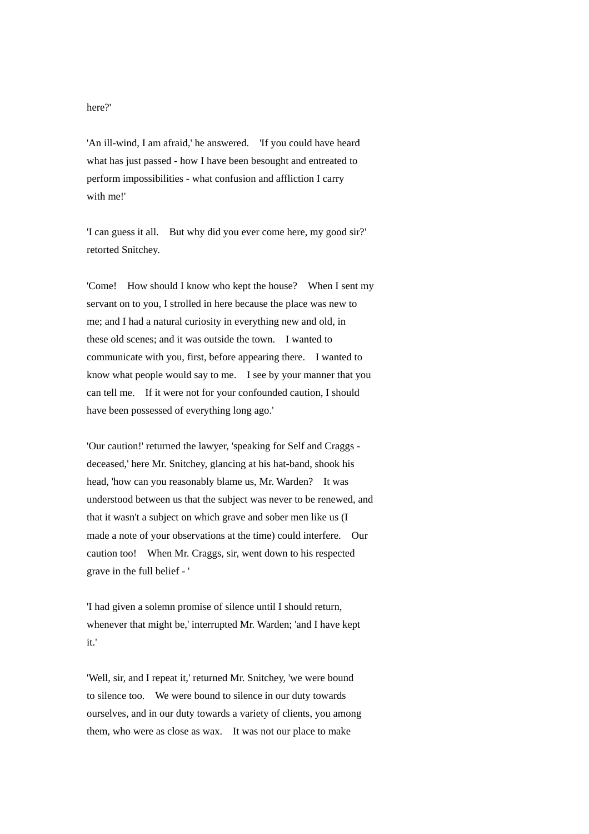## here?'

'An ill-wind, I am afraid,' he answered. 'If you could have heard what has just passed - how I have been besought and entreated to perform impossibilities - what confusion and affliction I carry with me!'

'I can guess it all. But why did you ever come here, my good sir?' retorted Snitchey.

'Come! How should I know who kept the house? When I sent my servant on to you, I strolled in here because the place was new to me; and I had a natural curiosity in everything new and old, in these old scenes; and it was outside the town. I wanted to communicate with you, first, before appearing there. I wanted to know what people would say to me. I see by your manner that you can tell me. If it were not for your confounded caution, I should have been possessed of everything long ago.'

'Our caution!' returned the lawyer, 'speaking for Self and Craggs deceased,' here Mr. Snitchey, glancing at his hat-band, shook his head, 'how can you reasonably blame us, Mr. Warden? It was understood between us that the subject was never to be renewed, and that it wasn't a subject on which grave and sober men like us (I made a note of your observations at the time) could interfere. Our caution too! When Mr. Craggs, sir, went down to his respected grave in the full belief - '

'I had given a solemn promise of silence until I should return, whenever that might be,' interrupted Mr. Warden; 'and I have kept it.'

'Well, sir, and I repeat it,' returned Mr. Snitchey, 'we were bound to silence too. We were bound to silence in our duty towards ourselves, and in our duty towards a variety of clients, you among them, who were as close as wax. It was not our place to make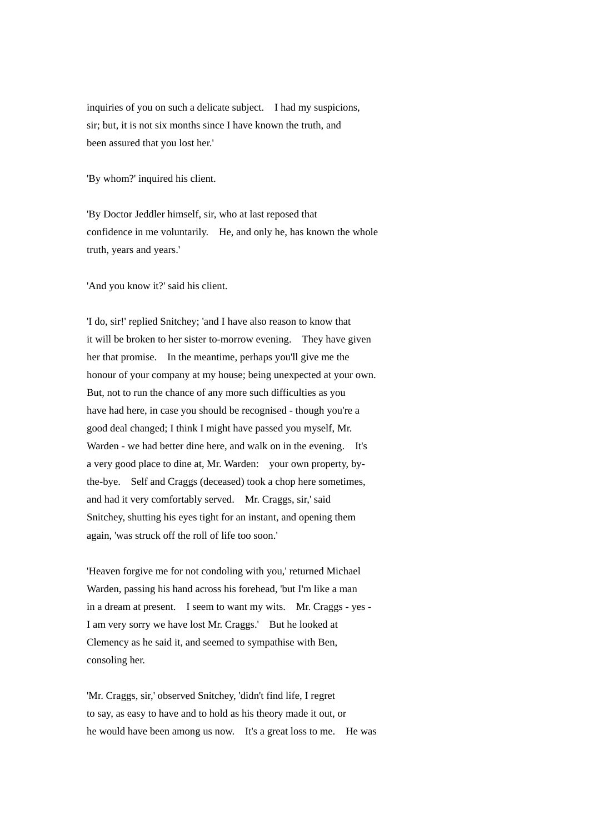inquiries of you on such a delicate subject. I had my suspicions, sir; but, it is not six months since I have known the truth, and been assured that you lost her.'

'By whom?' inquired his client.

'By Doctor Jeddler himself, sir, who at last reposed that confidence in me voluntarily. He, and only he, has known the whole truth, years and years.'

'And you know it?' said his client.

'I do, sir!' replied Snitchey; 'and I have also reason to know that it will be broken to her sister to-morrow evening. They have given her that promise. In the meantime, perhaps you'll give me the honour of your company at my house; being unexpected at your own. But, not to run the chance of any more such difficulties as you have had here, in case you should be recognised - though you're a good deal changed; I think I might have passed you myself, Mr. Warden - we had better dine here, and walk on in the evening. It's a very good place to dine at, Mr. Warden: your own property, bythe-bye. Self and Craggs (deceased) took a chop here sometimes, and had it very comfortably served. Mr. Craggs, sir,' said Snitchey, shutting his eyes tight for an instant, and opening them again, 'was struck off the roll of life too soon.'

'Heaven forgive me for not condoling with you,' returned Michael Warden, passing his hand across his forehead, 'but I'm like a man in a dream at present. I seem to want my wits. Mr. Craggs - yes - I am very sorry we have lost Mr. Craggs.' But he looked at Clemency as he said it, and seemed to sympathise with Ben, consoling her.

'Mr. Craggs, sir,' observed Snitchey, 'didn't find life, I regret to say, as easy to have and to hold as his theory made it out, or he would have been among us now. It's a great loss to me. He was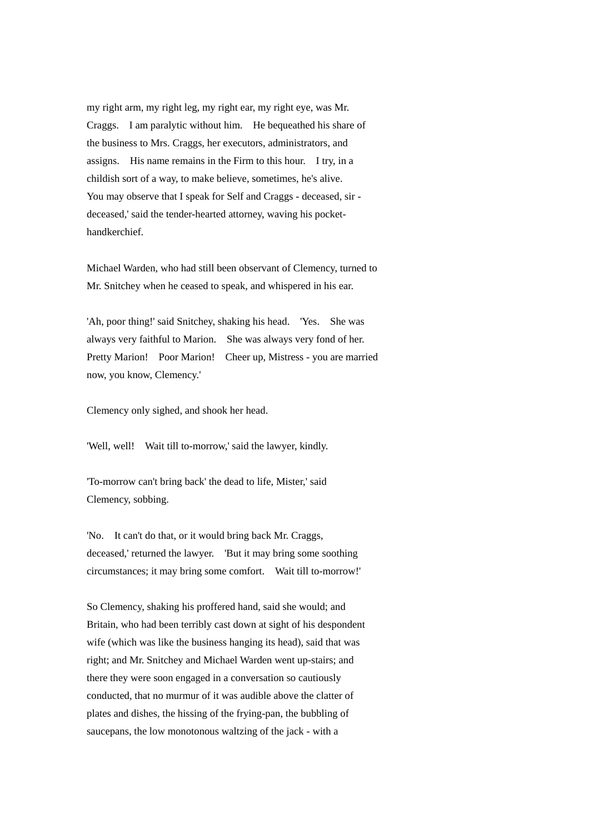my right arm, my right leg, my right ear, my right eye, was Mr. Craggs. I am paralytic without him. He bequeathed his share of the business to Mrs. Craggs, her executors, administrators, and assigns. His name remains in the Firm to this hour. I try, in a childish sort of a way, to make believe, sometimes, he's alive. You may observe that I speak for Self and Craggs - deceased, sir deceased,' said the tender-hearted attorney, waving his pockethandkerchief.

Michael Warden, who had still been observant of Clemency, turned to Mr. Snitchey when he ceased to speak, and whispered in his ear.

'Ah, poor thing!' said Snitchey, shaking his head. 'Yes. She was always very faithful to Marion. She was always very fond of her. Pretty Marion! Poor Marion! Cheer up, Mistress - you are married now, you know, Clemency.'

Clemency only sighed, and shook her head.

'Well, well! Wait till to-morrow,' said the lawyer, kindly.

'To-morrow can't bring back' the dead to life, Mister,' said Clemency, sobbing.

'No. It can't do that, or it would bring back Mr. Craggs, deceased,' returned the lawyer. 'But it may bring some soothing circumstances; it may bring some comfort. Wait till to-morrow!'

So Clemency, shaking his proffered hand, said she would; and Britain, who had been terribly cast down at sight of his despondent wife (which was like the business hanging its head), said that was right; and Mr. Snitchey and Michael Warden went up-stairs; and there they were soon engaged in a conversation so cautiously conducted, that no murmur of it was audible above the clatter of plates and dishes, the hissing of the frying-pan, the bubbling of saucepans, the low monotonous waltzing of the jack - with a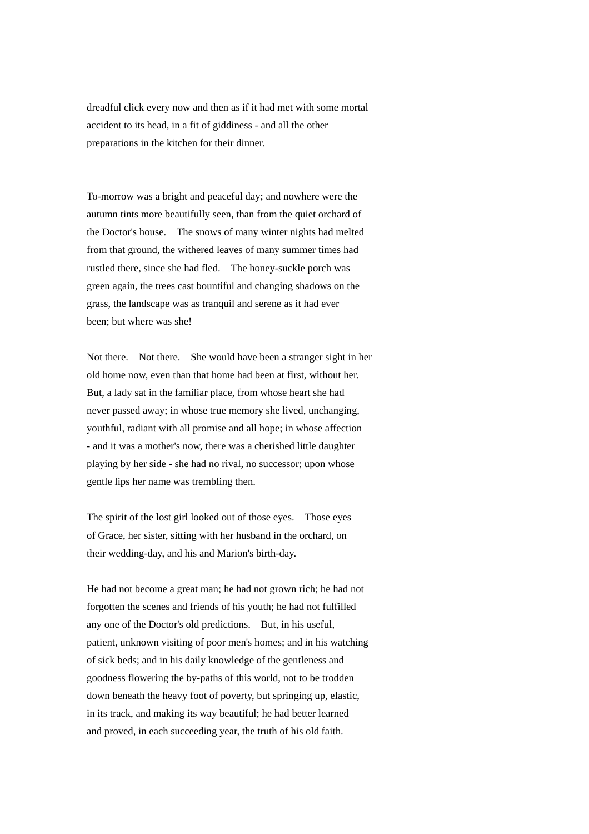dreadful click every now and then as if it had met with some mortal accident to its head, in a fit of giddiness - and all the other preparations in the kitchen for their dinner.

To-morrow was a bright and peaceful day; and nowhere were the autumn tints more beautifully seen, than from the quiet orchard of the Doctor's house. The snows of many winter nights had melted from that ground, the withered leaves of many summer times had rustled there, since she had fled. The honey-suckle porch was green again, the trees cast bountiful and changing shadows on the grass, the landscape was as tranquil and serene as it had ever been; but where was she!

Not there. Not there. She would have been a stranger sight in her old home now, even than that home had been at first, without her. But, a lady sat in the familiar place, from whose heart she had never passed away; in whose true memory she lived, unchanging, youthful, radiant with all promise and all hope; in whose affection - and it was a mother's now, there was a cherished little daughter playing by her side - she had no rival, no successor; upon whose gentle lips her name was trembling then.

The spirit of the lost girl looked out of those eyes. Those eyes of Grace, her sister, sitting with her husband in the orchard, on their wedding-day, and his and Marion's birth-day.

He had not become a great man; he had not grown rich; he had not forgotten the scenes and friends of his youth; he had not fulfilled any one of the Doctor's old predictions. But, in his useful, patient, unknown visiting of poor men's homes; and in his watching of sick beds; and in his daily knowledge of the gentleness and goodness flowering the by-paths of this world, not to be trodden down beneath the heavy foot of poverty, but springing up, elastic, in its track, and making its way beautiful; he had better learned and proved, in each succeeding year, the truth of his old faith.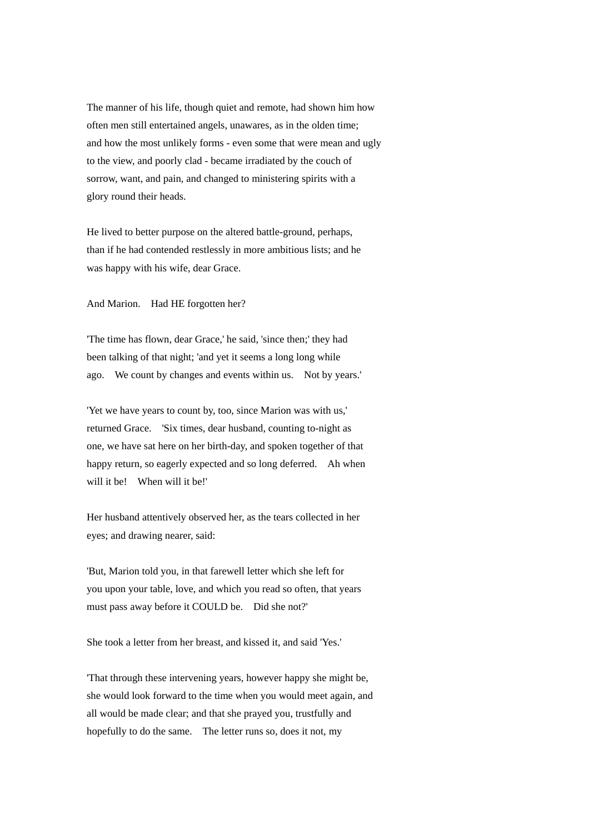The manner of his life, though quiet and remote, had shown him how often men still entertained angels, unawares, as in the olden time; and how the most unlikely forms - even some that were mean and ugly to the view, and poorly clad - became irradiated by the couch of sorrow, want, and pain, and changed to ministering spirits with a glory round their heads.

He lived to better purpose on the altered battle-ground, perhaps, than if he had contended restlessly in more ambitious lists; and he was happy with his wife, dear Grace.

And Marion. Had HE forgotten her?

'The time has flown, dear Grace,' he said, 'since then;' they had been talking of that night; 'and yet it seems a long long while ago. We count by changes and events within us. Not by years.'

'Yet we have years to count by, too, since Marion was with us,' returned Grace. 'Six times, dear husband, counting to-night as one, we have sat here on her birth-day, and spoken together of that happy return, so eagerly expected and so long deferred. Ah when will it be! When will it be!'

Her husband attentively observed her, as the tears collected in her eyes; and drawing nearer, said:

'But, Marion told you, in that farewell letter which she left for you upon your table, love, and which you read so often, that years must pass away before it COULD be. Did she not?'

She took a letter from her breast, and kissed it, and said 'Yes.'

'That through these intervening years, however happy she might be, she would look forward to the time when you would meet again, and all would be made clear; and that she prayed you, trustfully and hopefully to do the same. The letter runs so, does it not, my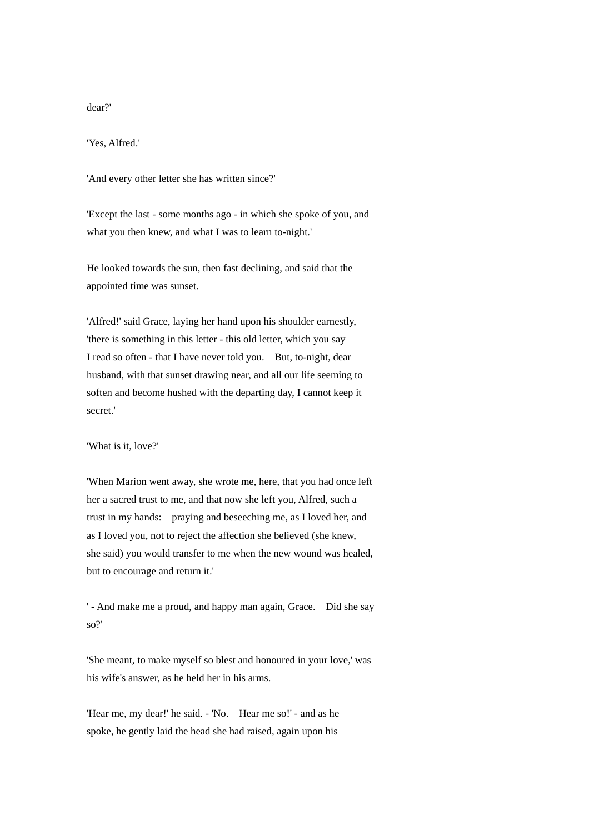## dear?'

'Yes, Alfred.'

'And every other letter she has written since?'

'Except the last - some months ago - in which she spoke of you, and what you then knew, and what I was to learn to-night.'

He looked towards the sun, then fast declining, and said that the appointed time was sunset.

'Alfred!' said Grace, laying her hand upon his shoulder earnestly, 'there is something in this letter - this old letter, which you say I read so often - that I have never told you. But, to-night, dear husband, with that sunset drawing near, and all our life seeming to soften and become hushed with the departing day, I cannot keep it secret.'

'What is it, love?'

'When Marion went away, she wrote me, here, that you had once left her a sacred trust to me, and that now she left you, Alfred, such a trust in my hands: praying and beseeching me, as I loved her, and as I loved you, not to reject the affection she believed (she knew, she said) you would transfer to me when the new wound was healed, but to encourage and return it.'

' - And make me a proud, and happy man again, Grace. Did she say so?'

'She meant, to make myself so blest and honoured in your love,' was his wife's answer, as he held her in his arms.

'Hear me, my dear!' he said. - 'No. Hear me so!' - and as he spoke, he gently laid the head she had raised, again upon his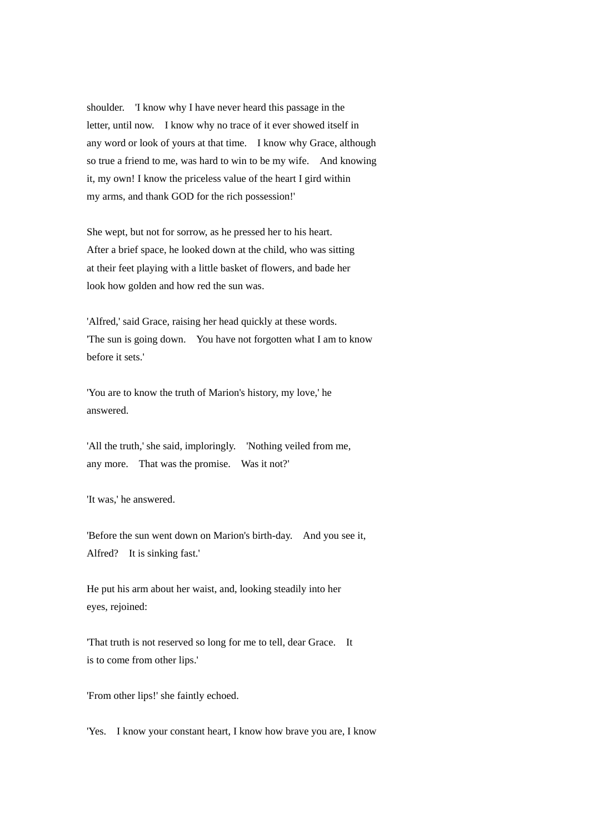shoulder. 'I know why I have never heard this passage in the letter, until now. I know why no trace of it ever showed itself in any word or look of yours at that time. I know why Grace, although so true a friend to me, was hard to win to be my wife. And knowing it, my own! I know the priceless value of the heart I gird within my arms, and thank GOD for the rich possession!'

She wept, but not for sorrow, as he pressed her to his heart. After a brief space, he looked down at the child, who was sitting at their feet playing with a little basket of flowers, and bade her look how golden and how red the sun was.

'Alfred,' said Grace, raising her head quickly at these words. 'The sun is going down. You have not forgotten what I am to know before it sets.'

'You are to know the truth of Marion's history, my love,' he answered.

'All the truth,' she said, imploringly. 'Nothing veiled from me, any more. That was the promise. Was it not?'

'It was,' he answered.

'Before the sun went down on Marion's birth-day. And you see it, Alfred? It is sinking fast.'

He put his arm about her waist, and, looking steadily into her eyes, rejoined:

'That truth is not reserved so long for me to tell, dear Grace. It is to come from other lips.'

'From other lips!' she faintly echoed.

'Yes. I know your constant heart, I know how brave you are, I know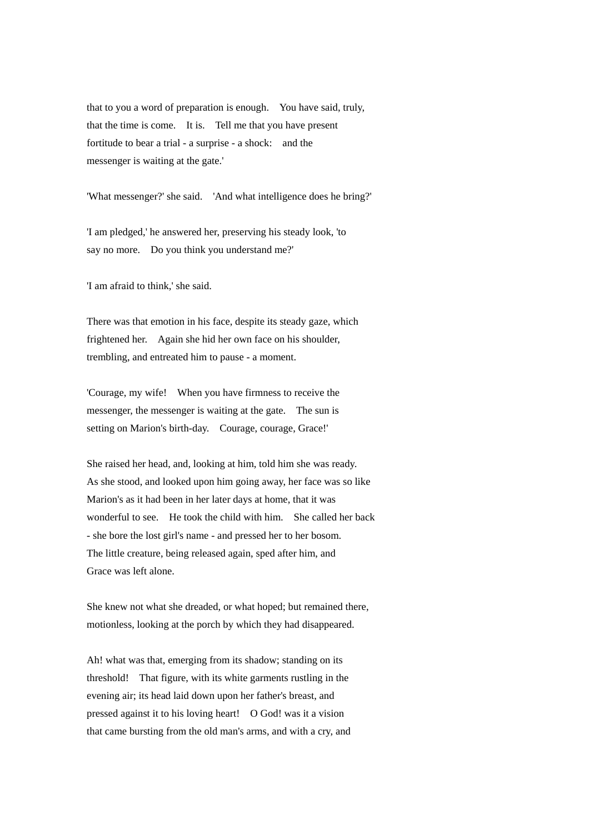that to you a word of preparation is enough. You have said, truly, that the time is come. It is. Tell me that you have present fortitude to bear a trial - a surprise - a shock: and the messenger is waiting at the gate.'

'What messenger?' she said. 'And what intelligence does he bring?'

'I am pledged,' he answered her, preserving his steady look, 'to say no more. Do you think you understand me?'

'I am afraid to think,' she said.

There was that emotion in his face, despite its steady gaze, which frightened her. Again she hid her own face on his shoulder, trembling, and entreated him to pause - a moment.

'Courage, my wife! When you have firmness to receive the messenger, the messenger is waiting at the gate. The sun is setting on Marion's birth-day. Courage, courage, Grace!'

She raised her head, and, looking at him, told him she was ready. As she stood, and looked upon him going away, her face was so like Marion's as it had been in her later days at home, that it was wonderful to see. He took the child with him. She called her back - she bore the lost girl's name - and pressed her to her bosom. The little creature, being released again, sped after him, and Grace was left alone.

She knew not what she dreaded, or what hoped; but remained there, motionless, looking at the porch by which they had disappeared.

Ah! what was that, emerging from its shadow; standing on its threshold! That figure, with its white garments rustling in the evening air; its head laid down upon her father's breast, and pressed against it to his loving heart! O God! was it a vision that came bursting from the old man's arms, and with a cry, and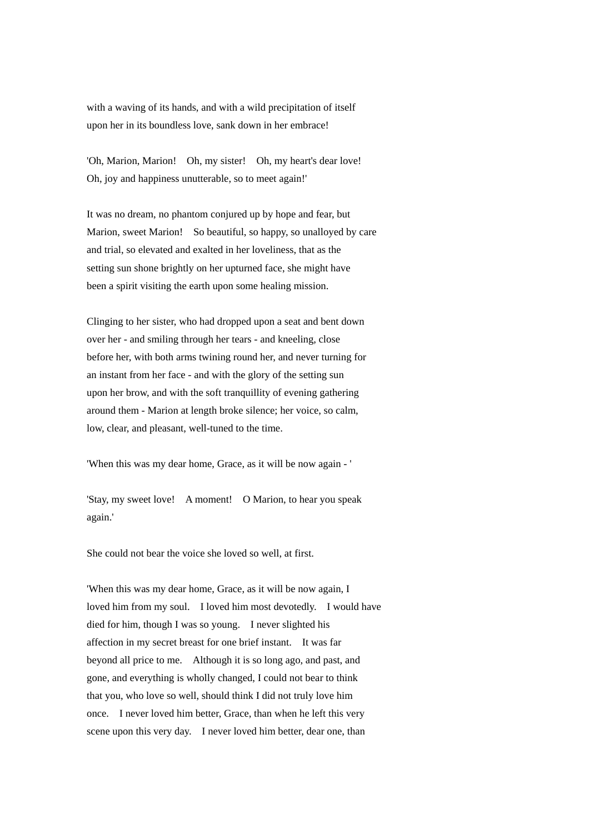with a waving of its hands, and with a wild precipitation of itself upon her in its boundless love, sank down in her embrace!

'Oh, Marion, Marion! Oh, my sister! Oh, my heart's dear love! Oh, joy and happiness unutterable, so to meet again!'

It was no dream, no phantom conjured up by hope and fear, but Marion, sweet Marion! So beautiful, so happy, so unalloyed by care and trial, so elevated and exalted in her loveliness, that as the setting sun shone brightly on her upturned face, she might have been a spirit visiting the earth upon some healing mission.

Clinging to her sister, who had dropped upon a seat and bent down over her - and smiling through her tears - and kneeling, close before her, with both arms twining round her, and never turning for an instant from her face - and with the glory of the setting sun upon her brow, and with the soft tranquillity of evening gathering around them - Marion at length broke silence; her voice, so calm, low, clear, and pleasant, well-tuned to the time.

'When this was my dear home, Grace, as it will be now again - '

'Stay, my sweet love! A moment! O Marion, to hear you speak again.'

She could not bear the voice she loved so well, at first.

'When this was my dear home, Grace, as it will be now again, I loved him from my soul. I loved him most devotedly. I would have died for him, though I was so young. I never slighted his affection in my secret breast for one brief instant. It was far beyond all price to me. Although it is so long ago, and past, and gone, and everything is wholly changed, I could not bear to think that you, who love so well, should think I did not truly love him once. I never loved him better, Grace, than when he left this very scene upon this very day. I never loved him better, dear one, than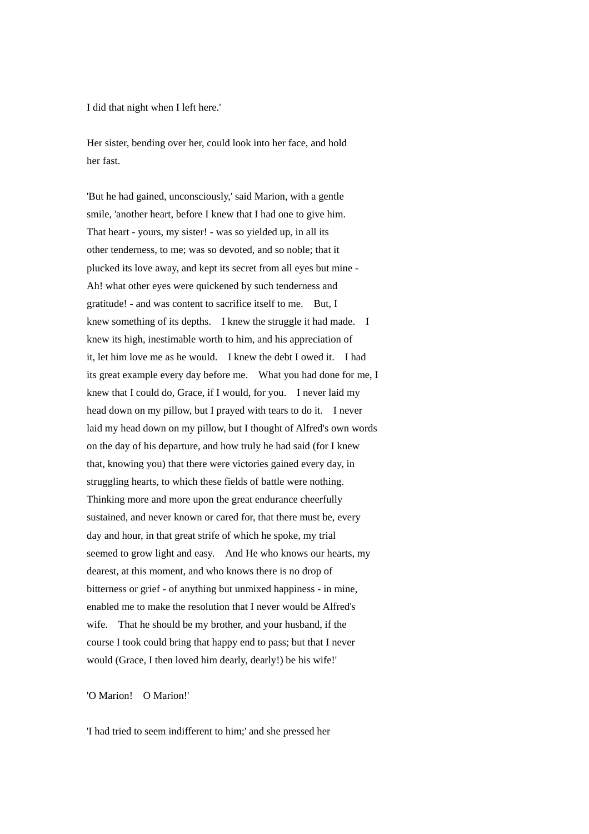I did that night when I left here.'

Her sister, bending over her, could look into her face, and hold her fast.

'But he had gained, unconsciously,' said Marion, with a gentle smile, 'another heart, before I knew that I had one to give him. That heart - yours, my sister! - was so yielded up, in all its other tenderness, to me; was so devoted, and so noble; that it plucked its love away, and kept its secret from all eyes but mine - Ah! what other eyes were quickened by such tenderness and gratitude! - and was content to sacrifice itself to me. But, I knew something of its depths. I knew the struggle it had made. I knew its high, inestimable worth to him, and his appreciation of it, let him love me as he would. I knew the debt I owed it. I had its great example every day before me. What you had done for me, I knew that I could do, Grace, if I would, for you. I never laid my head down on my pillow, but I prayed with tears to do it. I never laid my head down on my pillow, but I thought of Alfred's own words on the day of his departure, and how truly he had said (for I knew that, knowing you) that there were victories gained every day, in struggling hearts, to which these fields of battle were nothing. Thinking more and more upon the great endurance cheerfully sustained, and never known or cared for, that there must be, every day and hour, in that great strife of which he spoke, my trial seemed to grow light and easy. And He who knows our hearts, my dearest, at this moment, and who knows there is no drop of bitterness or grief - of anything but unmixed happiness - in mine, enabled me to make the resolution that I never would be Alfred's wife. That he should be my brother, and your husband, if the course I took could bring that happy end to pass; but that I never would (Grace, I then loved him dearly, dearly!) be his wife!'

'O Marion! O Marion!'

'I had tried to seem indifferent to him;' and she pressed her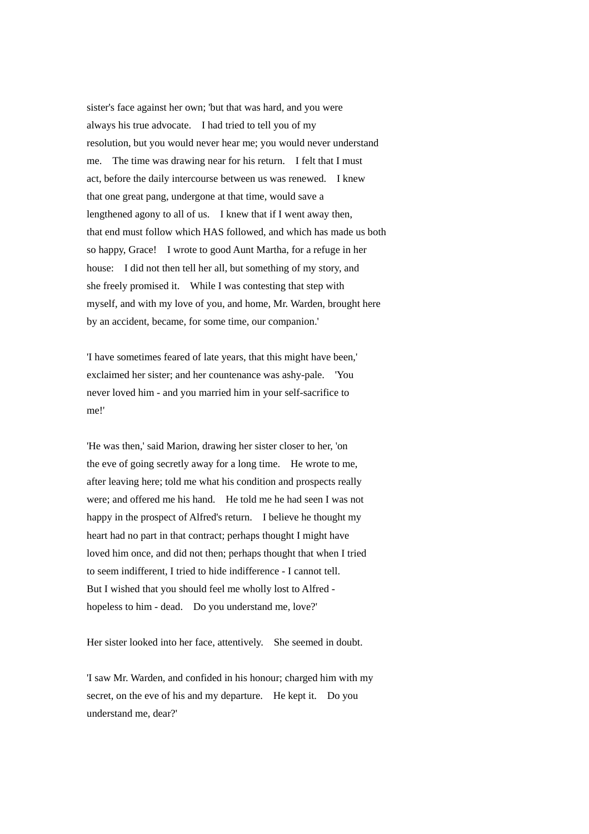sister's face against her own; 'but that was hard, and you were always his true advocate. I had tried to tell you of my resolution, but you would never hear me; you would never understand me. The time was drawing near for his return. I felt that I must act, before the daily intercourse between us was renewed. I knew that one great pang, undergone at that time, would save a lengthened agony to all of us. I knew that if I went away then, that end must follow which HAS followed, and which has made us both so happy, Grace! I wrote to good Aunt Martha, for a refuge in her house: I did not then tell her all, but something of my story, and she freely promised it. While I was contesting that step with myself, and with my love of you, and home, Mr. Warden, brought here by an accident, became, for some time, our companion.'

'I have sometimes feared of late years, that this might have been,' exclaimed her sister; and her countenance was ashy-pale. 'You never loved him - and you married him in your self-sacrifice to me!'

'He was then,' said Marion, drawing her sister closer to her, 'on the eve of going secretly away for a long time. He wrote to me, after leaving here; told me what his condition and prospects really were; and offered me his hand. He told me he had seen I was not happy in the prospect of Alfred's return. I believe he thought my heart had no part in that contract; perhaps thought I might have loved him once, and did not then; perhaps thought that when I tried to seem indifferent, I tried to hide indifference - I cannot tell. But I wished that you should feel me wholly lost to Alfred hopeless to him - dead. Do you understand me, love?'

Her sister looked into her face, attentively. She seemed in doubt.

'I saw Mr. Warden, and confided in his honour; charged him with my secret, on the eve of his and my departure. He kept it. Do you understand me, dear?'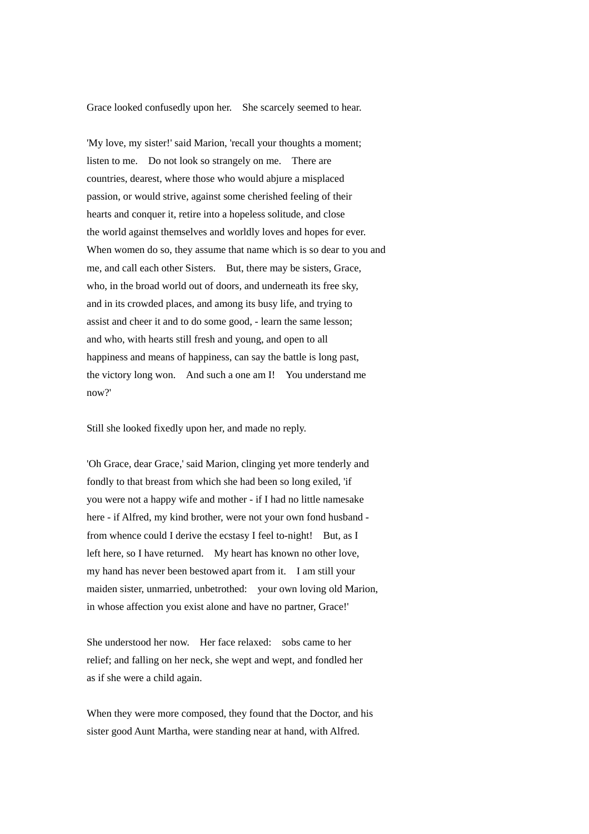Grace looked confusedly upon her. She scarcely seemed to hear.

'My love, my sister!' said Marion, 'recall your thoughts a moment; listen to me. Do not look so strangely on me. There are countries, dearest, where those who would abjure a misplaced passion, or would strive, against some cherished feeling of their hearts and conquer it, retire into a hopeless solitude, and close the world against themselves and worldly loves and hopes for ever. When women do so, they assume that name which is so dear to you and me, and call each other Sisters. But, there may be sisters, Grace, who, in the broad world out of doors, and underneath its free sky, and in its crowded places, and among its busy life, and trying to assist and cheer it and to do some good, - learn the same lesson; and who, with hearts still fresh and young, and open to all happiness and means of happiness, can say the battle is long past, the victory long won. And such a one am I! You understand me now?'

Still she looked fixedly upon her, and made no reply.

'Oh Grace, dear Grace,' said Marion, clinging yet more tenderly and fondly to that breast from which she had been so long exiled, 'if you were not a happy wife and mother - if I had no little namesake here - if Alfred, my kind brother, were not your own fond husband from whence could I derive the ecstasy I feel to-night! But, as I left here, so I have returned. My heart has known no other love, my hand has never been bestowed apart from it. I am still your maiden sister, unmarried, unbetrothed: your own loving old Marion, in whose affection you exist alone and have no partner, Grace!'

She understood her now. Her face relaxed: sobs came to her relief; and falling on her neck, she wept and wept, and fondled her as if she were a child again.

When they were more composed, they found that the Doctor, and his sister good Aunt Martha, were standing near at hand, with Alfred.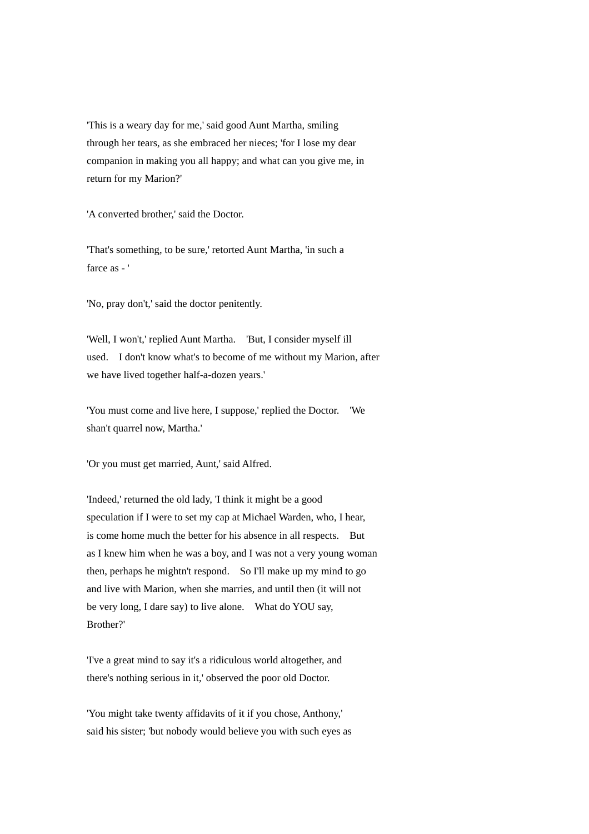'This is a weary day for me,' said good Aunt Martha, smiling through her tears, as she embraced her nieces; 'for I lose my dear companion in making you all happy; and what can you give me, in return for my Marion?'

'A converted brother,' said the Doctor.

'That's something, to be sure,' retorted Aunt Martha, 'in such a farce as - '

'No, pray don't,' said the doctor penitently.

'Well, I won't,' replied Aunt Martha. 'But, I consider myself ill used. I don't know what's to become of me without my Marion, after we have lived together half-a-dozen years.'

'You must come and live here, I suppose,' replied the Doctor. 'We shan't quarrel now, Martha.'

'Or you must get married, Aunt,' said Alfred.

'Indeed,' returned the old lady, 'I think it might be a good speculation if I were to set my cap at Michael Warden, who, I hear, is come home much the better for his absence in all respects. But as I knew him when he was a boy, and I was not a very young woman then, perhaps he mightn't respond. So I'll make up my mind to go and live with Marion, when she marries, and until then (it will not be very long, I dare say) to live alone. What do YOU say, Brother?'

'I've a great mind to say it's a ridiculous world altogether, and there's nothing serious in it,' observed the poor old Doctor.

'You might take twenty affidavits of it if you chose, Anthony,' said his sister; 'but nobody would believe you with such eyes as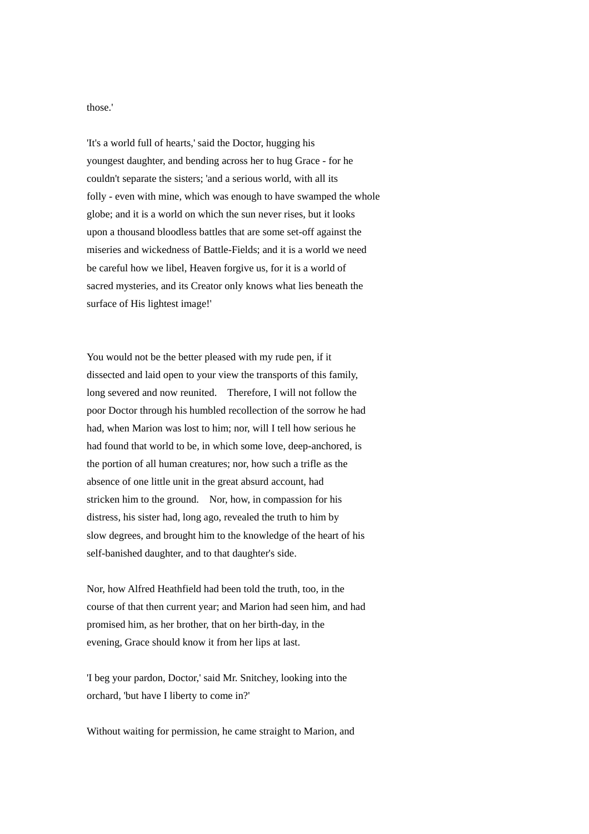those.'

'It's a world full of hearts,' said the Doctor, hugging his youngest daughter, and bending across her to hug Grace - for he couldn't separate the sisters; 'and a serious world, with all its folly - even with mine, which was enough to have swamped the whole globe; and it is a world on which the sun never rises, but it looks upon a thousand bloodless battles that are some set-off against the miseries and wickedness of Battle-Fields; and it is a world we need be careful how we libel, Heaven forgive us, for it is a world of sacred mysteries, and its Creator only knows what lies beneath the surface of His lightest image!'

You would not be the better pleased with my rude pen, if it dissected and laid open to your view the transports of this family, long severed and now reunited. Therefore, I will not follow the poor Doctor through his humbled recollection of the sorrow he had had, when Marion was lost to him; nor, will I tell how serious he had found that world to be, in which some love, deep-anchored, is the portion of all human creatures; nor, how such a trifle as the absence of one little unit in the great absurd account, had stricken him to the ground. Nor, how, in compassion for his distress, his sister had, long ago, revealed the truth to him by slow degrees, and brought him to the knowledge of the heart of his self-banished daughter, and to that daughter's side.

Nor, how Alfred Heathfield had been told the truth, too, in the course of that then current year; and Marion had seen him, and had promised him, as her brother, that on her birth-day, in the evening, Grace should know it from her lips at last.

'I beg your pardon, Doctor,' said Mr. Snitchey, looking into the orchard, 'but have I liberty to come in?'

Without waiting for permission, he came straight to Marion, and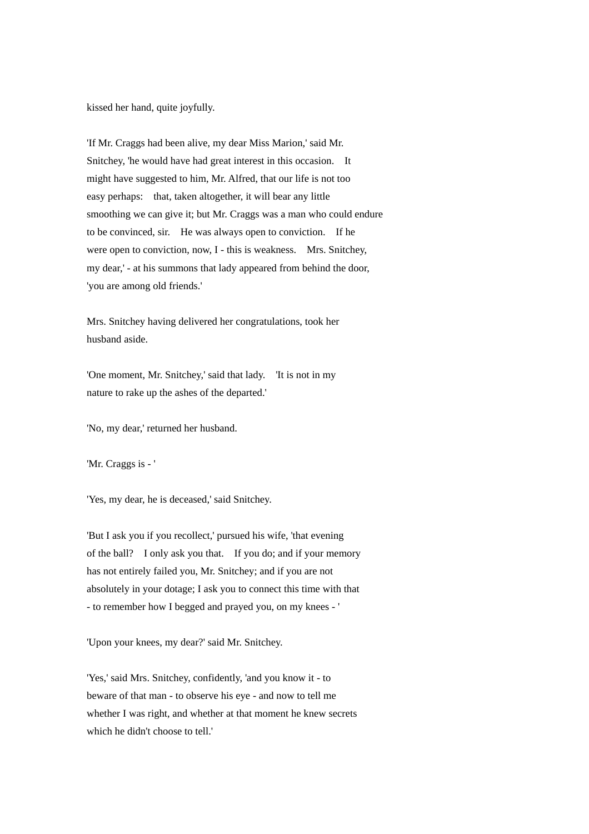kissed her hand, quite joyfully.

'If Mr. Craggs had been alive, my dear Miss Marion,' said Mr. Snitchey, 'he would have had great interest in this occasion. It might have suggested to him, Mr. Alfred, that our life is not too easy perhaps: that, taken altogether, it will bear any little smoothing we can give it; but Mr. Craggs was a man who could endure to be convinced, sir. He was always open to conviction. If he were open to conviction, now, I - this is weakness. Mrs. Snitchey, my dear,' - at his summons that lady appeared from behind the door, 'you are among old friends.'

Mrs. Snitchey having delivered her congratulations, took her husband aside.

'One moment, Mr. Snitchey,' said that lady. 'It is not in my nature to rake up the ashes of the departed.'

'No, my dear,' returned her husband.

'Mr. Craggs is - '

'Yes, my dear, he is deceased,' said Snitchey.

'But I ask you if you recollect,' pursued his wife, 'that evening of the ball? I only ask you that. If you do; and if your memory has not entirely failed you, Mr. Snitchey; and if you are not absolutely in your dotage; I ask you to connect this time with that - to remember how I begged and prayed you, on my knees - '

'Upon your knees, my dear?' said Mr. Snitchey.

'Yes,' said Mrs. Snitchey, confidently, 'and you know it - to beware of that man - to observe his eye - and now to tell me whether I was right, and whether at that moment he knew secrets which he didn't choose to tell.'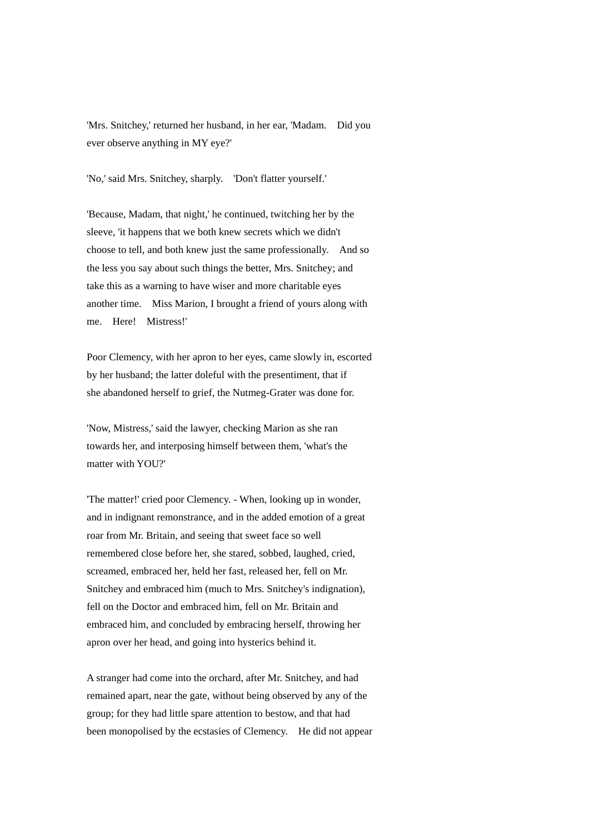'Mrs. Snitchey,' returned her husband, in her ear, 'Madam. Did you ever observe anything in MY eye?'

'No,' said Mrs. Snitchey, sharply. 'Don't flatter yourself.'

'Because, Madam, that night,' he continued, twitching her by the sleeve, 'it happens that we both knew secrets which we didn't choose to tell, and both knew just the same professionally. And so the less you say about such things the better, Mrs. Snitchey; and take this as a warning to have wiser and more charitable eyes another time. Miss Marion, I brought a friend of yours along with me. Here! Mistress!'

Poor Clemency, with her apron to her eyes, came slowly in, escorted by her husband; the latter doleful with the presentiment, that if she abandoned herself to grief, the Nutmeg-Grater was done for.

'Now, Mistress,' said the lawyer, checking Marion as she ran towards her, and interposing himself between them, 'what's the matter with YOU?'

'The matter!' cried poor Clemency. - When, looking up in wonder, and in indignant remonstrance, and in the added emotion of a great roar from Mr. Britain, and seeing that sweet face so well remembered close before her, she stared, sobbed, laughed, cried, screamed, embraced her, held her fast, released her, fell on Mr. Snitchey and embraced him (much to Mrs. Snitchey's indignation), fell on the Doctor and embraced him, fell on Mr. Britain and embraced him, and concluded by embracing herself, throwing her apron over her head, and going into hysterics behind it.

A stranger had come into the orchard, after Mr. Snitchey, and had remained apart, near the gate, without being observed by any of the group; for they had little spare attention to bestow, and that had been monopolised by the ecstasies of Clemency. He did not appear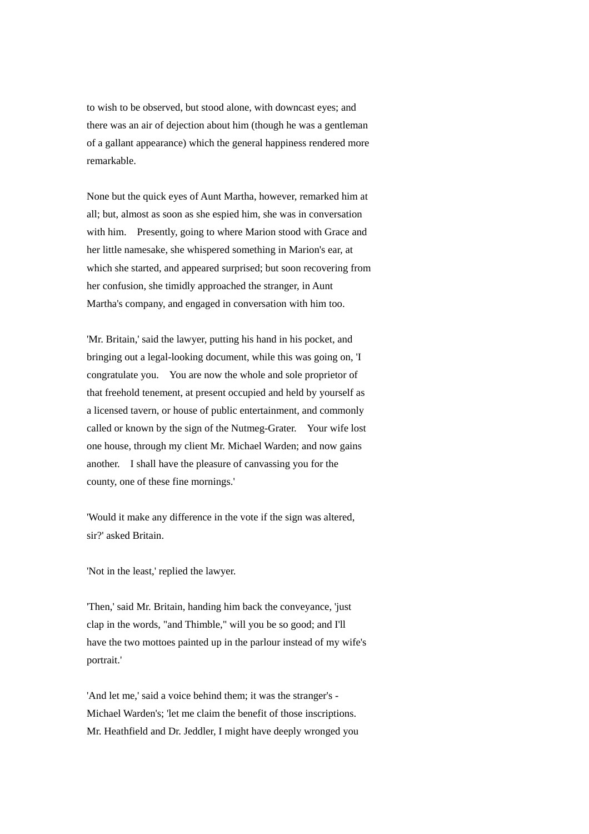to wish to be observed, but stood alone, with downcast eyes; and there was an air of dejection about him (though he was a gentleman of a gallant appearance) which the general happiness rendered more remarkable.

None but the quick eyes of Aunt Martha, however, remarked him at all; but, almost as soon as she espied him, she was in conversation with him. Presently, going to where Marion stood with Grace and her little namesake, she whispered something in Marion's ear, at which she started, and appeared surprised; but soon recovering from her confusion, she timidly approached the stranger, in Aunt Martha's company, and engaged in conversation with him too.

'Mr. Britain,' said the lawyer, putting his hand in his pocket, and bringing out a legal-looking document, while this was going on, 'I congratulate you. You are now the whole and sole proprietor of that freehold tenement, at present occupied and held by yourself as a licensed tavern, or house of public entertainment, and commonly called or known by the sign of the Nutmeg-Grater. Your wife lost one house, through my client Mr. Michael Warden; and now gains another. I shall have the pleasure of canvassing you for the county, one of these fine mornings.'

'Would it make any difference in the vote if the sign was altered, sir?' asked Britain.

'Not in the least,' replied the lawyer.

'Then,' said Mr. Britain, handing him back the conveyance, 'just clap in the words, "and Thimble," will you be so good; and I'll have the two mottoes painted up in the parlour instead of my wife's portrait.'

'And let me,' said a voice behind them; it was the stranger's - Michael Warden's; 'let me claim the benefit of those inscriptions. Mr. Heathfield and Dr. Jeddler, I might have deeply wronged you